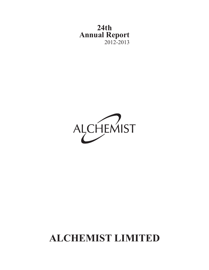# *24th Annual Report* 2012-2013



# *ALCHEMIST LIMITED*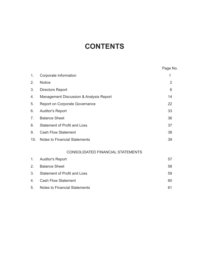# **CONTENTS**

|     |                                                    | Page No. |
|-----|----------------------------------------------------|----------|
| 1.  | Corporate Information                              |          |
| 2.  | <b>Notice</b>                                      | 2        |
| 3.  | <b>Directors Report</b>                            | 6        |
| 4.  | <b>Management Discussion &amp; Analysis Report</b> | 14       |
| 5.  | <b>Report on Corporate Governance</b>              | 22       |
| 6.  | <b>Auditor's Report</b>                            | 33       |
| 7.  | <b>Balance Sheet</b>                               | 36       |
| 8.  | <b>Statement of Profit and Loss</b>                | 37       |
| 9.  | <b>Cash Flow Statement</b>                         | 38       |
| 10. | Notes to Financial Statements                      | 39       |
|     | CONCOLIDATED FINIANCIAL CTATEMENTS                 |          |

## CONSOLIDATED FINANCIAL STATEMENTS 1. Auditor's Report 57

| $\mathsf{L}$ . Additor 3 Report  | v r |
|----------------------------------|-----|
| 2. Balance Sheet                 | 58  |
| 3. Statement of Profit and Loss  | 59  |
| 4. Cash Flow Statement           | 60  |
| 5. Notes to Financial Statements | 61  |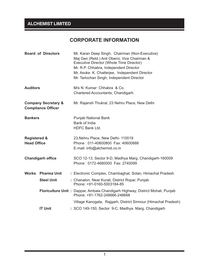# **CORPORATE INFORMATION**

| <b>Board of Directors</b>                     |                                                             | Mr. Karan Deep Singh, Chairman (Non-Executive)<br>Maj Gen (Retd.) Anil Oberoi, Vice Chairman &<br>Executive Director (Whole Time Director)<br>Mr. R.P. Chhabra, Independent Director<br>Mr. Asoke K. Chatterjee, Independent Director<br>Mr. Tarlochan Singh, Independent Director |  |  |  |
|-----------------------------------------------|-------------------------------------------------------------|------------------------------------------------------------------------------------------------------------------------------------------------------------------------------------------------------------------------------------------------------------------------------------|--|--|--|
| <b>Auditors</b>                               |                                                             | M/s N. Kumar Chhabra & Co.                                                                                                                                                                                                                                                         |  |  |  |
|                                               |                                                             | Chartered Accountants, Chandigarh.                                                                                                                                                                                                                                                 |  |  |  |
|                                               | <b>Company Secretary &amp;</b><br><b>Compliance Officer</b> | Mr. Rajansh Thukral, 23 Nehru Place, New Delhi                                                                                                                                                                                                                                     |  |  |  |
| <b>Bankers</b>                                |                                                             | Punjab National Bank<br>Bank of India<br><b>HDFC Bank Ltd.</b>                                                                                                                                                                                                                     |  |  |  |
| <b>Registered &amp;</b><br><b>Head Office</b> |                                                             | 23, Nehru Place, New Delhi- 110019<br>Phone: 011-40600800 Fax: 40600888<br>E-mail: info@alchemist.co.in                                                                                                                                                                            |  |  |  |
|                                               | <b>Chandigarh office</b>                                    | SCO 12-13, Sector 9-D, Madhya Marg, Chandigarh-160009<br>Phone: 0172-4680000 Fax: 2740099                                                                                                                                                                                          |  |  |  |
|                                               | <b>Works</b> Pharma Unit                                    | : Electronic Complex, Chambaghat, Solan, Himachal Pradesh                                                                                                                                                                                                                          |  |  |  |
| <b>Steel Unit</b>                             |                                                             | : Chanalon, Near Kurali, District Ropar, Punjab<br>Phone: +91-0160-5003184-85                                                                                                                                                                                                      |  |  |  |
|                                               |                                                             | Floriculture Unit: Dappar, Ambala Chandigarh Highway, District Mohali, Punjab<br>Phone: +91-1762-248666-248668                                                                                                                                                                     |  |  |  |
|                                               |                                                             | Village Kanogata, Rajgarh, District Sirmour (Himachal Pradesh)                                                                                                                                                                                                                     |  |  |  |
|                                               | <b>IT Unit</b>                                              | : SCO 149-150, Sector 9-C, Madhya Marg, Chandigarh                                                                                                                                                                                                                                 |  |  |  |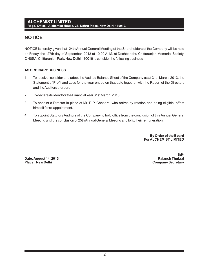**Regd. Office : Alchemist House, 23, Nehru Place, New Delhi-110019.**

# **NOTICE**

NOTICE is hereby given that 24th Annual General Meeting of the Shareholders of the Company will be held on Friday, the 27th day of September, 2013 at 10.00 A. M. at Deshbandhu Chittaranjan Memorial Society, C-405 A, Chittaranjan Park, New Delhi-110019 to consider the following business :

## **AS ORDINARY BUSINESS**

- 1. To receive, consider and adopt the Audited Balance Sheet of the Company as at 31st March, 2013, the Statement of Profit and Loss for the year ended on that date together with the Report of the Directors and the Auditors thereon.
- 2. To declare dividend for the Financial Year 31st March, 2013.
- 3. To appoint a Director in place of Mr. R.P. Chhabra, who retires by rotation and being eligible, offers himself for re-appointment.
- 4. To appoint Statutory Auditors of the Company to hold office from the conclusion of this Annual General Meeting until the conclusion of 25th Annual General Meeting and to fix their remuneration.

**By Order of the Board For ALCHEMIST LIMITED**

**Date: August 14, 2013**<br>Place: New Delhi

**Sd/- Company Secretary**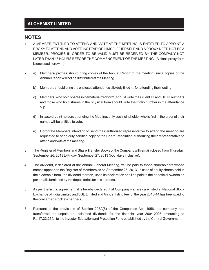# **NOTES**

- 1. A MEMBER ENTITLED TO ATTEND AND VOTE AT THE MEETING IS ENTITLED TO APPOINT A PROXY TO ATTEND AND VOTE INSTEAD OF HIMSELF/HERSELF AND APROXY NEED NOT BE A MEMBER. PROXIES IN ORDER TO BE VALID MUST BE RECEIVED BY THE COMPANY NOT LATER THAN 48 HOURS BEFORE THE COMMENCEMENT OF THE MEETING. (Ablank proxy form is enclosed herewith)
- 2. a) Members/ proxies should bring copies of the Annual Report to the meeting, since copies of the Annual Report will not be distributed at the Meeting.
	- b) Members should bring the enclosed attendance slip duly filled in, for attending the meeting.
	- c) Members, who hold shares in dematerialized form, should write their client ID and DP ID numbers and those who hold shares in the physical form should write their folio number in the attendance slip.
	- d) In case of Joint holders attending the Meeting, only such joint holder who is first in the order of their names will be entitled to vote.
	- e) Corporate Members intending to send their authorized representative to attend the meeting are requested to send duly certified copy of the Board Resolution authorizing their representative to attend and vote at the meeting.
- 3. The Register of Members and Share Transfer Books of the Company will remain closed from Thursday, September 26, 2013 to Friday, September 27, 2013 (both days inclusive).
- 4. The dividend, if declared at the Annual General Meeting, will be paid to those shareholders whose names appear on the Register of Members as on September 26, 2013. In case of equity shares held in the electronic form, the dividend thereon, upon its declaration shall be paid to the beneficial owners as per details furnished by the depositories for this purpose.
- 5. As per the listing agreement, it is hereby declared that Company's shares are listed at National Stock Exchange of India Limited and BSE Limited and Annual listing fee for the year 2013-14 has been paid to the concerned stock exchange(s).
- 6. Pursuant to the provisions of Section 205A(5) of the Companies Act, 1956, the company has transferred the unpaid or unclaimed dividends for the financial year 2004-2005 amounting to Rs.17,33,269/- to the Investor Education and Protection Fund established by the Central Government.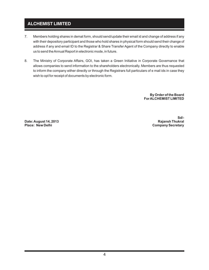- 7. Members holding shares in demat form, should send/update their email id and change of address if any with their depository participant and those who hold shares in physical form should send their change of address if any and email ID to the Registrar & Share Transfer Agent of the Company directly to enable us to send the Annual Report in electronic mode, in future.
- 8. The Ministry of Corporate Affairs, GOI, has taken a Green Initiative in Corporate Governance that allows companies to send information to the shareholders electronically. Members are thus requested to inform the company either directly or through the Registrars full particulars of e mail ids in case they wish to opt for receipt of documents by electronic form.

**By Order of the Board For ALCHEMIST LIMITED**

**Date: August 14, 2013 Rajansh Thukral Place: New Delhi Company Secretary**

**Sd/-**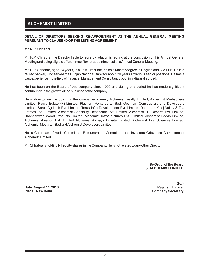### **DETAIL OF DIRECTORS SEEKING RE-APPOINTMENT AT THE ANNUAL GENERAL MEETING PURSUANT TO CLAUSE 49 OF THE LISTING AGREEMENT:**

#### **Mr. R.P. Chhabra**

Mr. R.P. Chhabra, the Director liable to retire by rotation is retiring at the conclusion of this Annual General Meeting and being eligible offers himself for re-appointment at this Annual General Meeting.

Mr. R.P. Chhabra, aged 74 years, is a Law Graduate, holds a Master degree in English and C.A.I.I.B. He is a retired banker, who served the Punjab National Bank for about 30 years at various senior positions. He has a vast experience in the field of Finance, Management Consultancy both in India and abroad.

He has been on the Board of this company since 1999 and during this period he has made significant contribution in the growth of the business of the company.

He is director on the board of the companies namely Alchemist Realty Limited, Alchemist Medisphere Limited, Placid Estate (P) Limited, Platinum Ventures Limited, Optimum Constructors and Developers Limited, Sorus Agritech Pvt. Limited, Torus Infra Development Pvt. Limited, Dooteriah Kalej Valley & Tea Estates Pvt. Limited, Alchemist Speciality Healthcare Pvt. Limited, Alchemist Hill Resorts Pvt. Limited, Dhaneshwari Wood Products Limited, Alchemist Infrastructures Pvt. Limited, Alchemist Foods Limited, Alchemist Aviation Pvt. Limited Alchemist Airways Private Limited, Alchemist Life Sciences Limited, Alchemist Media Limited and Alchemist Developers Limited.

He is Chairman of Audit Committee, Remuneration Committee and Investors Grievance Committee of Alchemist Limited.

Mr. Chhabra is holding Nil equity shares in the Company. He is not related to any other Director.

**By Order of the Board For ALCHEMIST LIMITED**

**Date: August 14, 2013**<br>Place: New Delhi

**Sd/- Company Secretary**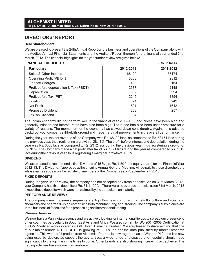# **DIRECTORS' REPORT**

### **Dear Shareholders,**

We are pleased to present the 24th Annual Report on the business and operations of the Company along with the Audited Annual Financial Statements and the Auditors'Report thereon for the financial year ended 31st March, 2013. The financial highlights for the year under review are given below:

### **FINANCIAL HIGHLIGHTS (Rs. In lacs)**

| 2012-2013 | 2011-2012 |
|-----------|-----------|
| 68120     | 53174     |
| 3068      | 2312      |
| 492       | 164       |
| 2577      | 2148      |
| 332       | 294       |
| 2245      | 1854      |
| 624       | 242       |
| 1621      | 1612      |
| 203       | 257       |
| 34        |           |
|           |           |

The Indian economy did not perform well in the financial year 2012-13. Food prices have been high and generally inflation and interest rates have also been high. The rupee has also been under pressure for a variety of reasons. The momentum of the economy has slowed down considerably. Against this adverse backdrop, your company still held its ground and made marginal improvements in the overall performance.

During the year, the net revenue of the Company was Rs. 68120 lacs as compared to Rs. 53174 lacs during the previous year, thus registering a growth of 28.11%. The profit before interest and depreciation during the year was Rs. 3068 lacs as compared to Rs. 2312 lacs during the previous year, thus registering a growth of 32.70.%. The Company made a net profit after tax of Rs. 1621 lacs during the year as compared to Rs. 1612 lacs during the previous year, thus registering a marginal growth of 0.55%.

### **DIVIDEND**

We are pleased to recommend a final Dividend of 15 % (i.e. Rs. 1.50)- per equity share) for the Financial Year 2012-13. The Dividend, if approved at the ensuing Annual General Meeting, will be paid to those shareholders whose names appear on the register of members of the Company as on September 27, 2013.

#### **FIXED DEPOSITS**

During the year under review, the company has not accepted any fresh deposits. As on 31st March, 2013, your Company had fixed deposits of Rs. 61,11,000/-. There were no overdue deposits as on 31st March, 2013 except these deposits which were not claimed by the depositors on maturity.

#### **PERFORMANCE REVIEW :**

The company's main business segments are Agri Business comprising largely floriculture and steel and chemicals and pharma division comprising both manufacturing and trading. The company's subsidiaries are in the business of foods and food processing and international trading.

#### **Pharma Division :**

We now have a Pan India presence and are actively looking for international tie ups to spread our presence to other countries particularly in South East Asia and Africa. We also confirm to ISO 9001-2008 Certification at our GMPcertified works located in Distt. Solan, Himachal Pradesh. We are pleased to share with you that one of our major brands IGTG-FORTE is growing at 1000% as per the data published by market research agencies. This wonderful product from Alchemist Pharma is now regarded as a "Wonder-Pill" and it is now being used by doctors as support therapy to treat a wide range of diseases and hopefully should add significantly to the top line in the times to come. Other brands are also showing increasing acceptance. The trading activities have shown marginal growth.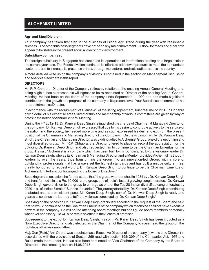### **Agri and Steel Division:**

Your company has taken first step in the business of Global Agri Trade during the year with reasonable success. The other business segments have not seen any major movement. Outlook for roses and steel both appear to be stable in the present social and economic environment.

#### **Subsidiary companies :**

The foreign subsidiary in Singapore has continued its operations of international trading on a large scale in the current year also. The Foods division continues its efforts to add newer products to meet the demands of customers and to increase its presence in India through more stores and sale outlets across the country.

A more detailed write up on the company's divisions is contained in the section on Management Discussion and Analysis elsewhere in this report

### **DIRECTORS**

Mr. R.P. Chhabra, Director of the Company retires by rotation at the ensuing Annual General Meeting and, being eligible, has expressed his willingness to be re-appointed as Director at the ensuing Annual General Meeting. He has been on the board of the company since September 1, 1999 and has made significant contribution in the growth and progress of the company to its present level. Your Board also recommends his re-appointment as Director.

In accordance with the requirement of Clause 49 of the listing agreement, brief resume of Mr. R.P. Chhabra giving detail of his expertise areas, directorship and membership of various committees are given by way of notes to the notice of Annual General Meeting.

During the FY 2012-13, Dr. Kanwar Deep Singh relinquished the charge of Chairman & Managing Director of the company. Dr. Kanwar Deep Singh expressed that due to his desire to contribute actively to the service of the nation and the society, he needed more time and as such expressed his desire to exit from the present position of the Chairman and Managing Director of the Company. On the occasion, while Dr. Kanwar Deep Singh, the Chairman and Managing Director, was bidding adieu to Alchemist Group, one of the upcoming and most diversified group, Mr. R.P. Chhabra, the Director offered to place on record the appreciation for the outgoing Dr. Kanwar Deep Singh and also requested him to continue to be the Chairman Emeritus for the group. He said "Alchemist is a company which has been built by its founders, led by the visionary leader Dr. Kanwar Deep singh, who as its Chairman & Managing Director and a Mentor, provided Alchemist its thought leadership over the years, thus transforming the group into an innovation-led Group, with a core of outstanding professionals that has always set the highest standards and has built a unique culture. I feel greatly honoured to request worthy. Dr. Kanwar Deep Singh to continue to be the Chairman Emeritus of Alchemist Limited and continue guiding the Board of Directors."

Speaking on the occasion, he further stated that "the group was launched in 1981 by . Dr. Kanwar Deep Singh and transformed it in to a Rs. 10,000 crore group, one of India's fastest growing conglomerates. Dr. Kanwar Deep Singh gave a vision to the group to emerge as one of the Top 20 Indian diversified conglomerates by 2020 in all of India's 5 major "Sunrise Industries". The journey started by Dr. Kanwar Deep Singh is continuing unabated and at a consistent pace. Mr. Karan Deep Singh, son of. Dr. Kanwar Deep Singh is ready and geared to continue the journey to fulfil the vision as conceived by Dr. Kanwar Deep Singh."

Speaking on the occasion Dr. Kanwar Deep Singh graciously acceded to the request of the Board and said that he would continue to be the Chairman Emeritus of the company which means he shall not have executive powers in the company. He will not be attending board meetings but shall guide board members personally whenever necessary. He will also retain an office in the Alchemist premises.

Subsequent to the exit of Dr. Kanwar Deep Singh, his son . Mr. Karan Deep Singh has been inducted as a Non- Executive Director and also elected as the Chairman of the Company to spearhead the group on the footsteps of his visionary father.

Maj. Gen (Retd.) Anil Oberoi was appointed as a Executive Director of the company (a whole time Director) in accordance with the provisions of Section 269 read with section 198/ 309 of the Companies Act, 1956 and Rules made there under. He has also been nominated as Vice Chairman of the Company by the Board of Directors in their meeting held on 14.08.2013.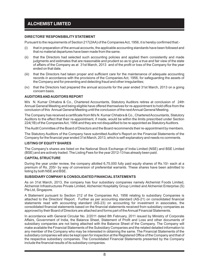#### **DIRECTORS' RESPONSIBILITYSTATEMENT**

Pursuant to the requirements of Section 217(2AA) of the Companies Act, 1956, it is hereby confirmed that:-

- (i) that in preparation of the annual accounts, the applicable accounting standards have been followed and that no material departures have been made from the same.
- (ii) that the Directors had selected such accounting policies and applied them consistently and made judgments and estimates that are reasonable and prudent so as to give a true and fair view of the state of affairs of the Company as at 31st March, 2013 and of the profit or loss of the Company for the year ended on that date.
- (iii) that the Directors had taken proper and sufficient care for the maintenance of adequate accounting records in accordance with the provisions of the Companies Act, 1956, for safeguarding the assets of the Company and for preventing and detecting fraud and other irregularities;
- (iv) that the Directors had prepared the annual accounts for the year ended 31st March, 2013 on a going concern basis.

#### **AUDITORS AND AUDITORS REPORT**

M/s N. Kumar Chhabra & Co., Chartered Accountants, Statutory Auditors retires at conclusion of 24th Annual General Meeting and being eligible have offered themselves for re-appointment to hold office from the conclusion of this Annual General Meeting until the conclusion of the next Annual General Meeting.

The Company has received a certificate from M/s N. Kumar Chhabra & Co., Chartered Accountants, Statutory Auditors to the effect that their re-appointment, if made, would be within the limits prescribed under Section 224(1B) of the Companies Act, 1956 and they are not disqualified to be re-appointed as Statutory Auditors.

The Audit Committee of the Board of Directors and the Board recommends their re-appointment by members.

The Statutory Auditors of the Company have submitted Auditor's Report on the Financial Statements of the Company for the financial year ended 31st March, 2013, which is self-explanatory and needs no comments.

#### **LISTING OF EQUITYSHARES**

The Company's shares are listed on the National Stock Exchange of India Limited (NSE) and BSE Limited (BSE) and are actively traded. The Listing Fees for the year 2012-13 has already been paid.

#### **CAPITALSTRUCTURE**

During the year under review, the company allotted 6,75,000 fully paid equity shares of Rs.10/- each at a premium of Rs. 205/- by way of conversion of preferential warrants. These shares have been admitted to listing by both NSE and BSE.

#### **SUBSIDIARY COMPANY & CONSOLIDATED FINANCIALSTATEMENTS**

As on 31st March, 2013, the company has four subsidiary companies namely Alchemist Foods Limited, Alchemist Infrastructures Private Limited, Alchemist Hospitality Group Limited and Alchemist Enterprise (S) Pte Ltd, Singapore.

A Statement pursuant to Section 212 of the Companies Act, 1956 relating to subsidiary Companies is attached to the Directors' Report. Further as per accounting standard (AS-21) on consolidated financial statements read with accounting standard (AS-23) on accounting for investment in associates, the consolidated financial statements based on the financial statements received from subsidiary companies as approved by their Board of Directors are attached and forms part of the Annual Financial Statements.

In accordance with General Circular No. 2/2011 dated 8th February, 2011 issued by Ministry of Corporate Affairs, Government of India, the Balance Sheet, Statement of Profit and Loss and other documents of subsidiary companies are not being attached with the Balance Sheet of the Company. The Company will make available the Financial Statements of the Subsidiary Companies and the related detailed information to any member of the Company who may be interested in obtaining the same. The Financial Statements of the subsidiary companies will also be kept open for inspection at the Registered Office of the Company and that of the respective subsidiary companies. The Consolidated Financial Statements presented by the Company include the financial results of its subsidiary companies.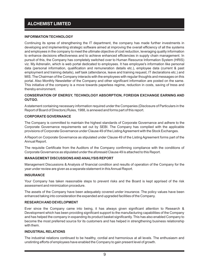#### **INFORMATION TECHNOLOGY**

Continuing its spree of strengthening the IT department, the company has made further investments in developing and implementing strategic software aimed at improving the overall efficiency of all the systems and employees in the company to meet the ultimate objective of cost reduction, leveraging quality information to enhance decisions effectiveness and to achieve enhanced efficiencies in supply chain management. In pursuit of this, the Company has completely switched over to Human Resource Information System (HRIS) viz. My Adrenalin, which is web portal dedicated to employees. It has employee's information like personal data (personal information, qualification and remuneration details etc.), employee data (current & past employment and training details), self task (attendance, leave and training request, IT declarations etc.) and MIS. The Chairman of the Company interacts with the employees with regular thoughts and messages on this portal. Also Monthly Newsletter of the Company and other significant information are posted on the same. This initiative of the company is a move towards paperless regime, reduction in costs, saving of tress and thereby environment.

#### **CONSERVATION OF ENERGY, TECHNOLOGY ABSORPTION, FOREIGN EXCHANGE EARNING AND OUTGO.**

Astatement containing necessary information required under the Companies (Disclosure of Particulars in the Report of Board of Directors) Rules, 1988, is annexed and forms part of this report.

#### **CORPORATE GOVERNANCE**

The Company is committed to maintain the highest standards of Corporate Governance and adhere to the Corporate Governance requirements set out by SEBI. The Company has complied with the applicable provisions of Corporate Governance under Clause 49 of the Listing Agreement with the Stock Exchanges.

A Report on Corporate Governance as stipulated under Clause 49 of the Listing Agreement forms part of the Annual Report.

The requisite Certificate from the Auditors of the Company confirming compliance with the conditions of Corporate Governance as stipulated under the aforesaid Clause 49 is attached to this Report.

#### **MANAGEMENT DISCUSSIONS AND ANALYSIS REPORT**

Management Discussions & Analysis of financial condition and results of operation of the Company for the year under review are given as a separate statement in this Annual Report.

#### **INSURANCE**

Your Company has taken reasonable steps to prevent risks and the Board is kept apprised of the risk assessment and minimization procedure.

The assets of the Company have been adequately covered under insurance. The policy values have been enhanced taking into consideration the expanded and upgraded facilities of the Company.

#### **RESEARCH AND DEVELOPMENT**

Ever since the Company came into being, it has always given significant attention to Research & Development which has been providing significant support to the manufacturing capabilities of the Company and has helped the company in expanding its product basket significantly. This has also enabled Company to become the most preferred source for its customers and has helped in strengthening business relationship with them.

#### **INDUSTRIAL RELATIONS**

The industrial relations continued to be healthy, cordial and harmonious at all levels. The enthusiasm and unstinting efforts of employees have enabled the Company to gain present level of growth.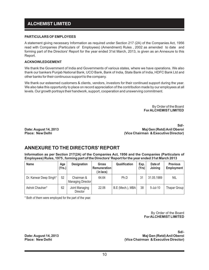#### **PARTICULARS OF EMPLOYEES**

A statement giving necessary Information as required under Section 217 (2A) of the Companies Act, 1956 read with Companies (Particulars of Employees) (Amendment) Rules , 2002 as amended to date and forming part of the Directors' Report for the year ended 31st March, 2013, is given as an Annexure to this Report.

#### **ACKNOWLEDGEMENT**

We thank the Government of India and Governments of various states, where we have operations. We also thank our bankers Punjab National Bank, UCO Bank, Bank of India, State Bank of India, HDFC Bank Ltd and other banks for their continuous support to the company.

We thank our esteemed customers & clients, vendors, investors for their continued support during the year. We also take this opportunity to place on record appreciation of the contribution made by our employees at all levels. Our growth portrays their handwork, support, cooperation and unswerving commitment.

> By Order of the Board **For ALCHEMIST LIMITED**

**Sd/- Date: August 14, 2013 Maj Gen (Retd) Anil Oberoi (Vice Chairman & Executive Director)** 

# **ANNEXURE TO THE DIRECTORS' REPORT**

**Information as per Section 217(2A) of the Companies Act, 1956 and the Companies (Particulars of Employees) Rules, 1975 , forming part of the Directors' Report for the year ended 31st March 2013**

| <b>Name</b>            | Age<br>(Yrs.) | <b>Designation</b>                | Gross<br><b>Remuneration</b><br>(in lacs) | <b>Qualification</b> | Exp.<br>(Yrs) | Date of<br>Joining | <b>Previous</b><br><b>Employment</b> |
|------------------------|---------------|-----------------------------------|-------------------------------------------|----------------------|---------------|--------------------|--------------------------------------|
| Dr. Kanwar Deep Singh* | 52            | Chairman &<br>Managing Director   | 64.64                                     | Ph.D                 | 31            | 31.05.1989         | <b>NIL</b>                           |
| Ashok Chauhan*         | 62            | Joint Managing<br><b>Director</b> | 22.06                                     | B.E (Mech.), MBA     | 38            | $5$ -Jul-10        | Thapar Group                         |

\* Both of them were employed for the part of the year.

By Order of the Board **For ALCHEMIST LIMITED**

**Sd/- Date: August 14, 2013 Maj Gen (Retd) Anil Oberoi (Vice Chairman & Executive Director)**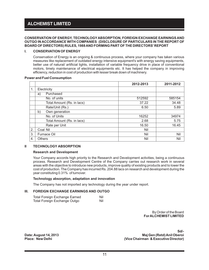#### **CONSERVATION OF ENERGY, TECHNOLOGYABSORPTION, FOREIGN EXCHANGE EARNINGS AND OUTGO IN ACCORDANCE WITH COMPANIES (DISCLOSURE OF PARTICULARS IN THE REPORT OF BOARD OF DIRECTORS) RULES, 1988 AND FORMING PART OF THE DIRECTORS' REPORT**

#### **I. CONSERVATION OF ENERGY**

Conservation of Energy is an ongoing & continuous process, where your company has taken various measures like replacement of outdated energy intensive equipment's with energy saving equipments, better use of natural/ artificial lights, installation of variable frequency drive in place of conventional motors, timely maintenance of electrical equipments etc. It has helped the company in improving efficiency, reduction in cost of production with lesser break down of machinery.

#### **Power and Fuel Consumption**

|    |                            | 2012-2013 | 2011-2012 |
|----|----------------------------|-----------|-----------|
| 1. | Electricity                |           |           |
|    | Purchased<br>a)            |           |           |
|    | No. of units               | 512592    | 585154    |
|    | Total Amount (Rs. in lacs) | 37.22     | 34.48     |
|    | Rate/Unit (Rs.)            | 6.50      | 5.89      |
|    | Own generation<br>b)       |           |           |
|    | No. of Units               | 16252     | 34974     |
|    | Total Amount (Rs. in lacs) | 2.68      | 5.75      |
|    | Rate per Unit              | 16.50     | 16.45     |
| 2. | Coal Nil                   | Nil       |           |
| 3. | <b>Furnace Oil</b>         | Nil       | Nil       |
| 4. | <b>Others</b>              | Nil       | Nil       |

#### **II TECHNOLOGY ABSORPTION**

#### **Research and Development**

Your Company accords high priority to the Research and Development activities, being a continuous process. Research and Development Centre of the Company carries out research work in several areas with the objective to introduce new products, improve quality of existing products and to lower the cost of production. The Company has incurred Rs. 204.88 lacs on research and development during the year constituting 0.31% of turnover.

#### **Technology absorption, adaptation and innovation**

The Company has not imported any technology during the year under report.

#### **III. FOREIGN EXCHANGE EARNINGS AND OUTGO**

| <b>Total Foreign Exchange Earned</b> | Nil |
|--------------------------------------|-----|
| Total Foreign Exchange Outgo         | Nil |

By Order of the Board **For ALCHEMIST LIMITED**

**Sd/- Date: August 14, 2013 Maj Gen (Retd) Anil Oberoi (Vice Chairman & Executive Director)**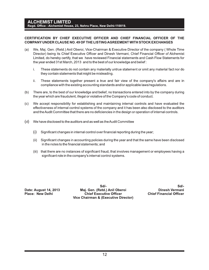#### **ALCHEMIST LIMITED** Regd. Office: Alchemist House, 23, Nehru Place, New Delhi-110019.

#### CERTIFICATION BY CHIEF EXECUTIVE OFFICER AND CHIEF FINANCIAL OFFICER OF THE COMPANY UNDER CLAUSE NO. 49 OF THE LISTING AGREEMENT WITH STOCK EXCHANGES

- $(a)$ We, Maj. Gen. (Retd.) Anil Oberoi, Vice-Chairman & Executive Director of the company (Whole Time Director) being its Chief Executive Officer and Dinesh Vermani, Chief Financial Officer of Alchemist Limited, do hereby certify, that we have reviewed Financial statements and Cash Flow Statements for the year ended 31st March, 2013 and to the best of our knowledge and belief:
	- i. These statements do not contain any materially untrue statement or omit any material fact nor do they contain statements that might be misleading.
	- These statements together present a true and fair view of the company's affairs and are in ii. compliance with the existing accounting standards and/or applicable laws/regulations.
- $(b)$ There are, to the best of our knowledge and belief, no transactions entered into by the company during the year which are fraudulent, illegal or violative of the Company's code of conduct.
- We accept responsibility for establishing and maintaining internal controls and have evaluated the  $(c)$ effectiveness of internal control systems of the company and it has been also disclosed to the auditors and the Audit Committee that there are no deficiencies in the design or operation of internal controls.
- $(d)$ We have disclosed to the auditors and as well as the Audit Committee
	- $(i)$ Significant changes in internal control over financial reporting during the year;
	- $(ii)$ Significant changes in accounting policies during the year and that the same have been disclosed in the notes to the financial statements; and
	- (iii) that there are no instances of significant fraud, that involves management or employees having a significant role in the company's internal control systems.

Date: August 14, 2013 **Place: New Delhi** 

Sd/-Maj. Gen. (Retd.) Anil Oberoi **Chief Executive Officer Vice Chairman & (Executive Director)** 

 $Sd$ -**Dinesh Vermani Chief Financial Officer**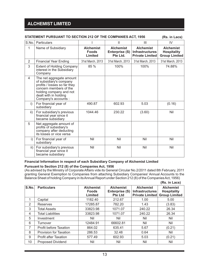|                 | STATEMENT PURSUANT TO SECTION 212 OF THE COMPANIES ACT, 1956<br>(Rs. in Lacs)                                                                                                             |                                                    |                                                |                                                                      |                                                                |  |
|-----------------|-------------------------------------------------------------------------------------------------------------------------------------------------------------------------------------------|----------------------------------------------------|------------------------------------------------|----------------------------------------------------------------------|----------------------------------------------------------------|--|
| S.No.           | Particulars                                                                                                                                                                               |                                                    | Ш                                              | Ш                                                                    | IV                                                             |  |
| $\mathbf{1}$    | Name of Subsidiary                                                                                                                                                                        | <b>Alchemist</b><br><b>Foods</b><br><b>Limited</b> | <b>Alchemist</b><br>Enterprise (S)<br>Pte Ltd. | <b>Alchemist</b><br><b>Infrastructures</b><br><b>Private Limited</b> | <b>Alchemist</b><br><b>Hospitality</b><br><b>Group Limited</b> |  |
| $\overline{2}$  | <b>Financial Year Ending</b>                                                                                                                                                              | 31st March, 2013                                   | 31st March, 2013                               | 31st March, 2013                                                     | 31st March, 2013                                               |  |
| 3               | <b>Extent of Holding Company</b><br>interest in the Subsidiary<br>Company                                                                                                                 | 85 %                                               | 100%                                           | 100%                                                                 | 74.88%                                                         |  |
| 4               | The net aggregate amount<br>of subsidiary's company<br>profits / losses so far they<br>concern members of the<br>holding company and not<br>dealt with in holding<br>Company's accounts : |                                                    |                                                |                                                                      |                                                                |  |
| i)              | For financial year of<br>subsidiary                                                                                                                                                       | 490.87                                             | 602.93                                         | 5.03                                                                 | (0.16)                                                         |  |
| $\mathsf{ii}$ ) | For subsidiary's previous<br>financial year since it<br>became subsidiary                                                                                                                 | 1044.46                                            | 230.22                                         | (3.60)                                                               | Nil                                                            |  |
| 5               | Net aggregate amount of<br>profits of subsidiary's<br>company after deducting<br>its losses or vice versa                                                                                 |                                                    |                                                |                                                                      |                                                                |  |
| i)              | For financial year of<br>subsidiary                                                                                                                                                       | <b>Nil</b>                                         | Nil                                            | Nil                                                                  | Nil                                                            |  |
| $\mathsf{ii}$ ) | For subsidiary's previous<br>financial year since it<br>became subsidiary                                                                                                                 | Nil                                                | Nil                                            | Nil                                                                  | Nil                                                            |  |

#### **Financial Information in respect of each Subsidiary Company of Alchemist Limited**

## **Pursuant to Section 212 (8) of the Companies Act, 1956**

(As advised by the Ministry of Corporate Affairs vide its General Circular No.2/2011 dated 8th February, 2011 granting General Exemption to Companies from attaching Subsidiary Companies' Annual Accounts to the Balance Sheet of holding Company in its Annual Report under Section 212 (8) of the Companies Act, 1956)

|       |                               |                                             |                                               |                                                                      | (Rs. in Lacs)                                                  |
|-------|-------------------------------|---------------------------------------------|-----------------------------------------------|----------------------------------------------------------------------|----------------------------------------------------------------|
| S.No. | <b>Particulars</b>            | <b>Alchemist</b><br><b>Foods</b><br>Limited | <b>Alchemist</b><br>Enterprise (S)<br>Pte Ltd | <b>Alchemist</b><br><b>Infrastructures</b><br><b>Private Limited</b> | <b>Alchemist</b><br><b>Hospitality</b><br><b>Group Limited</b> |
| 1     | Capital                       | 1182.40                                     | 212.67                                        | 1.00                                                                 | 5.00                                                           |
| 2     | Reserves                      | 17285.87                                    | 782.20                                        | 1.43                                                                 | (3.83)                                                         |
| 3     | <b>Total Assets</b>           | 33823.98                                    | 1071.07                                       | 240.22                                                               | 26.34                                                          |
| 4     | <b>Total Liabilities</b>      | 33823.98                                    | 1071.07                                       | 240.22                                                               | 26.34                                                          |
| 5     | Investment                    | Nil                                         | Nil                                           | Nil                                                                  | Nil                                                            |
| 6     | Turnover                      | 12484.91                                    | 66602.81                                      | Nil                                                                  | Nil                                                            |
| 7     | <b>Profit before Taxation</b> | 864.02                                      | 635.41                                        | 5.67                                                                 | (0.21)                                                         |
| 8     | Provision for Taxation        | 286.53                                      | 32.48                                         | 0.64                                                                 | Nil                                                            |
| 9     | <b>Profit after Taxation</b>  | 577.49                                      | 602.93                                        | 5.03                                                                 | (0.21)                                                         |
| 10    | <b>Proposed Dividend</b>      | Nil                                         | Nil                                           | Nil                                                                  | Nil                                                            |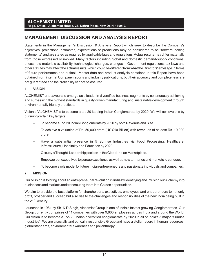# **MANAGEMENT DISCUSSION AND ANALYSIS REPORT**

Statements in the Management's Discussion & Analysis Report which seek to describe the Company's objectives, projections, estimates, expectations or predictions may be considered to be "forward-looking statements" and are stated as required by applicable laws and regulations. Actual results may differ materially from those expressed or implied. Many factors including global and domestic demand-supply conditions, prices, raw-materials availability, technological changes, changes in Government regulations, tax laws and other statutes may affect the actual results, which could be different from what the Directors' envisage in terms of future performance and outlook. Market data and product analysis contained in this Report have been obtained from internal Company reports and industry publications, but their accuracy and completeness are not guaranteed and their reliability cannot be assured.

### 1. **VISION**

ALCHEMIST endeavours to emerge as a leader in diversified business segments by continuously achieving and surpassing the highest standards in quality driven manufacturing and sustainable development through environmentally friendly practices.

Vision of ALCHEMIST is to become a top 20 leading Indian Conglomerate by 2020. We will achieve this by pursuing certain key targets:

- To become a Top 20 Indian Conglomerate by 2020 by both Revenue and Size.
- To achieve a valuation of Rs. 50,000 crore (US \$10 Billion) with revenues of at least Rs. 10,000 crore.
- Have a substantial presence in 5 Sunrise Industries viz Food Processing, Healthcare, Infrastructure, Hospitality and Education by 2020.
- Occupy a Thought-Leadership position in the Global Indian Marketplace.
- Empower our executives to pursue excellence as well as new territories and markets to conquer.
- To become a role model for future Indian entrepreneurs and passionate individuals and companies.

### **2. MISSION**

Our Mission is to bring about an entrepreneurial revolution in India by identifying and infusing our Alchemy into businesses and markets and transmuting them into Golden opportunities.

We aim to provide the best platform for shareholders, executives, employees and entrepreneurs to not only profit, prosper and succeed but also rise to the challenges and responsibilities of the new India being built in the  $21<sup>st</sup>$  Century

Launched in 1981 by Sh. K.D Singh, Alchemist Group is one of India's fastest growing Conglomerates. Our Group currently comprises of 11 companies with over 9,800 employees across India and around the World. Our vision is to become a Top 20 Indian diversified conglomerate by 2020 in all of India's 5 major "Sunrise Industries". We are a socially and ethically responsible Group and have a stellar record in human resources, global standards, environmental awareness and philanthropy.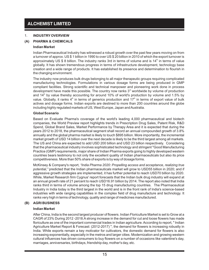# 1. **INDUSTRYOVERVIEW**

# **(A) PHARMA & CHEMICALS**

### **Indian Market**

Indian Pharmaceutical Industry has witnessed a robust growth over the past few years moving on from a turnover of approx. US \$ 1 billion in 1990 to over US \$ 20 billion in 2010 of which the export turnover is approximately US  $$ 8$  billion. The industry ranks 3rd in terms of volume and is  $14<sup>th</sup>$  in terms of value globally. It has shown tremendous progress in terms of infrastructure development, technology base creation and a wide range of products. It has established its presence and determination to flourish in the changing environment.

The industry now produces bulk drugs belonging to all major therapeutic groups requiring complicated manufacturing technologies. Formulations in various dosage forms are being produced in GMP compliant facilities. Strong scientific and technical manpower and pioneering work done in process development have made this possible. The country now ranks  $3<sup>rd</sup>$  worldwide by volume of production and  $14<sup>th</sup>$  by value thereby accounting for around 10% of world's production by volume and 1.5% by value. Globally, it ranks  $4<sup>th</sup>$  in terms of generics production and 17<sup>th</sup> in terms of export value of bulk actives and dosage forms. Indian exports are destined to more than 200 countries around the globe including highly regulated markets of US, West Europe, Japan and Australia.

### **Global Scenario**

Based on Evaluate Pharma's coverage of the world's leading 4,000 pharmaceutical and biotech companies, the World Preview report highlights trends in Prescription Drug Sales, Patent Risk, R&D Spend, Global Brand Sales, Market Performance by Therapy Area and it is expected that during the years 2012 to 2018, the pharmaceutical segment shall record an annual compounded growth of 3.8% annually and the global pharma market is likely to touch \$895 billion. More importantly, the incremental market growth of USD 14 billion over the next decade is likely to be the third largest among all markets. The US and China are expected to add USD 200 billion and USD 23 billion respectively. Considering that the pharmaceutical industry involves sophisticated technology and stringent "Good Manufacturing Practice (GMP) requirements, major share of Indian Pharma exports going to highly developed western countries bears testimony to not only the excellent quality of Indian pharmaceuticals but also its price competitiveness. More than 50% share of exports is by way of dosage forms.

McKinsey & Company's report, *"India Pharma 2020: Propelling access and acceptance, realizing true potential,"* predicted that the Indian pharmaceuticals market will grow to USD55 billion in 2020; and if aggressive growth strategies are implemented, it has further potential to reach USD70 billion by 2020. While, Market Research firm Cygnus' report forecasts that the Indian bulk drug industry will expand at an annual growth rate of 21 percent to reach USD16.91 billion by 2014. The report also noted that India ranks third in terms of volume among the top 15 drug manufacturing countries. The Pharmaceutical Industry in India today is the third largest in the world and is in the front rank of India's science-based industries with wide ranging capabilities in the complex field of drug manufacture and technology. It ranks very high in terms of technology, quality and range of medicines manufactured.

### **(B) AGRI BUSINESS**

### **Indian Market**

After China, India is the second largest producer of flowers. Indian Floriculture Market is set to Grow at a CAGR of 23% During 2012 -2018.Astrong increase in the demand for cut and loose flowers has made floriculture as one of the important commercial trades in Indian agriculture. According to report, " Indian Agriculture Market Report & Forecast: (2012-2017) ", the demand for flowers is increasing robustly in India. While exports remain a key motivator for cultivators, the domestic demand for flowers is also increasing exponentially, especially in the metros and larger cities. Modernization and growing western cultural influences has driven consumers to buy flowers on a number of occasions like valentine's day, marriages, anniversaries, birthdays, friendship day, mother's day, etc.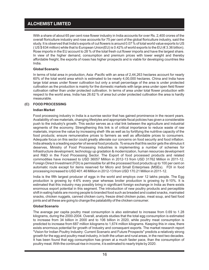With a share of about 65 per cent rose flower industry in India accounts for over Rs. 2,400 crores of the overall floriculture industry and rose accounts for 75 per cent of the global floriculture industry, said the study. It is observed that India's exports of cut flowers is around 0.07 % of total world value exports to US ( US  $$634$  million) while that to European Union(EU) is 0.42% of world exports to the EU ( $$3.36$  billion). Rose imports in the EU account to 28 % of the total fresh cut flower imports and have the largest share. In view of the higher demand, consumption and premium prices with lower weight and thereby affordable freight, the exports of roses has higher prospects and is viable for developing countries like India.

### **Global Scenario**

In terms of total area in production, Asia -Pacific with an area of 2,44,263 hectares account for nearly 60% of the total world area which is estimated to be nearly 4,00,000 hectares. China and India have large total areas under flower cultivation but only a small percentage of the area is under protected cultivation as the production is mainly for the domestic markets with large area under open field flower cultivation rather than under protected cultivation. In terms of area under total flower production with respect to the world area, India has 26.62 % of area but under protected cultivation the area is hardly measurable.

### **(C) FOOD PROCESSING**

### **Indian Market**

Food processing industry in India is a sunrise sector that has gained prominence in the recent years. Availability of raw materials, changing lifestyles and appropriate fiscal policies has given a considerable push to the industry's growth. This sector serves as a vital link between the agriculture and industrial segments of the economy. Strengthening this link is of critical importance to reduce waste of raw materials, improve the value by increasing shelf- life as well as by fortifying the nutritive capacity of the food products; ensure remunerative prices to farmers as well as affordable prices to consumers. Adequate focus on this sector could greatly alleviate our concerns on food security and food inflation. India already is a leading exporter of several food products. To ensure that this sector gets the stimulus it deserves, Ministry of Food Processing Industries is implementing a number of schemes for Infrastructure development, technology up gradation & modernization, human resources development and R&D in the Food Processing Sector. The Export of food processed products and related commodities have increased to USD 36057 Million in 2012-13 from USD 31762 Million in 2011-12. Foreign Direct Investment (FDI) is permissible for all the processed food products up to 100 per cent on automatic route except for items reserved for Micro and Small Enterprises (MSEs). FDI in food processing increased to USD 401.46 Million in 2012-13 from USD 170.21 Million in 2011-12.

India is the fifth largest producer of eggs in the world and employs over 12 lakhs people. The Egg production is growing by 4-6% every year whereas broiler production is growing by 8-10%. It is estimated that this industry may possibly bring in significant foreign exchange in India as there exists enormous export potential in this segment. The introduction of new poultry products and perceptible shift in eating habits are moving people to branded food such as breaded and coated snacks, marinated snacks, chicken nuggets, canned chicken curry, freeze dried chicken pulao, meat soup, and fast food joints and all these are going to change the palatability of the chicken consumer.

#### **Global Scenario**

The average per capita poultry meat consumption is also estimated to increase from 0.69 to 1.28 kilograms, during the 2000-2004. Overall, analysts studies that the total egg consumption is estimated to increase from 34 billion in 2000 and to 106 billion in 2020, while poultry meat consumption is predicted to increase from 687 million kilograms to 1,674 million kilograms. Keeping this in view, there exists enormous potential for growth of Industry and consequent exports. The market research report "Vision for Indian Poultry Industry: Current Scenario and Future Prospects" predicts a relatively strong growth for the egg and poultry meat industry, in both the urban and rural areas, in the next two decades. It has been found that egg consumption has grown at a much faster pace, than the consumption of poultry meat. With the continual rise in income, it is estimated to nearly triple by 2020.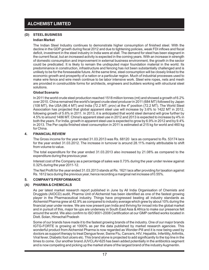### **(D) STEEL BUSINESS**

#### **Indian Market**

The Indian Steel Industry continues to demonstrate higher consumption of finished steel. With the decline in the GDP growth during fiscal 2012 and due to tightening policies, weak FDI inflows and fiscal deficit, investment in the steel industry in India were at stall. The demand for steel has been stagnant in the current fiscal, but an increased activity is expected in the coming years. With an increase in strength of domestic consumption and improvement in external business environment, the growth in the sector could be predicated. It is likely to remain the undisputed major foundation material in the world. Its predominance in construction, infrastructure and fencing has not been substantially challenged and is unlikely to be for the foreseeable future. At the same time, steel consumption will be closely linked to the economic growth and prosperity of a nation or a particular region. Much of industrial processes used to make wire fence and wire mesh continue to be labor intensive work. Steel wire ropes, nets and mesh are provided in constructible forms for architects, engineers and builders working with structural steel solutions.

### **Global Scenario**

In 2011 the world crude steel production reached 1518 million tonnes (mt) and showed a growth of 6.2% over 2010. China remained the world's largest crude steel producer in 2011 (684 MT) followed by Japan (108 MT), the USA (86.4 MT) and India (72.2 MT; prov) at the  $4<sup>th</sup>$  position (72.2 MT). The World Steel Association has projected that global apparent steel use will increase by 3.6% to 1422 MT in 2012, following growth of 5.6% in 2011. In 2013, it is anticipated that world steel demand will grow further by 4.5% to around 1486 MT. China's apparent steel use in 2012 and 2013 is expected to increase by 4% in both the years. For India, growth in apparent steel use is expected to grow by 6.9% in 2012 and by 9.4% in 2013. The Per capita finished steel consumption in 2011 is estimated at 215 kg for world and 460 kg for China.

### **4. FINANCIAL REVIEW**

The Gross income for the year ended 31.03.2013 was Rs. 68120 lacs as compared to Rs. 53174 lacs for the year ended 31.03.2012. The increase in turnover is around 28.11% mainly attributable to shift from volume to value.

The total expenditure for the year ended 31.03.2013 also increased by 21.08% as compared to the expenditure during the previous year.

Interest cost of the Company as a percentage of sales was 0.73% during the year under review against 0.32% during the year 2011-12.

The Net Profit for the year ended 31.03.2013 stands at Rs. 1621 lacs after providing for taxation against Rs. 1612 lacs during the previous year, hence recording a marginal net increase of 0.55%.

### **5. COMPANY'S PERFORMANCE**

### **(A) PHARMA& CHEMICALS**

As per latest market research report published in June by All India Organisation of Chemists and Druggists (AIOCD) audit, Pharma Unit of Alchemist has been identified as one of the fastest growing player in the Pharmaceutical industry. Things have progressed beating all industry standards as Alchemist Pharma grew at 42.9% as compared to industry average which grew by about 10% during the financial year under review. We are now present pan India and thriving for inroad into the global market and in pursuit of this, major tie ups are underway in South East Asia & Africa to make our presence felt around the world. We also confirm to ISO 9001-2008 Certification at our GMP certified works located in Distt. Solan, Himachal Pradesh

Some of our brands have made it to the fastest growing brands of the industry. One of our major brands IGTG-FORTE is growing at 1000% as per the data published by market research agencies. This wonderful product from Alchemist Pharma is now regarded as Wonder-Pill and it is now being used by doctors as support therapy to treat Dengue fever, Swine Flu, Cancers, HIV, Hepatitis, Infertility, Arthritis, Viral fever, Diabetic foot ulcers etc. This brand alone is projected to add significantly to the top line in the times to come. Our another brand JUVCLAV-625 has been added potentially in the antibiotics segment and is now competing and picking up the market share of the largest brand of the industry Augmentin.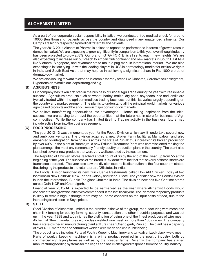As a part of our corporate social responsibility initiative, we conducted free medical check for around 10000 (ten thousand) patients across the country and diagnosed many unattended ailments. Our Camps are highly respected by medical fraternity and patients.

The year 2013-2014 Alchemist Pharma is poised to repeat the performance in terms of growth rates in domestic market. We are expecting to grow significantly in comparison to this year even though industry has been projected to grow at 8%. Our brand IGTG- FORTE is all set to reach new heights. We are also expecting to increase our out-reach to African Sub continent and new markets in South East Asia like Vietnam, Singapore, and Myanmar etc to make a pug mark in International market. We are also expecting to initiate tying up with the leading players in USA in dermatology market for exclusive rights in India and South East Asia that may help us in achieving a significant share in Rs. 1000 crores of dermatology market.

We are also looking forward to expand in chronic therapy areas like Diabetes, Cardiovascular segment, Hypertension to make our leaps strong and big.

#### **(B) AGRI BUSINESS**

Our company has taken first step in the business of Global Agri Trade during the year with reasonable success. Agriculture products such as wheat, barley, maize, dry peas, soybeans, rice and lentils are typically traded within the agri commodities trading business, but this list varies largely depending on the country and market segment. The plan is to understand all the principal world markets for various agro based products and the end-users in major consumption markets.

We believe transforming opportunities into advantages. Hence taking inspiration from the initial success, we are striving to unravel the opportunities that the future has in store for business of Agri commodities. While the company has limited itself to Trading activity in the business, future may include active foray into the business segment.

### **(C) FOOD PROCESSING**

The year 2012-13 was a momentous year for the Foods Division which saw it undertake several new and ambitious ventures. The division acquired a new Broiler Farm facility at Mahipalpur, and also embarked on integration farming units across the state of Punjab thus increasing its broiler production by over 60%. In the plant at Banmajra, a new Effluent Treatment Plant was commissioned making the plant amongst the most environmentally friendly poultry production plant in the country. The plant also launched several new products that were very well accepted by the customers.

The Republic of Chicken stores reached a total count of 68 by the end of the year, up from 55 at the beginning of the year. The success of the brand is evident from the fact that several of these stores are franchisee operated. The year also saw the division expand its distribution to the four southern states, thus bringing the product to the retail stores of 25 states in India.

The Foods Division launched its new Quick Serve Restaurants called How Abt Chicken Today at two locations in New Delhi viz. New Friends Colony and Nehru Place. The year also saw the Foods Division launch the international Bubble Tea giant Chatime in India. The division now has five Chatime stores across Delhi NCR and Chandigarh.

Financial Year 2013-14 is expected to be earmarked as the year where Alchemist Foods would consolidate and grow the initiatives commenced in the last fiscal year. The demand for poultry products is likely to remain high, although there may be some concerns on the input costs of feed, due to the increasing trend seen in Soya prices.

#### **(D) STEEL**

Steel Division of Alchemist Limited is the premier initiative of the group, manufacturing wire mesh and chain link fencing for poultry farming, security, construction and other industrial purposes and was set up in the year 1988 and today it has the distinction of being one of the finest producers of wire mesh. Alchemist Steel manufactures world-class welded wire mesh in more than 100 grades. The company has a state-of-the-art manufacturing plant at Kurali near Chandigarh, Punjab. The plant has a capacity of over 4000 metric tons per annum of welded wire mesh and chain link fencing.

The product range includes Parts of Poultry Keeping Machinery and Un-galvanized (black) weld mesh. Parts of poultry keeping machinery is a prime product required in the poultry industry, both by commercial egg laying farms as well as by the breeder farms. Recently, the company has started manufacturing feeding systems for the cages and has elicited good response from the poultry industry.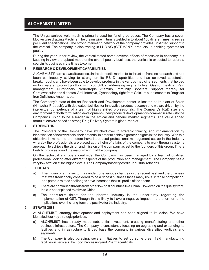The Un-galvanized weld mesh is primarily used for fencing purposes. The Company has a seven blocker wire drawing Machine. The drawn wire in turn is welded in to about 150 different mesh sizes as per client specifications. The strong marketing network of the company provides unstinted support to the vertical. The company is also trading in LUBING (GERMANY) products i.e drinking systems for poultry

During the year under review, the vertical tasted some adverse effects of recession in economy, but keeping in view the upbeat mood of the overall poultry business, the vertical is expected to record a spurt in its business in the times to come.

#### **6. RESEARCH & DEVELOPMENT CAPABILITIES**

ALCHEMISTPharma owes its success in the domestic market to its thrust on frontline research and has been continuously striving to strengthen its R& D capabilities and has achieved substantial breakthroughs and have been able to develop products in the various medicinal segments that helped us to create a product portfolio with 200 SKUs, addressing segments like Gastro Intestinal, Pain management, Nutritionals, Neurotropic Vitamins, Immunity Boosters, support therapy for Cardiovascular and diabetes, Anti-Infective, Gynaecology right from Calcium supplements to Drugs for Iron Deficiency Anaemia etc.

The Company's state-of-the-art Research and Development center is located at its plant at Solan (Himachal Pradesh), with dedicated facilities for innovative product research and we are driven by the intellectual competence of a team of highly skilled professionals. The Company's R&D size and environment for both formulation development & new products development is commensurate with the Company's vision to be a leader in the ethical and generic market segments. The value added formulations are based on strong Drug Delivery System in global market.

#### **7. STRENGTHS**

The Promoters of the Company have switched over to strategic thinking and implementation by identification of new verticals, their potential in order to achieve greater heights in the Industry. With this objective in mind, the promoters have introduced professional management set up in the Industry whereby the professionals are placed at the helm of affairs of the company to work through systems approach to achieve the vision and mission of the company as set by the founders of this group. This is likely to prove as one of the major strength of the company.

On the technical and operational side, the Company has been managed by a team of qualified professional looking after different aspects of the production and management. The Company has a very low attrition at the higher levels. The Company has very cordial industrial relations.

#### **8. THREATS**

- a) The Indian pharma sector has undergone various changes in the recent past and the business that was traditionally considered to be a richest business faces many risks. intense competition, and patents related challenges have increased the risk profile of the sector.
- b) There are continued threats from other low cost countries like China. However, on the quality front, India is better placed relative to China.
- c) The short-term threat for the pharma industry is the uncertainty regarding the implementation of GST. Though this is likely to have a negative impact in the short-term, the implications over the long-term are positive for the industry.

#### **9. STRATEGIES**

At ALCHEMIST, strategy development and deployment has been aligned to its vision. We have identified four key strategic priorities:

- a) ALCHEMIST has already made substantial investment, creating manufacturing and other business infrastructure. The Company is consistently focusing on upgrading and expanding its facilities and infrastructure to Broad base the company in various diversified verticals and segments.
- b) The Company is also pursuing, several initiatives to set up some green field manufacturing facilities in verticals like Food Processing and Pharmaceuticals.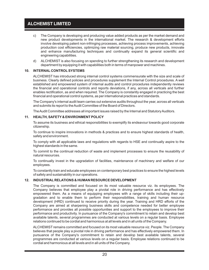- c) The Company is developing and producing value added products as per the market demand and new product developments in the international market. The research & development efforts involve developing patent non-infringing processes, achieving process improvements, achieving production cost efficiencies, optimizing raw material sourcing, produce new products, innovate and enhance manufacturing techniques and continually expand its general scientific and engineering capabilities.
- d) ALCHEMIST is also focusing on spending to further strengthening its research and development department by equipping it with capabilities both in terms of manpower and machines.

### **10. INTERNAL CONTROLSYSTEMS**

ALCHEMIST has introduced strong internal control systems commensurate with the size and scale of business. Clearly defined policies and procedures supplement the Internal Control procedures. A well established and empowered system of internal audits and control procedures independently reviews the financial and operational controls and reports deviations, if any, across all verticals and further enables rectification, as and when required. The Company is constantly engaged in practicing the best financial and operational control systems, as per international practices and standards.

The Company's internal audit team carries out extensive audits throughout the year, across all verticals and submits its report to the Audit Committee of the Board of Directors.

The Audit Committee addresses all important issues raised by the Internal and Statutory Auditors.

#### **11. HEALTH, SAFETY & ENVIRONMENT POLICY**

To assume its business and ethical responsibilities to exemplify its endeavour towards good corporate citizenship.

To continue to inspire innovations in methods & practices and to ensure highest standards of health, safety and environment.

To comply with all applicable laws and regulations with regards to HSE and continually aspire to the highest standards in the same.

To commit to the continual reduction of waste and implement processes to ensure the reusability of natural resources.

To continually invest in the upgradation of facilities, maintenance of machinery and welfare of our employees.

To constantly train and educate employees on contemporary best practices to ensure the highest levels of safety and sustainability in our operations.

### **12. INDUSTRIAL RELATIONS & HUMAN RESOURCE DEVELOPMENT**

The Company is committed and focused on its most valuable resource viz. its employees. The Company believes that employee play a pivotal role in driving performance and has effectively empowered them. As a means of equipping employees with a range of skills including their upgradation and to enable them to perform their responsibilities, training and human resource development (HRD) continued to receive priority during the year. Training and HRD efforts of the Company are aimed at sharpening business skills and competence needed for better employee performance and provides all possible opportunities and support to the employees to improve their performance and productivity. In pursuance of the Company's commitment to retain and develop best available talents, several programmes are conducted at various levels on a regular basis. Employee relations continued to be cordial and harmonious at all levels and in all units of the Company.

ALCHEMIST remains committed and focused on its most valuable resource viz. People. The Company believes that people play a pivotal role in driving performance and has effectively empowered them. In pursuance of the Company's commitment to retain and develop best available talents, several programmes are conducted at various levels on a regular basis. Employee relations continued to be cordial and harmonious at all levels and in all units of the Company.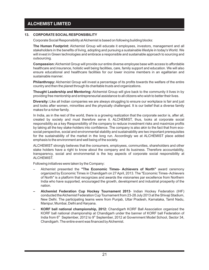### **13. CORPORATE SOCIAL RESPONSIBILITY**

Corporate Social Responsibility at Alchemist is based on following building blocks:

**The Human Footprint:** Alchemist Group will educate it employees, investors, management and all stakeholders in the benefits of living, adopting and pursuing a sustainable lifestyle in today's World. We will invest in Green technologies and embrace a responsible and sustainable approach to sourcing and outsourcing.

**Compassion:**Alchemist Group will provide our entire diverse employee base with access to affordable healthcare and insurance, holistic well being facilities, care, family support and education. We will also ensure educational and healthcare facilities for our lower income members in an egalitarian and sustainable manner.

**Philanthropy:** Alchemist Group will invest a percentage of its profits towards the welfare of the entire country and then the planet through its charitable trusts and organizations.

**Thought Leadership and Mentoring:** Alchemist Group will give back to the community it lives in by providing free mentorship and entrepreneurial assistance to all citizens who wish to better their lives.

**Diversity:** Like all Indian companies we are always struggling to ensure our workplace is fair and just and looks after women, minorities and the physically challenged. It is our belief that a diverse family makes for a richer family.

In India, as in the rest of the world, there is a growing realization that the corporate sector is, after all, created by society and must therefore serve it. ALCHEMIST, thus, looks at corporate social responsibility as a key Responsibility of the company to reduce investment risks and maximize profits by taking all the key stake-holders into confidence. The company is also akin to the fact that from ecosocial perspective, social and environmental stability and sustainability are two important prerequisites for the sustainability of the market in the long run. Accordingly we at ALCHEMIST place added emphasis to the environment and well being of the society.

ALCHEMIST strongly believes that the consumers, employees, communities, shareholders and other stake holders have a right to know about the company and its business. Therefore accountability, transparency, social and environmental is the key aspects of corporate social responsibility at ALCHEMIST.

Following initiatives were taken by the Company:

- Alchemist presented the **"The Economic Times- Achievers of North"** award ceremony organized by Economic Times in Chandigarh on 27 April, 2013. The "Economic Times- Achievers of North" is a platform that recognizes and awards the visionaries par excellence from Northern India who have supported, encouraged the growth, development and industrial prosperity of the nation.
- **– Alchemist Federation Cup Hockey Tournament 2013** Indian Hockey Federation (IHF) conducted the Alchemist Federation Cup Tournament from 23-28 July 2013 at the Shivaji Stadium, New Delhi. The participating teams were from Punjab, Uttar Pradesh, Karnataka, Tamil Nadu, Manipur, Mumbai, Delhi and Haryana.
- **KORF ball national championship, 2012:** Chandigarh KORF Ball Association organized the KORF ball national championship at Chandigarh under the banner of KORF ball Federation of India from  $6<sup>th</sup>$  September, 2012 to  $9<sup>th</sup>$  September, 2012 at Government Model School, Sector 34, Chandigarh. The entire event was financed by Alchemist.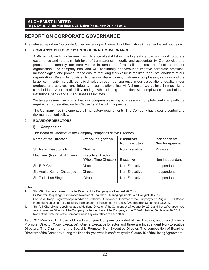# **REPORT ON CORPORATE GOVERNANCE**

The detailed report on Corporate Governance as per Clause 49 of the Listing Agreement is set out below:

### **1. COMPANY'S PHILOSOPHYON CORPORATE GOVERNANCE**

At Alchemist, we firmly believe in significance of establishing the highest standards in good corporate governance and to attain high level of transparency, integrity and accountability. Our policies and procedures exemplify our core values in utmost professionalism across all functions of our organization. The company has, and will, continually endeavour to improve corporate practices, methodologies, and procedures to ensure that long term value is realized for all stakeholders of our organization. We aim to consistently offer our shareholders, customers, employees, vendors and the larger community mutually beneficial value through transparency in our associations, quality in our products and services, and integrity in our relationships. At Alchemist, we believe in maximizing stakeholder's value, profitability and growth including interaction with employees, shareholders, institutions, banks and all its business associates.

We take pleasure in informing that your company's existing policies are in complete conformity with the requirements prescribed under Clause 49 of the listing agreement.

The Company has implemented all mandatory requirements. The Company has a sound control and risk management policy.

#### **2. BOARD OF DIRECTORS**

#### **i) Composition**

The Board of Directors of the Company comprises of five Directors.

| <b>Name of the Director</b>   | <b>Office/Designation</b>                          | Executive/<br><b>Non Executive</b> | Independent/<br>Non Independent |
|-------------------------------|----------------------------------------------------|------------------------------------|---------------------------------|
| Sh. Karan Deep Singh          | Chairman                                           | Non-Executive                      | Promoter                        |
| Maj. Gen. (Retd.) Anil Oberoi | <b>Executive Director</b><br>(Whole Time Director) | Executive                          | Non Independent                 |
| Sh. R.P. Chhabra              | <b>Director</b>                                    | Non-Executive                      | Independent                     |
| Sh. Asoke Kumar Chatterjee    | <b>Director</b>                                    | Non-Executive                      | Independent                     |
| Sh. Tarlochan Singh           | <b>Director</b>                                    | Non-Executive                      | Independent                     |

Notes:

1. Shri V.K. Bhardwaj ceased to be the Director of the Company w.e.f. August 20, 2012

2. Dr. Kanwar Deep Singh relinquished his office of Chairman & Managing Director w.e.f. August 30, 2012

3. Shri Karan Deep Singh was appointed as an Additional Director and Chairman of the Company w.e.f. August 30, 2012 and thereafter regularised as Director by the members of the Company at the 23<sup>rd</sup> AGM held on September 28, 2012

4. Shri Anil Oberoi was appointed as an Additional Director of the Company w.e.f. August 30, 2012 and thereafter appointed as a Whole-time Director of the Company by the members of the Company at the 23<sup>rd</sup> AGM held on September 28, 2012

5. None of the Directors of the Company are in any way related to each other.

As on 31<sup><sup>t</sup></sup> March 2013, Board of Directors of your Company consisted of five directors, out of which one is Promoter Director (Non- Executive), One is Executive Director and three are Independent Non-Executive Directors. The Chairman of the Board is Promoter Non-Executive Director. The composition of Board of Directors of the Company during the financial year was in conformity with Clause 49 of the Listing Agreement.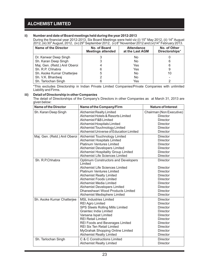#### **ii) Number and date of Board meetings held during the year 2012-2013**

During the financial year 2012-2013, Six Board Meetings were held viz (i) 15<sup>th</sup> May 2012, (ii) 14<sup>th</sup> August 2012, (iii) 30<sup>th</sup> August, 2012, (iv) 29<sup>th</sup> September 2012, (v) 8<sup>th</sup> November 2012 and (vi)14<sup>th</sup> February 2013.

| <b>Name of the Director</b>   | No. of Board<br><b>Meetings attended</b> | <b>Attendance</b><br>at the Last AGM | No. of Other<br>Directorships* |
|-------------------------------|------------------------------------------|--------------------------------------|--------------------------------|
| Dr. Kanwar Deep Singh         |                                          | No                                   |                                |
| Sh. Karan Deep Singh          |                                          | No                                   |                                |
| Maj. Gen. (Retd.) Anil Oberoi |                                          | Yes                                  |                                |
| Sh. R.P. Chhabra              |                                          | Yes                                  |                                |
| Sh. Asoke Kumar Chatterjee    |                                          | <b>No</b>                            | 10                             |
| Sh. V.K. Bhardwaj             |                                          | No                                   |                                |
| Sh. Tarlochan Singh           |                                          | Yes                                  |                                |

\*This excludes Directorship in Indian Private Limited Companies/Private Companies with unlimited Liability and Firms.

#### **iii) Detail of Directorship in other Companies**

The detail of Directorships of the Company's Directors in other Companies as at March 31, 2013 are given below:

| <b>Name of the Director</b>   | Name of the Company/Firm                                                                                | <b>Nature of Interest</b>                                      |  |
|-------------------------------|---------------------------------------------------------------------------------------------------------|----------------------------------------------------------------|--|
| Sh. Karan Deep Singh          | <b>Alchemist Realty Limited</b><br>Alchemist Hotels & Resorts Limited<br>Alchemist F&B Limited          | Chairman (Non Executive)<br><b>Director</b><br><b>Director</b> |  |
|                               | Alchemist Hospitals Limited<br>Alchemist Touchnology Limited                                            | <b>Director</b><br><b>Director</b>                             |  |
|                               | Alchemist Universe of Education Limited                                                                 | <b>Director</b>                                                |  |
| Maj. Gen. (Retd.) Anil Oberoi | Alchemist Touchnology Limited<br><b>Alchemist Hospitals Limited</b><br><b>Platinum Ventures Limited</b> | <b>Director</b><br><b>Director</b><br><b>Director</b>          |  |
|                               | <b>Alchemist Developers Limited</b>                                                                     | Director                                                       |  |
|                               | Alchemist Hospitality Group Limited<br>Alchemist Life Sciences Limited                                  | <b>Director</b><br><b>Director</b>                             |  |
| Sh. R.P.Chhabra               | Optimum Constructors and Developers<br>Limited                                                          | <b>Director</b>                                                |  |
|                               | Alchemist Life Sciences Limited                                                                         | <b>Director</b>                                                |  |
|                               | <b>Platinum Ventures Limited</b>                                                                        | <b>Director</b>                                                |  |
|                               | <b>Alchemist Realty Limited</b>                                                                         | <b>Director</b>                                                |  |
|                               | <b>Alchemist Foods Limited</b>                                                                          | <b>Director</b>                                                |  |
|                               | <b>Alchemist Media Limited</b>                                                                          | <b>Director</b>                                                |  |
|                               | <b>Alchemist Developers Limited</b>                                                                     | <b>Director</b>                                                |  |
|                               | <b>Dhaneshwari Wood Products Limited</b>                                                                | <b>Director</b>                                                |  |
|                               | Alchemist Medisphere Limited                                                                            | <b>Director</b>                                                |  |
| Sh. Asoke Kumar Chatterjee    | <b>MSL Industries Limited</b>                                                                           | <b>Director</b>                                                |  |
|                               | <b>REI Agro Limited</b>                                                                                 | <b>Director</b>                                                |  |
|                               | SPS Steels Rolling Mills Limited                                                                        | <b>Director</b>                                                |  |
|                               | <b>Graintec India Limited</b>                                                                           | <b>Director</b>                                                |  |
|                               | Varsana Ispat Limited                                                                                   | <b>Director</b>                                                |  |
|                               | <b>REI Retail Limited</b>                                                                               | <b>Director</b>                                                |  |
|                               | <b>REI Foods and Beverages Limited</b>                                                                  | <b>Director</b>                                                |  |
|                               | <b>REI Six Ten Retail Limited</b>                                                                       | <b>Director</b>                                                |  |
|                               | MyGrahak Shopping Online Limited                                                                        | <b>Director</b>                                                |  |
|                               | <b>Alchemist Realty Limited</b>                                                                         | <b>Director</b>                                                |  |
| Sh. Tarlochan Singh           | C & C Constructions Limited                                                                             | <b>Director</b>                                                |  |
|                               | <b>Alchemist Realty Limited</b>                                                                         | <b>Director</b>                                                |  |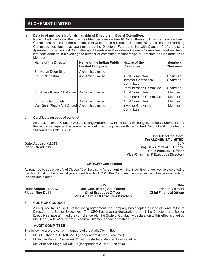#### **iv) Details of membership/chairmanship of Directors in Board Committee:**

None of the Directors on the Board is a Member on more than 10 Committees and Chairman of more than 5 Committees, across all the companies in which he is a Director. The necessary disclosures regarding Committee positions have been made by the Directors. Further, in line with Clause 49 of the Listing Agreement, only the Audit Committee and Shareholders/ Investors Grievance Committee have been taken into consideration in reckoning the number of committee memberships of Directors as Chairman or as Member

| Name of the Director          | Name of the Indian Public<br><b>Limited Company</b> | Nature of the<br><b>Committee</b>                                 | Member/<br>Chairman  |
|-------------------------------|-----------------------------------------------------|-------------------------------------------------------------------|----------------------|
| Sh. Karan Deep Singh          | Alchemist Limited                                   |                                                                   |                      |
| Sh. R.P.Chhabra               | Alchemist Limited                                   | <b>Audit Committee</b><br><b>Investor Grievances</b><br>Committee | Chairman<br>Chairman |
|                               |                                                     | <b>Remuneration Committee</b>                                     | Chairman             |
| Sh. Asoke Kumar Chatterjee    | Alchemist Limited                                   | <b>Audit Committee</b>                                            | Member               |
|                               |                                                     | <b>Remuneration Committee</b>                                     | Member               |
| Sh. Tarlochan Singh           | <b>Alchemist Limited</b>                            | <b>Audit Committee</b>                                            | Member               |
| Maj. Gen. (Retd.) Anil Oberoi | Alchemist Limited                                   | <b>Investor Grievance</b><br>Committee                            | Member               |

#### **v) Certificate on code of conduct**

As provided under Clause 49 of the Listing Agreement with the Stock Exchanges, the Board Members and the senior management personnel have confirmed compliance with the Code of Conduct and Ethics for the year ended March 31, 2013.

By Order of the Board **For ALCHEMIST LIMITED Date: August 14,2013 Sd/- Place: New Delhi Maj. Gen. (Retd.) Anil Oberoi Chief Executive Officer (Vice- Chairman & Executive Director)** 

#### **CEO/CFO Certification**

As required by sub clause V of Clause 49 of the Listing Agreement with the Stock Exchange, we have certified to the Board that for the financial year ended March 31, 2013 the Company has complied with the requirements of the said sub-clause.

|                         | Date: August 14,2013 |
|-------------------------|----------------------|
| <b>Place: New Delhi</b> |                      |

**Maj. Gen. (Retd.) Anil Oberoi Dinesh Vermani Place: Chief Executive Officer <b>Properties Chief Financial Officer (Vice- Chairman & Executive Director)** 

**Sd/- Sd/-**

#### **3. CODE OF CONDUCT**

As required by Clause 49 of the listing agreement, the Company has adopted a Code of Conduct for its Directors and Senior Executives. The CEO has given a declaration that all the Directors and Senior Executives have affirmed the compliance with the Code of Conduct. A declaration to this effect signed by Maj. Gen. (Retd.) Anil Oberoi, Executive Director is attached to this report.

#### **4. AUDIT COMMITTEE**

The following are the current members of the Audit Committee:

- 1. Mr.R.P. Chhabra, CHAIRMAN (Independent & Non-Executive)
- 2. Mr.Asoke Kumar Chatterjee, MEMBER (Independent & Non-Executive)
- 3. Mr.Tarlochan Singh, MEMBER (Independent & Non-Executive)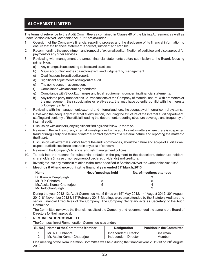The terms of reference to the Audit Committee as contained in Clause 49 of the Listing Agreement as well as under Section 292Aof Companies Act, 1956 are as under:-

- 1. Oversight of the Company's financial reporting process and the disclosure of its financial information to ensure that the financial statement is correct, sufficient and credible.
- 2. Recommending the appointment and removal of external auditor, fixation of audit fee and also approval for payment for any other services.
- 3. Reviewing with management the annual financial statements before submission to the Board, focusing primarily on;
	- a) Any changes in accounting policies and practices.
	- b) Major accounting entries based on exercise of judgment by management.
	- c) Qualifications in draft audit report.
	- d) Significant adjustments arising out of audit.
	- e) The going concern assumption.
	- f) Compliance with accounting standards.
	- g) Compliance with Stock Exchanges and legal requirements concerning financial statements.
	- h) Any related party transactions i.e. transactions of the Company of material nature, with promoters or the management, their subsidiaries or relatives etc. that may have potential conflict with the interests of Company at large.
- 4. Reviewing with the management, external and internal auditors, the adequacy of internal control systems.
- 5. Reviewing the adequacy of internal audit function, including the structure of the internal audit department, staffing and seniority of the official heading the department, reporting structure coverage and frequency of internal audit.
- 6. Discussion with auditors, any significant findings and follow up there on.
- 7. Reviewing the findings of any internal investigations by the auditors into matters where there is suspected fraud or irregularity or a failure of internal control systems of a material nature and reporting the matter to the Board.
- 8. Discussion with external auditors before the audit commences, about the nature and scope of audit as well as post-audit discussion to ascertain any area of concern.
- 9. Reviewing the Company's financial and risk management policies.
- 10. To look into the reasons for substantial defaults in the payment to the depositors, debenture holders, shareholders (in case of non payment of declared dividends) and creditors.
- 11. Investigate into any matter in relation to the items specified in Section 292Aof the Companies Act, 1956.

#### **st i) Meetings & Attendance during the financial year ended 31 March, 2013**

| <b>Name</b>                | No. of meetings held | No. of meetings attended |
|----------------------------|----------------------|--------------------------|
| Dr. Kanwar Deep Singh      |                      |                          |
| Mr. R.P. Chhabra           |                      |                          |
| Mr. Asoke Kumar Chatterjee |                      |                          |
| Mr. Tarlochan Singh        |                      |                          |

During the year 2012-13, Audit Committee met 5 times on 15<sup>th</sup> May 2012, 14<sup>th</sup> August 2012, 30<sup>th</sup> August, 2012, 8<sup>th</sup> November 2012 & 14<sup>th</sup> February 2013. Meetings were also attended by the Statutory Auditors and senior Financial Executives of the Company. The Company Secretary acts as Secretary of the Audit Committee.

The Committee reviewed the financial results of the Company and recommended the same to the Board of Directors for their approval.

#### **5. REMUNERATION COMMITTEE**

The Composition of Remuneration Committee is as under:

| SI.No. | Name of the Committee Member | <b>Designation</b>   | Position in the Committee |
|--------|------------------------------|----------------------|---------------------------|
|        | Mr. R.P. Chhabra             | Independent Director | Chairman                  |
|        | Mr. Asoke Kumar Chatterjee   | Independent Director | Member                    |

One meeting of the Remuneration Committee was held during the financial year 2012-13 on 30<sup>th</sup> August, 2012.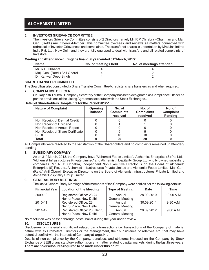#### **6. INVESTORS GRIEVANCE COMMITTEE**

The Investors Grievance Committee consists of 2 Directors namely Mr. R.P Chhabra –Chairman and Maj. Gen. (Retd.) Anil Oberoi -Member. This committee oversees and reviews all matters connected with redressal of Investor Grievances and complaints. The transfer of shares is undertaken by M/s Link Intime India Pvt. Ltd., New Delhi and they are fully equipped to deal with transfers and all related complaints of Investors.

#### **Meeting and Attendance during the financial year ended 31<sup>st</sup> March, 2013:**

| <b>Name</b>                                            | No. of meetings held | No. of meetings attended |
|--------------------------------------------------------|----------------------|--------------------------|
| Mr. R.P. Chhabra                                       |                      |                          |
| Maj. Gen. (Retd.) Anil Oberoi<br>Dr. Kanwar Deep Singh |                      |                          |

#### **SHARE TRANSFER COMMITTEE**

The Board has also constituted a Share Transfer Committee to register share transfers as and when required.

#### **7. COMPLIANCE OFFICER**

Sh. Rajansh Thukral, Company Secretary of the Company has been designated as Compliance Officer as per the provisions of the Listing Agreement executed with the Stock Exchanges..

#### **Detail of Shareholders Complaints for the Period 2012-13**

| <b>Nature of Complaint</b>       | <b>Opening</b><br><b>Balance</b> | No. of<br><b>Complaints</b><br>received | No. of<br><b>Complaints</b><br>resolved | No. of<br><b>Complaint</b><br>Pending |
|----------------------------------|----------------------------------|-----------------------------------------|-----------------------------------------|---------------------------------------|
| Non Receipt of De-mat Credit     |                                  |                                         |                                         |                                       |
| Non Receipt of Dividend          |                                  |                                         |                                         |                                       |
| Non Receipt of Annual Report     |                                  |                                         |                                         |                                       |
| Non Receipt of Share Certificate |                                  |                                         |                                         |                                       |
| <b>SEBI</b>                      |                                  | 10                                      | 10                                      |                                       |
| Total                            |                                  | 20                                      | 20                                      |                                       |

All Complaints were resolved to the satisfaction of the Shareholders and no complaints remained unattended/ pending.

#### **8. SUBSIDIARY COMPANY**

As on 31<sup><sup>st</sup> March, 2013, the Company have 'Alchemist Foods Limited', 'Alchemist Enterprise (S) Pte Ltd.',</sup> 'Alchemist Infrastructures Private Limited' and Alchemist Hospitality Group Ltd wholly owned subsidiary companies. Mr. R. P. Chhabra, Independent Non Executive Director is on the Board of Alchemist Enterprise (S) Pte. Ltd., Alchemist Infrastructures Private Limited and Alchemist Foods Limited. Maj. Gen. (Retd.) Anil Oberoi, Executive Director is on the Board of Alchemist Infrastructures Private Limited and Alchemist Hospitality Group Limited.

#### **9. GENERAL BODY MEETINGS**

The last 3 General Body Meetings of the members of the Company were held as per the following details:-

| <b>Financial Year</b> | <b>Location of the Meeting</b>                         | <b>Type of Meeting</b>           | Date       | Time      |
|-----------------------|--------------------------------------------------------|----------------------------------|------------|-----------|
| 2009-10               | Registered Office: 23-24,<br>Nehru Place, New Delhi    | Annual<br><b>General Meeting</b> | 28.09.2010 | 10.00 A.M |
| 2010-11               | Registered Office: 23,<br>Nehru Place, New Delhi       | Annual<br><b>General Meeting</b> | 30.09.2011 | 9.30 A.M  |
| 2011-12               | Registered Office: 23, Nehru<br>Nehru Place, New Delhi | Annual<br><b>General Meeting</b> | 28.09.2012 | 9.00 A.M  |

No resolution was passed through postal ballot during the year under review.

#### **10. DISCLOSURES**

Disclosures on materially significant related party transactions i.e. transactions of the Company of material nature with its Promoters, Directors or the Management, their subsidiaries or relatives etc. that may have potential conflict with the interests of Company at large. NIL

Details of non-compliance by the Company, penalties, and strictures imposed on the Company by Stock Exchange or SEBI or any statutory authority, on any matter related to capital markets, during the last three years. **There are no disclosures required to be made under this point.**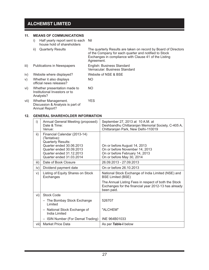### **11. MEANS OF COMMUNICATIONS**

i) Half yearly report sent to each Nil house hold of shareholders

ii) Quarterly Results The quarterly Results are taken on record by Board of Directors of the Company for each quarter and notified to Stock Exchanges in compliance with Clause 41 of the Listing Agreement.

- iii) Publications in Newspapers English: Business Standard Vernacular: Business Standard iv) Website where displayed? Website of NSE & BSE v) Whether it also displays NO official news releases?
- vi) Whether presentation made to NO Institutional Investors or to Analysts?
- vii) Whether Management. YES Discussion & Analysis is part of Annual Report?

### **12. GENERAL SHAREHOLDER INFORMATION**

| i)   | Annual General Meeting (proposed):<br>Date & Time:<br>Venue:                                                                                                  | September 27, 2013 at 10 A.M. at<br>Deshbandhu Chittaranjan Memorial Society, C-405 A,<br>Chittaranjan Park, New Delhi-110019 |
|------|---------------------------------------------------------------------------------------------------------------------------------------------------------------|-------------------------------------------------------------------------------------------------------------------------------|
| ii)  | Financial Calendar (2013-14)<br>(Tentative):<br><b>Quarterly Results:</b><br>Quarter ended 30.06.2013<br>Quarter ended 30.09.2013<br>Quarter ended 31.12.2013 | On or before August 14, 2013<br>On or before November 14, 2013<br>On or before February 14, 2013                              |
|      | Quarter ended 31.03.2014                                                                                                                                      | On or before May 30, 2014                                                                                                     |
| iii) | Date of Book Closure                                                                                                                                          | 26.09.2013 - 27.09.2013                                                                                                       |
| iv)  | Dividend payment date                                                                                                                                         | On or before 26,10,2013                                                                                                       |
| V)   | Listing of Equity Shares on Stock<br>Exchanges                                                                                                                | National Stock Exchange of India Limited (NSE) and<br><b>BSE Limited (BSE)</b>                                                |
|      |                                                                                                                                                               | The Annual Listing Fees in respect of both the Stock<br>Exchanges for the financial year 2012-13 has already<br>been paid.    |
| vi)  | <b>Stock Code</b>                                                                                                                                             |                                                                                                                               |
|      | - The Bombay Stock Exchange<br>Limited                                                                                                                        | 526707                                                                                                                        |
|      | - National Stock Exchange of<br>India Limited                                                                                                                 | "ALCHEM"                                                                                                                      |
|      | - ISIN Number (For Demat Trading)                                                                                                                             | INE 964B01033                                                                                                                 |
| vii) | Market Price Data                                                                                                                                             | As per Table-I below                                                                                                          |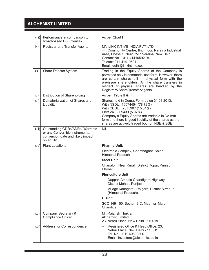| viii) | Performance in comparison to<br>broad-based BSE Sensex                                                                      | As per Chart I                                                                                                                                                                                                                                                                                            |
|-------|-----------------------------------------------------------------------------------------------------------------------------|-----------------------------------------------------------------------------------------------------------------------------------------------------------------------------------------------------------------------------------------------------------------------------------------------------------|
| ix)   | Registrar and Transfer Agents                                                                                               | M/s LINK INTIME INDIA PVT. LTD.<br>44, Community Centre, IInd Floor, Naraina Industrial<br>Area, Phase 1, Near PVR Naraina, New Delhi<br>Contact No. - 011-41410592-94<br>Telefax: 011-41410591<br>Email: delhi@linkintime.co.in                                                                          |
| x)    | Share Transfer System                                                                                                       | Trading in the Equity Shares of the Company is<br>permitted only in dematerialised form. However, there<br>are certain shares still in physical form with the<br>pre-issue shareholders. All the share transfers in<br>respect of physical shares are handled by the<br>Registrar& Share Transfer Agents. |
| xi)   | Distribution of Shareholding                                                                                                | As per Table II & III                                                                                                                                                                                                                                                                                     |
| xii)  | Dematerialization of Shares and<br>Liquidity                                                                                | Shares held in Demat Form as on 31.03.2013:-<br>With NSDL: 10674454 (78.72%)<br>With CDSL: 2075907 (15.31%)<br>Physical: 809439 (5.97%)<br>Company's Equity Shares are tradable in De-mat<br>form and there is good liquidity of the shares as the<br>shares are actively traded both on NSE & BSE.       |
| xiii) | <b>Outstanding GDRs/ADRs/ Warrants</b><br>or any Convertible instruments,<br>conversion date and likely impact<br>on equity | Nil                                                                                                                                                                                                                                                                                                       |
| xiiv) | <b>Plant Locations</b>                                                                                                      | <b>Pharma Unit:</b>                                                                                                                                                                                                                                                                                       |
|       |                                                                                                                             | Electronic Complex, Chambaghat, Solan,<br><b>Himachal Pradesh</b>                                                                                                                                                                                                                                         |
|       |                                                                                                                             | <b>Steel Unit</b>                                                                                                                                                                                                                                                                                         |
|       |                                                                                                                             | Chanalon, Near Kurali, District Ropar, Punjab<br>Phone:                                                                                                                                                                                                                                                   |
|       |                                                                                                                             | <b>Floriculture Unit</b>                                                                                                                                                                                                                                                                                  |
|       |                                                                                                                             | Dappar, Ambala Chandigarh Highway,<br>District Mohali, Punjab                                                                                                                                                                                                                                             |
|       |                                                                                                                             | Village Kanogata, Rajgarh, District Sirmour<br>(Himachal Pradesh)                                                                                                                                                                                                                                         |
|       |                                                                                                                             | <b>IT Unit</b>                                                                                                                                                                                                                                                                                            |
|       |                                                                                                                             | SCO 149-150, Sector 9-C, Madhya Marg,<br>Chandigarh                                                                                                                                                                                                                                                       |
| XV)   | Company Secretary &                                                                                                         | Mr. Rajansh Thukral<br><b>Alchemist Limited</b>                                                                                                                                                                                                                                                           |
|       | <b>Compliance Officer</b>                                                                                                   | 23, Nehru Place, New Delhi - 110019                                                                                                                                                                                                                                                                       |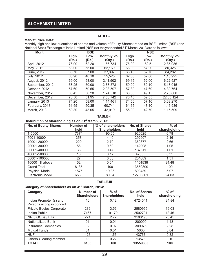#### **TABLE-I**

### **Market Price Data:**

Monthly high and low quotations of shares and volume of Equity Shares traded on BSE Limited (BSE) and strating ingit after the question of strategies and vertice of Equity Strategies and Stock Exchange of India Limited (NSE) for the year ended 31<sup>st</sup> March, 2013 are as follows:-

| <b>Month</b>      | <b>BSE</b> |       | <b>NSE</b>          |             |       |                     |
|-------------------|------------|-------|---------------------|-------------|-------|---------------------|
|                   | High       | Low   | <b>Monthly Vol.</b> | <b>High</b> | Low   | <b>Monthly Vol.</b> |
|                   | (Rs.)      | (Rs.) | (Qty.)              | (Rs.)       | (Rs.) | (Qty.)              |
| April, 2012       | 76.90      | 62.20 | 1,66,734            | 76.90       | 62.5  | 2,85,986            |
| May, 2012         | 68.00      | 55.00 | 62,160              | 68.00       | 57.00 | 80,325              |
| June, 2012        | 68.70      | 57.00 | 37,397              | 63.45       | 57.70 | 84,282              |
| <b>July, 2012</b> | 63.90      | 48.10 | 55,525              | 62.00       | 52.00 | 1,18,925            |
| August, 2012      | 69.00      | 58.00 | 2,11,502            | 69.15       | 52.00 | 6,22,527            |
| September, 2012   | 58.25      | 50.00 | 2,63,578            | 59.00       | 50.10 | 5,13,045            |
| October, 2012     | 57.60      | 50.55 | 2,98,597            | 57.80       | 47.60 | 4,30,764            |
| November, 2012    | 60.45      | 50.20 | 1,24,518            | 60.35       | 49.15 | 2,75,800            |
| December, 2012    | 76.50      | 51.95 | 7,53,742            | 76.45       | 52.55 | 22,65,124           |
| January, 2013     | 74.20      | 58.00 | 1,14,461            | 74.50       | 57.10 | 3,68,270            |
| February, 2013    | 61.55      | 50.35 | 60,741              | 61.65       | 47.10 | 1,46,936            |
| March, 2013       | 59.30      | 43.05 | 42,919              | 55.00       | 42.70 | 1,15,509            |

#### **TABLE-II**

#### **Distribution of Shareholding as on 31<sup>st</sup> March, 2013:**

| <b>No. of Equity Shares</b> | <b>Number of</b><br>held | % of shareholders<br><b>Shareholders</b> | <b>No. of Shares</b><br>held | $%$ of<br>shareholding |
|-----------------------------|--------------------------|------------------------------------------|------------------------------|------------------------|
| 1-5000                      | 7374                     | 90.65                                    | 920025                       | 6.78                   |
| 5001-10000                  | 358                      | 4.40                                     | 292907                       | 2.16                   |
| 10001-20000                 | 220                      | 2.70                                     | 360877                       | 2.66                   |
| 20001-30000                 | 56                       | 0.69                                     | 142098                       | 1.05                   |
| 30001-40000                 | 38                       | 0.47                                     | 137611                       | 1.01                   |
| 40001-50000                 | 10                       | 0.12                                     | 47055                        | 0.35                   |
| 50001-100000                | 27                       | 0.33                                     | 204689                       | 1.51                   |
| 100001 & above              | 52                       | 0.64                                     | 11454538                     | 84.48                  |
| <b>Grand Total</b>          | 8135                     | 100                                      | 13559800                     | 100                    |
| <b>Physical Mode</b>        | 1575                     | 19.36                                    | 809439                       | 5.97                   |
| <b>Electronic Mode</b>      | 6560                     | 80.64                                    | 12750361                     | 94.03                  |

# **TABLE-III**

#### Category of Shareholders as on 31<sup>st</sup> March, 2013:

| Category                                             | Number of<br><b>Shareholders</b> | $%$ of<br><b>Shareholders</b> | No. of Shares<br>held | $%$ of<br>shareholding |
|------------------------------------------------------|----------------------------------|-------------------------------|-----------------------|------------------------|
| Indian Promoter (s) and<br>Persons acting in concert | 10                               | 0.12                          | 4724541               | 34.84                  |
| Private Bodies Corporate                             | 289                              | 3.56                          | 2580955               | 19.03                  |
| <b>Indian Public</b>                                 | 7467                             | 91.79                         | 2502701               | 18.46                  |
| NRI / OCBs / Flls                                    | 221                              | 2.72                          | 3180193               | 23.45                  |
| Nationalized Bank                                    | 01                               | 0.01                          | 200000                | 1.48                   |
| <b>Insurance Companies</b>                           | 02                               | 0.02                          | 309076                | 2.28                   |
| <b>Mutual Funds</b>                                  | 01                               | 0.01                          | 5000                  | 0.04                   |
| <b>HUF</b>                                           | 126                              | 1.55                          | 43756                 | 0.32                   |
| <b>Others-Clearing Member</b>                        | 18                               | 0.22                          | 13578                 | 0.10                   |
| TOTAL                                                | 8135                             | 100                           | 13559800              | 100                    |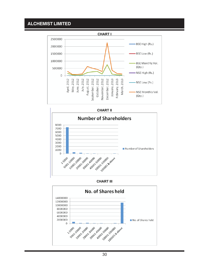



#### **CHART III**

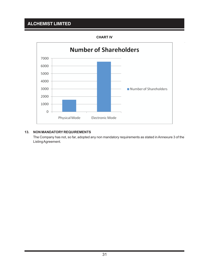# **CHART IV**



### **13. NON MANDATORY REQUIREMENTS**

The Company has not, so far, adopted any non mandatory requirements as stated in Annexure 3 of the Listing Agreement.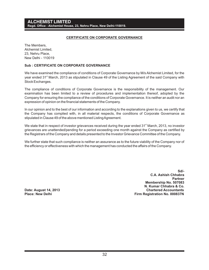#### **CERTIFICATE ON CORPORATE GOVERNANCE**

The Members, Alchemist Limited, 23, Nehru Place, New Delhi - 110019

### **Sub : CERTIFICATE ON CORPORATE GOVERNANCE**

We have examined the compliance of conditions of Corporate Governance by M/s Alchemist Limited, for the year ended 31<sup><sup>st</sup> March, 2013 as stipulated in Clause 49 of the Listing Agreement of the said Company with</sup> Stock Exchanges.

The compliance of conditions of Corporate Governance is the responsibility of the management. Our examination has been limited to a review of procedures and implementation thereof, adopted by the Company for ensuring the compliance of the conditions of Corporate Governance. It is neither an audit nor an expression of opinion on the financial statements of the Company.

In our opinion and to the best of our information and according to the explanations given to us, we certify that the Company has complied with, in all material respects, the conditions of Corporate Governance as stipulated in Clause 49 of the above mentioned Listing Agreement.

We state that in respect of investor grievances received during the year ended  $31<sup>st</sup>$  March, 2013, no investor grievances are unattended/pending for a period exceeding one month against the Company as certified by the Registrars of the Company and details presented to the Investor Grievance Committee of the Company.

We further state that such compliance is neither an assurance as to the future viability of the Company nor of the efficiency or effectiveness with which the management has conducted the affairs of the Company.

**Sd/- C.A. Ashish Chhabra Partner Membership No. 507083 N. Kumar Chhabra & Co. Date: August 14, 2013 Chartered Accountants Firm Registration No. 000837N**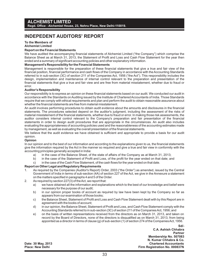# **INDEPEDENT AUDITORS' REPORT**

# **To the Members of**

### **Alchemist Limited**

#### **Report on the Financial Statements**

We have audited the accompanying financial statements of Alchemist Limited ("the Company") which comprise the Balance Sheet as at March 31, 2013, the Statement of Profit and Loss and Cash Flow Statement for the year then ended and a summary of significant accounting policies and other explanatory information.

#### **Management's Responsibility for the Financial Statements**

Management is responsible for the preparation of these financial statements that give a true and fair view of the financial position, financial performance and cash flows of the Company in accordance with the Accounting Standards referred to in sub-section (3C) of section 211 of the Companies Act, 1956 ("the Act"). This responsibility includes the design, implementation and maintenance of internal control relevant to the preparation and presentation of the financial statements that give a true and fair view and are free from material misstatement, whether due to fraud or error.

#### **Auditor's Responsibility**

Our responsibility is to express an opinion on these financial statements based on our audit. We conducted our audit in accordance with the Standards on Auditing issued by the Institute of Chartered Accountants of India. Those Standards require that we comply with ethical requirements and plan and perform the audit to obtain reasonable assurance about whether the financial statements are free from material misstatement.

An audit involves performing procedures to obtain audit evidence about the amounts and disclosures in the financial statements. The procedures selected depend on the auditor's judgment, including the assessment of the risks of material misstatement of the financial statements, whether due to fraud or error. In making those risk assessments, the auditor considers internal control relevant to the Company's preparation and fair presentation of the financial statements in order to design audit procedures that are appropriate in the circumstances. An audit also includes evaluating the appropriateness of accounting policies used and the reasonableness of the accounting estimates made by management, as well as evaluating the overall presentation of the financial statements.

We believe that the audit evidence we have obtained is sufficient and appropriate to provide a basis for our audit opinion.

#### **Opinion**

In our opinion and to the best of our information and according to the explanations given to us, the financial statements give the information required by the Act in the manner so required and give a true and fair view in conformity with the accounting principles generally accepted in India:

- a) in the case of the Balance Sheet, of the state of affairs of the Company as at March 31, 2013;
- b) in the case of the Statement of Profit and Loss, of the profit for the year ended on that date; and
- c) in the case of the Cash Flow Statement, of the cash flows for the year ended on that date.

#### **Report on Other Legal and Regulatory Requirements**

- 1. As required by the Companies (Auditor's Report) Order, 2003 ("the Order") as amended, issued by the Central Government of India in terms of sub-section (4A) of section 227 of the Act, we give in the Annexure a statement on the matters specified in paragraphs 4 and 5 of the Order.
- 2. As required by section 227(3) of the Act, we report that:
	- a) we have obtained all the information and explanations which to the best of our knowledge and belief were necessary for the purpose of our audit;
	- b) in our opinion proper books of account as required by law have been kept by the Company so far as appears from our examination of those books;
	- c) the Balance Sheet, Statement of Profit and Loss and Cash Flow Statement dealt with by this Report are in agreement with the books of account;
	- d) in our opinion, the Balance Sheet, Statement of Profit and Loss, and Cash Flow Statement comply with the Accounting Standards referred to in sub-section (3C) of section 211 of the Companies Act, 1956; and
	- e) on the basis of written representations received from the directors as on March 31, 2013, and taken on record by the Board of Directors, none of the directors is disqualified as on March 31, 2013, from being appointed as a director in terms of clause (g) of sub-section (1) of section 274 of the Companies Act, 1956.

**Sd/- C.A. Ashish Chhabra Partner Membership No. 507083 N. Kumar Chhabra & Co. Date: 30 May, 2013 Chartered Accountants Firm Registration No. 000837N**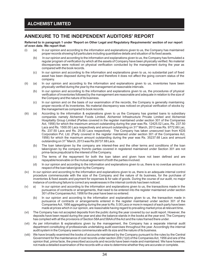# **ANNEXURE TO THE INDEPENDENT AUDITORS' REPORT**

#### **Referred to in paragraph 1 under 'Report on Other Legal and Regulatory Requirements' section of our report of even date. We report that:**

- (i) (a) In our opinion and according to the information and explanations given to us, the Company has maintained proper records showing full particulars including quantitative details and situation of its fixed assets.
	- (b) In our opinion and according to the information and explanations given to us, the Company has formulated a regular program of verification by which all the assets of Company have been physically verified. No material discrepancies were noticed on physical verification conducted by the management during the year as compared with the book records.
	- (c) In our opinion and according to the information and explanations given to us, no substantial part of fixed asset has been disposed during the year and therefore it does not affect the going concern status of the company.
- (ii) (a) In our opinion and according to the information and explanations given to us, inventories have been physically verified during the year by the management at reasonable intervals.
	- (b) In our opinion and according to the information and explanations given to us, the procedures of physical verification of inventories followed by the management are reasonable and adequate in relation to the size of the Company and the nature of its business.
	- (c) In our opinion and on the basis of our examination of the records, the Company is generally maintaining proper records of its inventories. No material discrepancy was noticed on physical verification of stocks by the management as compared to book records.
- (iii) (a) According to the information & explanations given to us the Company has granted loans to subsidiary companies namely Alchemist Foods Limited, Alchemist Infrastructure Private Limited and Alchemist Hospitality Group Limited (Parties covered in the register maintained under section 301 of the Companies Act, 1956) for which the maximum amount outstanding during the year was Rs. 12425.02 Lacs, Rs. 237.50 Lacs and Rs. 1500.00 Lacs respectively and amount outstanding on 31<sup>st</sup> March, 2013 was Rs. 9772.66 Lac, Rs. 237.50 Lacs and Rs. 25.00 Lacs respectively. The Company has taken unsecured loan from KDS Corporation Pvt. Ltd. (Party covered in the register maintained under section 301 of the Companies Act, 1956) for which the maximum amount outstanding during the year was Rs. 35237.68 Lacs and amount outstanding on 31<sup>st</sup> March, 2013 was Rs 26737.68 Lacs.
	- (b) The loan taken/given by the company are interest-free and the other terms and conditions of the loan taken/given by the company from/to parties covered in registered maintained under Section 301 are not prima-facie prejudicial to the interest of the Company.
	- (c) The terms of the repayment for both the loan taken and given have not been defined and are repayable/receivable on the mutual agreement of both the parties involved.
	- (d) In our opinion and according to the information and explanations given to us, there is no overdue amount in respect of the loan taken/given by the Company.
- (iv) In our opinion and according to the information and explanations given to us, there is an adequate internal control procedure commensurate with the size of the Company and the nature of its business, for the purchase of inventories & fixed assets and payment for expenses & for sale of goods. During the course of our audit, no major instance of continuing failure to correct any weaknesses in the internal controls has been noticed.
- (v) a) In our opinion and according to the information and explanations given to us, the transactions made in the pursuance of contracts or arrangements, that need to be entered into the register maintained under section 301 of the Companies Act, 1956 for the year have been so entered.
	- (b) In our opinion and according to the information and explanations given to us, the transaction made in pursuance of contracts or arrangements entered in the register maintained under section 301 of the Companies Act, 1956 aggregating during the year to Rs. 5.00 Lacs or more in respect of each party have been made at prices which in our opinion, are reasonable having regard to prevailing market price at relevant time.
- (vi) The Company has not accepted deposits from the public during the year covered by our audit report. However, the deposits have been repaid during the year and also the balance stands in the books at the year end. The Company has complied with all the provisions of Section 58Aand 58AAof the Act and the rules framed there under.
- (vii) As per information & explanations given by the management, the Company has a separate internal audit department constituting of professionals undertaking audit exercises throughout the year. Accordingly the internal audit system in the Company seems commensurate with its size and the nature of its business.
- (viii) We have broadly examined the books of accounts maintained by the Company pursuant to the rules by the Central Government for the maintenance of cost records under section 209 (1)(d) of the Companies Act, 1956 and are of the opinion that, prima facie, the prescribed accounts and records have been made and maintained. We have however, not made a detailed examination of the records with a view to determine whether they are accurate or complete.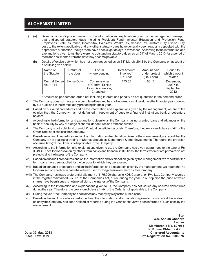- (ix) (a) Based on our audit procedures and on the information and explanations given by the management, we report that undisputed statutory dues including Provident Fund, Investor Education and Protection Fund, Employees' State Insurance, Income-tax, Sales-tax, Wealth Tax, Service Tax, Custom Duty, Excise Duty, cess to the extent applicable and any other statutory dues have generally been regularly deposited with the appropriate authorities, though there have been slight delays in few cases. According to the information and explanations given to us there were no outstanding statutory dues as on 31<sup>st</sup> of March, 2013 for a period of more than six months from the date they became payable.
	- (b) Details of excise duty which has not been deposited as on  $31<sup>st</sup>$  March, 2013 by the Company on account of dispute is given below:

| Name of<br>the Statute      | Nature of<br>the dues | Forum<br>where pending                                              | <b>Total Amount</b><br>involved*<br>(Rs. Lacs) | Amount paid<br>under protest<br>(Rs. Lacs) | Period to<br>which amount<br>relates       |
|-----------------------------|-----------------------|---------------------------------------------------------------------|------------------------------------------------|--------------------------------------------|--------------------------------------------|
| Central Excise<br>Act. 1944 | Excise Duty           | Commissioner<br>of Central Excise<br>Commissionerate,<br>Chandigarh | 173.55                                         | 63.13                                      | December.<br>2007 to<br>September,<br>2012 |

\* Amount as per demand order, not including interest and penalty as not quantified in the demand order.

- (x) The Company does not have any accumulated loss and has not incurred cash loss during the financial year covered by our audit and in the immediately preceding financial year.
- (xi) Based on our audit procedures and on the information and explanations given by the management, we are of the opinion that, the Company has not defaulted in repayment of dues to a financial institution, bank or debenture holders.
- (xii) According to the information and explanations given to us, the Company has not granted loans and advances on the basis of security by way of pledge of shares, debentures and other securities.
- (xii) The Company is not a chit fund or a nidhi/mutual benefit fund/society. Therefore, the provision of clause 4(xiii) of the Order is not applicable to the Company.
- (xiv) Based on our audit procedures and on the information and explanation given by the management, we report that the Company is not dealing or trading in Shares, Securities, Debentures & other Investments. Therefore, the provision of clause 4(xiv) of the Order is not applicable to the Company.
- (xv) According to the information and explanations given to us, the Company has given guarantees to the tune of Rs. 3049.45 Lacs for loans taken by others from banks and financial institutions, the terms whereof are prima-facie not prejudicial to the interest of the Company.
- (xvi) Based on our audit procedures and on the information and explanation given by the management, we report that the term loans have been applied for the purpose for which they were raised.
- (xvii) Based on our audit procedures and on the information and explanation given by the management, we report that no funds raised on short-term basis have been used for long-term investment by the Company.
- (xviii) The Company has made preferential allotment of 6,75,000 shares to KDS Corporation Pvt. Ltd., Company covered in the register maintained u/s 301 of the Companies Act, 1956, during the year. In our opinion the price at which shares have been issued is not prejudicial to the interest of the Company.
- (xix) According to the information and explanations given to us, the Company has not issued any secured debentures during the year. Therefore, the provision of clause 4(xix) of the Order is not applicable to the Company.
- (xx) During the year, the Company has not raised any money by way of the public issue.
- (xxi) Based on the audit procedures performed and the information and explanations given to us, we report that no fraud on or by the Company has been noticed or reported during the year, nor have we been informed of such case by the management.

**Sd/- C.A. Ashish Chhabra Partner Membership No. 507083 N. Kumar Chhabra & Co. Date: 30 May, 2013 Chartered Accountants Firm Registration No. 000837N**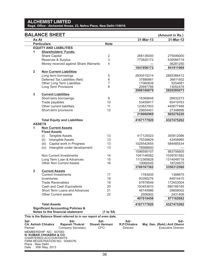**Regd. Office : Alchemist House, 23, Nehru Place, New Delhi-110019.**

|                  | <b>BALANCE SHEET</b>                                   |                                                                   |                              |                         | (Amount in Rs.)                                            |
|------------------|--------------------------------------------------------|-------------------------------------------------------------------|------------------------------|-------------------------|------------------------------------------------------------|
| As At            |                                                        |                                                                   |                              | 31-Mar-13               | 31-Mar-12                                                  |
|                  | <b>Particulars</b>                                     |                                                                   | <b>Note</b>                  |                         |                                                            |
|                  | <b>EQUITY AND LIABILITIES</b>                          |                                                                   |                              |                         |                                                            |
| 1                |                                                        | <b>Shareholders' Funds:</b>                                       |                              |                         |                                                            |
|                  | <b>Share Capital</b>                                   |                                                                   | $\overline{2}$               | 268136000               | 275046000                                                  |
|                  | Reserves & Surplus                                     |                                                                   | 3                            | 773820172               | 530584719                                                  |
|                  |                                                        | Money received against Share Warrants                             | 4                            |                         | 36281250                                                   |
|                  |                                                        |                                                                   |                              | 1041956172              | 841911969                                                  |
| $\overline{2}$   |                                                        | <b>Non Current Liabilities</b>                                    |                              |                         |                                                            |
|                  |                                                        | Long term borrowings                                              | 5                            | 2830515214              | 2865366412                                                 |
|                  |                                                        | Deferred Tax Liabilities (Net)                                    | 6                            | 37886861                | 36611502                                                   |
|                  |                                                        | Other Long Term Liabilities                                       | $\overline{7}$               | 17060838                | 5254681                                                    |
|                  |                                                        | Long Term Provisions                                              | 8                            | 20697766                | 13052478                                                   |
|                  |                                                        |                                                                   |                              | 2906160679              | 2920285073                                                 |
| 3                | <b>Current Liabilities</b>                             |                                                                   |                              |                         |                                                            |
|                  |                                                        | Short-term borrowings                                             | $9\,$                        | 16369648                | 26832273                                                   |
|                  | Trade payables                                         |                                                                   | 10                           | 53459917                | 65419763                                                   |
|                  |                                                        | Other current liabilities                                         | 11                           | 123627003               | 445677488                                                  |
|                  |                                                        | Short-term provisions                                             | 12                           | 25604401                | 27348696                                                   |
|                  |                                                        |                                                                   |                              | 219060969               | 565278220                                                  |
|                  |                                                        |                                                                   |                              |                         |                                                            |
|                  |                                                        | <b>Total Equity and Liabilities</b>                               |                              | 4167177820              | 4327475262                                                 |
|                  | <b>ASSETS</b>                                          |                                                                   |                              |                         |                                                            |
| 1                |                                                        | <b>Non Current Assets</b>                                         |                              |                         |                                                            |
|                  | <b>Fixed Assets</b>                                    |                                                                   |                              |                         |                                                            |
|                  | (i)                                                    | <b>Tangible Assets</b>                                            | 13                           | 417125023               | 355812086                                                  |
|                  | (ii)                                                   | Intangible Assets                                                 | 13                           | 75338829                | 43458985                                                   |
|                  | (iii)                                                  | Capital work in Progress                                          | 13                           | 1025542655              | 584485534                                                  |
|                  | (iv)                                                   | Intangible under development                                      | 13                           | 78588600                |                                                            |
|                  |                                                        |                                                                   |                              | 1596595107              | 983756605                                                  |
|                  |                                                        | Non Current Investments                                           | 14                           | 1041146582              | 1039781582                                                 |
|                  |                                                        | Long Term Loan & Advances                                         | 15                           | 1112365628              | 1314049718                                                 |
|                  |                                                        | <b>Other Non Current Assets</b>                                   | 16                           | 10060045                | 18724675                                                   |
|                  |                                                        |                                                                   |                              | 3760167362              | 3356312580                                                 |
| $\overline{2}$   | <b>Current Assets</b>                                  |                                                                   |                              |                         |                                                            |
|                  |                                                        | <b>Current Investments</b>                                        | 17                           | 1783935                 | 1389675                                                    |
|                  | Inventories                                            |                                                                   | 18                           | 93390276                | 84914410                                                   |
|                  | Trade Receivables                                      |                                                                   | 19                           | 67679549                | 172453004                                                  |
|                  |                                                        | Cash and Cash Equivalents                                         | 20                           | 193453810               | 680166185                                                  |
|                  |                                                        | Short Term Loans and Advances                                     | 21                           | 48145986                | 29808002                                                   |
|                  |                                                        | <b>Other Current assets</b>                                       | 22                           | 2556902                 | 2431406                                                    |
|                  |                                                        |                                                                   |                              | 407010458               | 971162682                                                  |
|                  |                                                        |                                                                   |                              |                         |                                                            |
|                  | <b>Total Assets</b>                                    |                                                                   |                              | 4167177820              | 4327475262                                                 |
|                  |                                                        | <b>Significant Accounting Policies &amp;</b>                      |                              |                         |                                                            |
|                  |                                                        | Notes to the financial statement                                  | (1 to 54)                    |                         |                                                            |
|                  |                                                        | This is the Balance Sheet referred to in our report of even date. |                              |                         |                                                            |
| Sd/-             |                                                        | Sd/-                                                              | Sd/-                         | Sd/-                    | Sd/-                                                       |
| Partner          | <b>CA. Ashish Chhabra</b>                              | <b>Rajansh Thukral</b><br><b>Company Secretary</b>                | Dinesh Vermani<br><b>CFO</b> | R.P.Chhabra<br>Director | Maj. Gen. (Retd.) Anil Oberoi<br><b>Executive Director</b> |
|                  | MEMBERSHIP NO.: 507083                                 |                                                                   |                              |                         |                                                            |
| Place: New Delhi | N. KUMAR CHHABRA & CO.<br><b>CHARTERED ACCOUNTANTS</b> | FIRM REGISTRATION NO.: 000837N                                    |                              |                         |                                                            |

Date : 30th May, 2013

 $\overline{a}$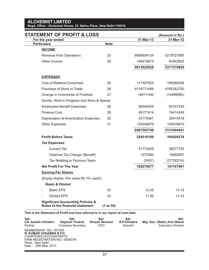| <b>STATEMENT OF PROFIT &amp; LOSS</b>                                            |             |            | (Amount in Rs.) |
|----------------------------------------------------------------------------------|-------------|------------|-----------------|
| For the year ended<br><b>Particulars</b>                                         | <b>Note</b> | 31-Mar-13  | 31-Mar-12       |
| <b>INCOME</b>                                                                    |             |            |                 |
| Revenue from Operations                                                          | 23          | 6665604124 | 5219727895      |
| Other Income                                                                     | 24          | 146418814  | 97642925        |
|                                                                                  |             | 6812022938 | 5317370820      |
| <b>EXPENSES</b>                                                                  |             |            |                 |
| <b>Cost of Material Consumed</b>                                                 | 25          | 171497824  | 166280246       |
| Purchase of Stock in Trade                                                       | 26          | 6118771466 | 4765352750      |
| Change in Inventories of Finished                                                | 27          | (6911149)  | (14499982)      |
| Goods, Work in Progress and Store & Spares                                       |             |            |                 |
| <b>Employees Benefit Expenses</b>                                                | 28          | 86545054   | 63747330        |
| <b>Finance Cost</b>                                                              | 29          | 49177414   | 16414249        |
| Depreciation & Amortization Expenses                                             | 30          | 33175061   | 29410478        |
| <b>Other Expenses</b>                                                            | 31          | 135248079  | 105239470       |
|                                                                                  |             | 6587503749 | 5131944541      |
| <b>Profit Before Taxes</b>                                                       |             | 224519189  | 185426279       |
| <b>Tax Expenses:</b>                                                             |             |            |                 |
| <b>Current Tax</b>                                                               |             | 61175409   | 36277735        |
| Deferred Tax Charge/ (Benefit)                                                   |             | 1275360    | 15680867        |
| Tax Relating to Previous Years                                                   |             | (2457)     | (27700214)      |
| <b>Net Profit For The Year</b>                                                   |             | 162070877  | 161167891       |
| <b>Earning Per Shares</b>                                                        |             |            |                 |
| (Equity shares, Per value Rs 10/- each)                                          |             |            |                 |
| <b>Basic &amp; Diluted</b>                                                       |             |            |                 |
| <b>Basic EPS</b>                                                                 | 32          | 12.25      | 13.15           |
| <b>Diluted EPS</b>                                                               | 32          | 11.95      | 13.15           |
| <b>Significant Accounting Policies &amp;</b><br>Notes to the financial statement | (1 to 54)   |            |                 |

**This is the Statement of Profit and loss referred to in our report of even date.**

**ALCHEMIST LIMITED**

| $Sd$ -                                                                                                                                                  | $Sd$ -                 | $Sd$ -         | $Sd$ -          | Sd/-                          |
|---------------------------------------------------------------------------------------------------------------------------------------------------------|------------------------|----------------|-----------------|-------------------------------|
| <b>CA. Ashish Chhabra</b>                                                                                                                               | <b>Rajansh Thukral</b> | Dinesh Vermani | R.P.Chhabra     | Maj. Gen. (Retd.) Anil Oberoi |
| Partner                                                                                                                                                 | Company Secretary      | CFO            | <b>Director</b> | Executive Director            |
| MEMBERSHIP NO.: 507083<br>N. KUMAR CHHABRA & CO.<br>CHARTERED ACCOUNTANTS<br>FIRM REGISTRATION NO.: 000837N<br>Place: New Delhi<br>Date: 30th May, 2013 |                        |                |                 |                               |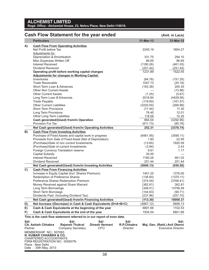**Regd. Office : Alchemist House, 23, Nehru Place, New Delhi-110019.**

|         | <b>Cash Flow Statement for the year ended</b>                                                                                                           |           | (Amt. in Lacs)                |
|---------|---------------------------------------------------------------------------------------------------------------------------------------------------------|-----------|-------------------------------|
|         | <b>Particulars</b>                                                                                                                                      | 31-Mar-13 | 31-Mar-12                     |
| A)      | <b>Cash Flow From Operating Activities</b>                                                                                                              |           |                               |
|         | Net Profit before Tax                                                                                                                                   | 2245.19   | 1854.27                       |
|         | Adjustments for:                                                                                                                                        |           |                               |
|         | Depreciation & Amortisation                                                                                                                             | 331.75    | 294.10                        |
|         | Misc Expenses Written Off                                                                                                                               | 86.65     | 86.65                         |
|         | <b>Interest Received</b>                                                                                                                                | (1180.26) | (461.03)                      |
|         | <b>Dividend Received</b>                                                                                                                                | (251.44)  | (251.44)                      |
|         | Operating profit before working capital changes                                                                                                         | 1231.89   | 1522.55                       |
|         | <b>Adjustments for changes in Working Capital:</b>                                                                                                      |           |                               |
|         | Inventories                                                                                                                                             | (84.76)   | (151.25)                      |
|         | <b>Trade Receivable</b>                                                                                                                                 | 1047.73   | (20.18)                       |
|         | Short Term Loan & Advances                                                                                                                              | (183.38)  | 200.30                        |
|         | <b>Other Non Current Assets</b>                                                                                                                         |           | (13.96)                       |
|         | <b>Other Current Assets</b>                                                                                                                             | (1.25)    | (5.67)                        |
|         | Long Term Loan & Advances                                                                                                                               | 2016.84   | (4429.95)                     |
|         | <b>Trade Payable</b>                                                                                                                                    | (119.60)  | (161.57)                      |
|         | <b>Other Current Liabilities</b>                                                                                                                        | (3220.50) | (266.89)                      |
|         | <b>Short Term Provisions</b>                                                                                                                            | (17.44)   | 11.30                         |
|         | Long Term Provisions                                                                                                                                    | 76.45     | 12.01                         |
|         | Other Long Term Liabilities                                                                                                                             | 118.06    | 10.35                         |
|         | Cash generated/(Used) from/in Operation                                                                                                                 | 864.04    | (3292.96)                     |
|         | <b>Provision For Tax</b>                                                                                                                                | (611.73)  | (85.78)                       |
|         | Net Cash generated/(Used) from/in Operating Activities                                                                                                  | 252.31    | (3378.74)                     |
| B)      | <b>Cash Flow From Investing Activities</b>                                                                                                              |           |                               |
|         | Purchase of Fixed Assets and capital work in progress                                                                                                   | (6461.95) | (3590.11)                     |
|         | Proceeds from Sale of Fixed Asset (Net of Depriciation)                                                                                                 | 1.80      | 22.95                         |
|         | (Purchase)/Sale of non current Investments                                                                                                              | (13.65)   | 1920.59                       |
|         | (Purchase)/Sale of current Investments                                                                                                                  | (3.94)    | 2.43                          |
|         | Foreign Currency Translation reserve                                                                                                                    | 9.91      | 1.17                          |
|         | Capital Subsidy                                                                                                                                         | 30.00     |                               |
|         | <b>Interest Received</b>                                                                                                                                | 1180.26   | 461.03                        |
|         | Dividend Received                                                                                                                                       | 251.44    | 251.44                        |
|         |                                                                                                                                                         |           |                               |
|         | Net Cash generated/(Used) from/in Investing Activities                                                                                                  | (5006.13) | (930.50)                      |
| C)      | <b>Cash Flow From Financing Activities</b>                                                                                                              |           |                               |
|         | Increase in Equity Capital (Incl Shares Premium)                                                                                                        | 1451.25   | 1376.00                       |
|         | Redemption of Preference Shares                                                                                                                         | (136.60)  | (1370.11)                     |
|         | Preferance Shares Redemption Premium                                                                                                                    | (374.04)  | (3768.41)                     |
|         | Money Received against Share Warrant                                                                                                                    | (362.81)  | 362.81                        |
|         | Long Term Borrowings                                                                                                                                    | (348.51)  | 13756.49                      |
|         | Short Term Borroiwgs                                                                                                                                    | (104.63)  | (90.71)                       |
|         | Dividends Paid (Including Dividend Tax)                                                                                                                 | (237.96)  | (257.70)                      |
|         | Net Cash generated/(Used) from/in Financing Activities                                                                                                  | (113.30)  | 10008.37                      |
| D)      | Net Increase /(Decrease) in Cash & Cash Equivalents (D=A+B+C)                                                                                           | (4867.12) | 5699.13                       |
| E)      | Cash & Cash Equivalents at the beginning of the year                                                                                                    | 6801.66   | 1102.53                       |
| F)      | Cash & Cash Equivalents at the end of the year                                                                                                          | 1934.54   | 6801.66                       |
|         | This is the cash flow statement referred to in our report of even date.                                                                                 |           |                               |
| $Sd$ -  | $Sd$ -<br>$Sd$ -<br>$Sd$ -                                                                                                                              |           | Sd/-                          |
|         | <b>CA. Ashish Chhabra</b><br>Dinesh Vermani<br>R.P.Chhabra<br><b>Rajansh Thukral</b>                                                                    |           | Maj. Gen. (Retd.) Anil Oberoi |
| Partner | <b>Company Secretary</b><br><b>CFO</b><br>Director                                                                                                      |           | Executive Director            |
|         | MEMBERSHIP NO.: 507083<br>N. KUMAR CHHABRA & CO.<br>CHARTERED ACCOUNTANTS<br>FIRM REGISTRATION NO.: 000837N<br>Place: New Delhi<br>Date: 30th May, 2013 |           |                               |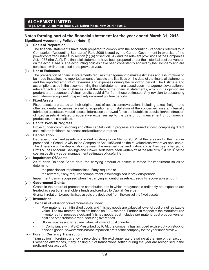**Regd. Office : Alchemist House, 23, Nehru Place, New Delhi-110019.**

### **Notes forming part of the financial statement for the year ended March 31, 2013**

**Significant Accounting Policies (Note- 1)**

#### **(i) Basis of Preparation**

The financial statements have been prepared to comply with the Accounting Standards referred to in Companies (Accounting Standards) Rule 2006 issued by the Central Government in exercise of the power conferred under sub-section (1) (a) of section 642 and the relevant provisions of the Companies Act, 1956 (the 'Act'). The financial statements have been prepared under the historical cost convention on the accrual basis. The accounting policies have been consistently applied by the Company and are consistent with those used in the previous year.

#### **(ii) Use of Estimates**

The preparation of financial statements requires management to make estimates and assumptions to be made that affect the reported amount of assets and liabilities on the date of the financial statements and the reported amount of revenues and expenses during the reporting period. The Estimate and assumptions used in the accompanying financial statement are based upon management evaluation of relevant facts and circumstances as at the date of the financial statements, which in its opinion are prudent and reasonable. Actual results could differ from those estimates. Any revision to accounting estimates is recognised prospectively in current & future periods.

#### **(iii) Fixed Assets**

Fixed assets are stated at their original cost of acquisition/revaluation, including taxes, freight, and other incidental expenses related to acquisition and installation of the concerned assets. Internally fabricated assets are valued at cost. Interest on borrowed funds attributable to acquisition/construction of fixed assets & related preoperative expenses up to the date of commencement of commercial production, are capitalized.

#### **(iv) Capital Work In Progress**

Project under commissioning and other capital work in progress are carried at cost, comprising direct cost, related incidental expenses and attributable interest.

#### **(v) Depreciation**

Depreciation on fixed assets is provided on straight-line Method (SLM) at the rates and in the manner prescribed in Schedule XIV to the Companies Act, 1956 and on the re-valued cost wherever applicable. The difference of the depreciation between the revalued cost and historical cost has been charged to Profit & Loss Account. Saplings and Flower Beds have been written off at the rate of  $1/7$ <sup>th</sup> &  $1/10$ <sup>th</sup> of the cost respectively as per management estimates of useful life.

#### **(vi) Impairment Of Assets**

As at each Balance Sheet date, the carrying amount of assets is tested for impairment so as to determine

the provision for impairment loss, if any, required or

the reversal, if any, required of impairment loss recognised in previous periods.

Impairment loss is recognised when the carrying amount of assets exceeds its recoverable amount.

#### **(vii) Government Grants**

Grants in the nature of promoter's contribution and in which repayment is ordinarily not expected are treated as a part of shareholders funds and credited to Capital Reserve.

Grants in relation to specific fixed assets are deducted from the cost of the fixed assets.

#### **(viii) Inventories**

The basis of valuation of inventories is as under:

- Raw material, semi-finished goods and finished goods are valued at lower of cost or net realizable value. The raw material costs are based on FIFO method. Further, in respect of the manufactured inventories i.e. process stock and finished goods; cost includes raw material cost plus conversion cost and other relatable manufacturing overheads.
- Stores, spares and scrap are valued at lower of cost or under.
- In Compliance with AS-2 Prescribed by ICAI, the company has included excise duty on stock of finished goods; however this has no impact on profit of the company for the year under review

#### **(ix) Foreign Currency Transaction**

Transaction in foreign currency is recorded at the exchange rate prevailing at the time of transaction. Exchange differences, if any, arising out of transactions settled during the year are recognised in the profit and loss account.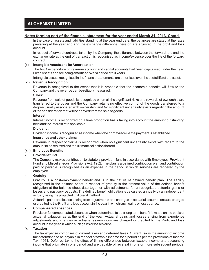### **Notes forming part of the financial statement for the year ended March 31, 2013, Contd.**

In the case of assets and liabilities standing at the year end date, the balances are stated at the rates prevailing at the year end and the exchange difference there on are adjusted in the profit and loss account.

In respect of forward contracts taken by the Company, the difference between the forward rate and the exchange rate at the end of transaction is recognised as income/expense over the life of the forward contract.

#### **(x) Intangible Assets and its Amortisation**

The R&D expenditure on revenue account and capital accounts had been capitalised under the head Fixed Assets and are being amortised over a period of 10 Years

Intangible assets recognised in the financial statements are amortised over the useful life of the asset.

#### **(xi) Revenue Recognition**

Revenue is recognized to the extent that it is probable that the economic benefits will flow to the Company and the revenue can be reliably measured.

#### **Sales:**

Revenue from sale of goods is recognized when all the significant risks and rewards of ownership are transferred to the buyer and the Company retains no effective control of the goods transferred to a degree usually associated with ownership; and No significant uncertainty exists regarding the amount of the consideration that will be derived from the sale of goods.

#### **Interest:**

Interest income is recognized on a time proportion basis taking into account the amount outstanding held and the interest rate applicable.

#### **Dividend:**

Dividend income is recognized as income when the right to receive the payment is established.

#### **Insurance and other claims:**

Revenue in respect of claims is recognized when no significant uncertainty exists with regard to the amount to be realized and the ultimate collection thereof.

### **(xii) Employee Benefits**

#### **- Provident fund**

The Company makes contribution to statutory provident fund in accordance with Employees' Provident Fund and Miscellaneous Provisions Act, 1952. The plan is a defined contribution plan and contribution paid or payable is recognized as an expense in the period in which services are rendered by the employee.

#### **- Gratuity**

Gratuity is a post-employment benefit and is in the nature of defined benefit plan. The liability recognized in the balance sheet in respect of gratuity is the present value of the defined benefit obligation at the balance sheet date together with adjustments for unrecognized actuarial gains or losses and past service costs. The defined benefit obligation is calculated annually by an independent actuary using the projected unit credit method.

Actuarial gains and losses arising from adjustments and changes in actuarial assumptions are charged or credited to the Profit and loss account in the year in which such gains or losses arise.

#### **- Compensated absences**

Provision for compensated absences when determined to be a long term benefit is made on the basis of actuarial valuation as at the end of the year. Actuarial gains and losses arising from experience adjustments and changes in actuarial assumptions are charged or credited to the Profit and loss account in the year in which such gains or losses arise.

#### **(xiii) Taxation**

The tax expense comprises of current taxes and deferred taxes. Current Tax is the amount of income tax determined to be payable in respect of taxable income for a period as per the provisions of Income Tax, 1961. Deferred tax is the effect of timing differences between taxable income and accounting income that originate in one period and are capable of reversal in one or more subsequent periods.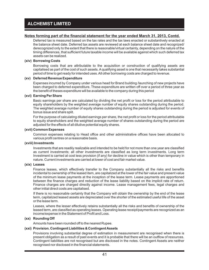### **Notes forming part of the financial statement for the year ended March 31, 2013, Contd.**

Deferred tax is measured based on the tax rates and the tax laws enacted or substantively enacted at the balance sheet date. Deferred tax assets are reviewed at each balance sheet date and recognized/ derecognized only to the extent that there is reasonable/virtual certainty, depending on the nature of the timing differences, that sufficient future taxable income will be available against which such deferred tax assets can be realized.

#### **(xiv) Borrowing Costs**

Borrowing costs that are attributable to the acquisition or construction of qualifying assets are capitalised as part of the cost of such assets. Aqualifying asset is one that necessarily takes substantial period of time to get ready for intended uses. All other borrowing costs are charged to revenue.

### **(xv) Deferred Revenue Expenditure**

Expenses incurred by Company under various head for Brand building /launching of new projects have been charged to deferred expenditure. These expenditure are written off over a period of three year as the benefit of theses expenditure will be available to the company during this period

#### **(xvi) Earning Per Share**

Basic earnings per share are calculated by dividing the net profit or loss for the period attributable to equity shareholders by the weighted average number of equity shares outstanding during the period. The weighted average number of equity shares outstanding during the period is adjusted for events of bonus issue and share split.

For the purpose of calculating diluted earnings per share, the net profit or loss for the period attributable to equity shareholders and the weighted average number of shares outstanding during the period are adjusted for the effects of all dilutive potential equity shares.

#### **(xvii) Common Expenses**

Common expenses relating to Head office and other administrative offices have been allocated to various profit centres on a reasonable basis.

#### **(xviii) Investments**

Investments that are readily realizable and intended to be held for not more than one year are classified as current investments; all other investments are classified as long term investments. Long term Investment is carried at cost less provision (if any) for decline in value which is other than temporary in nature. Current investments are carried at lower of cost and fair market value.

#### **(xix) Leases**

Finance leases, which effectively transfer to the Company substantially all the risks and benefits incidental to ownership of the leased item, are capitalized at the lower of the fair value and present value of the minimum lease payments at the inception of the lease term. Lease payments are apportioned between the finance charges and reduction of the lease liability based on the implicit rate of return. Finance charges are charged directly against income. Lease management fees, legal charges and other initial direct costs are capitalised.

If there is no reasonable certainty that the Company will obtain the ownership by the end of the lease term, capitalized leased assets are depreciated over the shorter of the estimated useful life of the asset or the lease term.

Leases, where the lesser effectively retains substantially all the risks and benefits of ownership of the leased term, are classified as operating leases. Operating lease receipt/payments are recognized as an income/expense in the Statement of Profit and Loss.

### **(xx) Rounding Off**

Amounts have been rounded off to the nearest Rupee.

### **(xxi) Provision**, **Contingent Liabilities & Contingent Assets**

Provisions involving substantial degree of estimation in measurement are recognised when there is present obligation as a result of past events and it is probable that there will be an outflow of resources. Contingent liabilities are not recognised but are disclosed in the notes. Contingent Assets are neither recognised nor disclosed in the financial statements.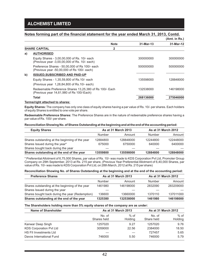### **Notes forming part of the financial statement for the year ended March 31, 2013, Contd.**

|    |                                                                                                      |             |           | (Amt. in Rs.) |
|----|------------------------------------------------------------------------------------------------------|-------------|-----------|---------------|
|    |                                                                                                      | <b>Note</b> | 31-Mar-13 | 31-Mar-12     |
|    | <b>SHARE CAPITAL</b>                                                                                 | 2           |           |               |
| a) | <b>AUTHORISED</b>                                                                                    |             |           |               |
|    | Equity Shares - 3,00,00,000 of Rs. 10/- each<br>(Previous year -3,00,00,000 of Rs. 10/- each)        |             | 300000000 | 300000000     |
|    | Preference Shares - 50,00,000 of Rs 100/- each<br>(Previous year -50,00,000 of Rs 100/- each)        |             | 500000000 | 500000000     |
| b) | <b>ISSUED.SUBSCRIBED AND PAID-UP</b>                                                                 |             |           |               |
|    | Equity Shares - 1,35,59,800 of Rs.10/- each                                                          |             | 135598000 | 128848000     |
|    | (Previous year 1,28,84,800 of Rs.10/- each)                                                          |             |           |               |
|    | Redeemable Preference Shares 13,25,380 of Rs 100/- Each<br>(Previous year 14,61,980 of Rs 100/-Each) |             | 132538000 | 146198000     |
|    | Total                                                                                                |             | 268136000 | 275046000     |

#### **Terms/right attached to shares:**

**Equity Shares:** The company has only one class of equity shares having a par value of Rs. 10/- per shares. Each holders of equity Shares is entitled to one vote per share.

**Redeemable Preference Shares:** The Preference Shares are in the nature of redeemable preference shares having a par value of Rs. 100/- per share.

#### **Reconciliation Showing No. of Shares Outstanding at the beginning and at the end of the accounting period:**

| <b>Equity Shares</b>                            |          | As at 31 March 2013 | <b>As at 31 March 2012</b> |           |
|-------------------------------------------------|----------|---------------------|----------------------------|-----------|
|                                                 | Number   | Amount              | Number                     | Amount    |
| Shares outstanding at the beginning of the year | 12884800 | 128848000           | 12244800                   | 122448000 |
| Shares Issued during the year*                  | 675000   | 6750000             | 640000                     | 6400000   |
| Shares bought back during the year              |          |                     |                            |           |
| Shares outstanding at the end of the year       | 13559800 | 135598000           | 12884800                   | 128848000 |

\* Preferential Allotment of 6,75,000 Shares, par value of Rs. 10/- was made to KDS Corporation Pvt Ltd, Promoter Group Company on 29th September, 2013 at Rs. 215 per share, (Previous Year Preferential Allotment of 6,40,000 Shares, par value of Rs. 10/- was made to KDS Corporation Pvt Ltd, on 28th March, 2012 at Rs. 215 per share)

#### **Reconciliation Showing No. of Shares Outstanding at the beginning and at the end of the accounting period:**

| <b>Preference Shares</b>                        | As at 31 March 2013 |           |         | As at 31 March 2012 |  |
|-------------------------------------------------|---------------------|-----------|---------|---------------------|--|
|                                                 | Number              | Amount    | Number  | Amount              |  |
| Shares outstanding at the beginning of the year | 1461980             | 146198000 | 2832090 | 283209000           |  |
| Shares Issued during the year                   |                     |           |         |                     |  |
| Shares bought back during the year (Redemption) | 136600              | 13660000  | 1370110 | 137011000           |  |
| Shares outstanding at the end of the year       | 1325380             | 132538000 | 1461980 | 146198000           |  |

#### **The Shareholders holding more than 5% equity shares of the company are as under:**

| Name of Shareholder            | As at 31 March 2013   |                   | As at 31 March 2012  |                   |
|--------------------------------|-----------------------|-------------------|----------------------|-------------------|
|                                | No. of<br>Shares held | $%$ of<br>Holding | No. of<br>Share held | $%$ of<br>Holding |
| Kanwar Deep Singh              | 1257020               | 9.27              | 1257020              | 9.76              |
| <b>KDS Corporation Pvt Ltd</b> | 3059000               | 22.56             | 2384000              | 18.50             |
| <b>HS FII Investments Ltd</b>  |                       |                   | 727457               | 5.65              |
| Davos International Fund       | 746000                | 5.50              | 746000               | 5.79              |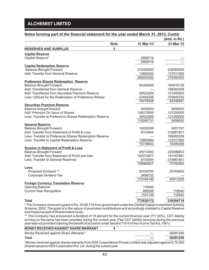### **Notes forming part of the financial statement for the year ended March 31, 2013, Contd.**

|                                                        |             |           | (Amt. in Rs.) |
|--------------------------------------------------------|-------------|-----------|---------------|
|                                                        | <b>Note</b> | 31-Mar-13 | 31-Mar-12     |
| <b>RESERVES AND SURPLUS</b>                            | 3           |           |               |
| <b>Capital Reserve</b>                                 |             |           |               |
| Capital Reserve*                                       |             | 2999716   |               |
|                                                        |             | 2999716   |               |
| <b>Capital Redemption Reserve</b>                      |             |           |               |
| <b>Balance Brought Forward</b>                         |             | 375393000 | 238382000     |
| Add: Transfer from General Reserve                     |             | 13660000  | 137011000     |
|                                                        |             | 389053000 | 375393000     |
| <b>Preference Shares Redemption Reserve</b>            |             |           |               |
| <b>Balance Brought Forward</b>                         |             | 84358588  | 163416129     |
| Add: Transferred from General Reserve                  |             |           | 166583209     |
| Add: Transferred from Securities Premium Reserve       |             | 29522269  | 131200000     |
| Less: Utilized for the Redemption of Preference Shares |             | 37404308  | 376840750     |
|                                                        |             | 76476548  | 84358587      |
| <b>Securities Premium Reserve</b>                      |             |           |               |
| Balance brought forward                                |             | 9408000   | 9408000       |
| Add: Premium On Issue of Shares                        |             | 138375000 | 131200000     |
| Less: Transfer to Preference Shares Redemption Reserve |             | 29522269  | 131200000     |
|                                                        |             | 118260731 | 9408000       |
| <b>General Reserve</b>                                 |             |           |               |
| <b>Balance Brought Forward</b>                         |             | 16295299  | 4207707       |
| Add: Transfer from Statement of Profit & Loss          |             | 8103544   | 315681801     |
| Less: Transfer to Preference Shares Redemption Reserve |             |           | 166583209     |
| Less: Transfer to Capital Redemption Reserve           |             | 13660000  | 137011000     |
|                                                        |             | 10738843  | 16295299      |
| <b>Surplus in Statement of Profit &amp; Loss</b>       |             |           |               |
| <b>Balance Brought Forward</b>                         |             | 45013293  | 225296803     |
| Add: Transfer from Statement of Profit and loss        |             | 162070877 | 161167891     |
| Less: Transfer to General Reserves                     |             | 8103544   | 315681801     |
|                                                        |             | 198980627 | 70782893      |
| Less:                                                  |             |           |               |
| Proposed Dividend **                                   |             | 20339700  | 25769600      |
| Corporate Dividend Tax                                 |             | 3456732   |               |
|                                                        |             | 175184195 | 45013293      |
| <b>Foreign Currency Translation Reserve</b>            |             |           |               |
| <b>Opening Balance</b>                                 |             | 116540    |               |
| <b>Current Year Recognition</b>                        |             | 990599    | 116540        |
|                                                        |             | 1107139   | 116540        |
| <b>Total</b>                                           |             | 773820172 | 530584719     |

\* The Company received a grant of Rs. 29,99,716 from government under the Central Capital Investment Subsidy Scheme, 2003. The grant is in the nature of promoters contributions and accordingly credited to Capital Reserve and treated as part of Shareholders funds.

\*\* The Company has announced a dividend of 15 percent for the current financial year (P.Y 20%), CDT liability arriving on the same has been provided during the current year (The CDT liability accruing during the previous year was not provided claiming the benefit of provision under Section 115-0 of the Income Tax Act, 1961).

| <b>MONEY RECEIVED AGAINST SHARE WARRANT</b>                                                                    |          |
|----------------------------------------------------------------------------------------------------------------|----------|
| Money Received against Share Warrants *                                                                        | 36281250 |
| <b>Total</b>                                                                                                   | 36281250 |
| t Money received against shares warrants from KDS Corporations Private Limited was adjusted against 6.75,000"* |          |

\*Money received against shares warrants from KDS Corporations Private Limited was adjusted against 6,75,000 Shares issued to KDS Corporation Pvt. Ltd. during the current year.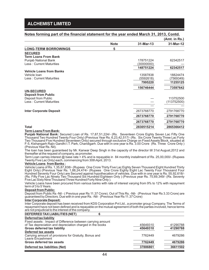### **Notes forming part of the financial statement for the year ended March 31, 2013, Contd.**

|                                 |             |            | (Amt. in Rs.) |
|---------------------------------|-------------|------------|---------------|
|                                 | <b>Note</b> | 31-Mar-13  | 31-Mar-12     |
| <b>LONG-TERM BORROWINGS</b>     | 5           |            |               |
| <b>SECURED</b>                  |             |            |               |
| <b>Term Loans From Bank</b>     |             |            |               |
| Punjab National Bank            |             | 178751224  | 62342517      |
| <b>Less: Current Maturities</b> |             | (30000000) |               |
|                                 |             | 148751224  | 62342517      |
| <b>Vehicle Loans from Banks</b> |             |            |               |
| Vehicle Ioan                    |             | 13587838   | 18824474      |
| Less: Current Maturities        |             | (5592618)  | (7569349)     |
|                                 |             | 7995220    | 11255125      |
|                                 |             | 156746444  | 73597642      |
| <b>UN-SECURED</b>               |             |            |               |
| <b>Deposit from Public</b>      |             |            |               |
| Deposit from Public             |             |            | 113752500     |
| <b>Less: Current Maturities</b> |             |            | (113752500)   |
|                                 |             |            |               |
| <b>Inter Corporate Deposit</b>  |             | 2673768770 | 2791768770    |
|                                 |             | 2673768770 | 2791768770    |
|                                 |             | 2673768770 | 2791768770    |
| <b>Total</b>                    |             | 2830515214 | 2865366412    |

#### **Term Loans From Bank:**

**Punjab National Bank:** Secured Loan of Rs. 17,87,51,224/- (Rs. Seventeen Crore Eighty Seven Lac Fifty One Thousand Two Hundred Twenty Four Only) (Previous Year Rs. 6,23,42,517/- (Rs. Six Crore Twenty Three Lac Forty Two Thousand Five Hundred Seventeen Only) secured through exclusive Charge on Fixed Assets Block, situated at F-5, Kishangarh Rajiv Gandhi I.T. Park, Chandigarh. Due with in one year is Rs. 3.00 Crore (Rs. Three Crore Only ) (Previous Year Rs. Nil).

The loan has been guaranteed by Mr. Kanwar Deep Singh in the capacity of the director till 31st August,2012 and thereafter at the request of company, as promoter.

Term Loan carries interest @ base rate + 4% and is repayable in 84 monthly installment of Rs. 25,00,000/- (Rupees Twenty Five Lac Only) each, commencing from 30th April, 2013.

#### **Vehicle Loans from Banks :**

Vehicle Loans of Rs. 1,35,87,838/- (Rupees One Crore Thirty Five Lac Eighty Seven Thousand Eight Hundred Thirty Eight Only) (Previous Year Rs. 1,88,24,474/- (Rupees One Crore Eighty Eight Lac Twenty Four Thousand Four Hundred Seventy Four Only) are Secured against hypothecation of vehicles. Due with in one year is Rs. 55,92,618/- (Rs. Fifty Five Lac Ninety Two Thousand Six Hundred Eighteen Only ) (Previous year Rs. 75,69,349/- (Rs. Seventy Five Lac Sixty Nine Thousand Three Hundred Forty Nine Only ).

Vehicle Loans have been procured from various banks with rate of interest varying from 9% to 12% with repayment term of 3 to 5 Years.

#### **Deposit from Public:**

Deposit from Public Rs -Nil - ( Previous year Rs 11.37 Crore). Out of This Rs. -Nil- (Previous Year Rs 3.33 Crore) are guaranteed by Directors. Due with in one year Rs. -Nil- (Previous Year Rs 11.37 Crore)

#### **Inter Corporate Deposit:**

Inter Corporate deposit has been received from KDS Corporation Pvt Ltd., a promoter group Company. The Terms of repayment have not been defined and is repayable on the mutual agreement of both the parties involved, hence terms are not prejudicial to the interest of the company.

| <b>DEFERRED TAX LIABILITIES (NET)</b>                                                                                   |          |          |
|-------------------------------------------------------------------------------------------------------------------------|----------|----------|
| Deferred tax liability                                                                                                  |          |          |
| Fixed assets: Impact of Difference between carrying amount<br>of Tax depreciation and depreciation charged in the books | 45649310 | 41290788 |
| <b>Gross deferred tax liability</b>                                                                                     | 45649310 | 41290788 |
| Deferred tax assets                                                                                                     |          |          |
| Carrying amount of provisions for Gratuity, Bonus and<br>Leave Encashment                                               | 7762449  | 4679286  |
| <b>Gross deferred tax assets</b>                                                                                        | 7762449  | 4679286  |
| Deferred tax liabilities (Net)                                                                                          | 37886861 | 36611502 |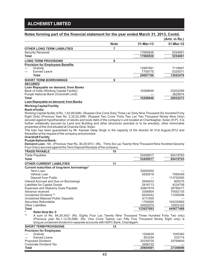#### **Notes forming part of the financial statement for the year ended March 31, 2013, Contd.**

|                                          |             |             | (Amt. in Rs.) |
|------------------------------------------|-------------|-------------|---------------|
|                                          | <b>Note</b> | $31-Mar-13$ | 31-Mar-12     |
| <b>OTHER LONG TERM LIABILITIES</b>       |             |             |               |
| <b>Security Received</b>                 |             | 17060838    | 5254681       |
| Total                                    |             | 17060838    | 5254681       |
| <b>LONG TERM PROVISIONS</b>              | 8           |             |               |
| <b>Provision for Employees Benefits</b>  |             |             |               |
| Gratuity                                 |             | 12987991    | 7716907       |
| Earned Leave                             |             | 7709775     | 5335571       |
| Total                                    |             | 20697766    | 13052478      |
| <b>SHORT TERM BORROWINGS</b>             | 9           |             |               |
| <b>SECURED</b>                           |             |             |               |
| Loan Repayable on demand, from Banks     |             |             |               |
| Bank of India (Working Capital Facility) |             | 16369648    | 23202299      |
| Punjab National Bank (Overdraft Limit)   |             |             | 3629974       |
| Total                                    |             | 16369648    | 26832273      |
| Loan Repayable on demand, from Banks     |             |             |               |

#### **Working Capital Facility**

#### **Bank of India:**

Working Capital facility of Rs. 1,63,69,648/- (Rupees One Crore Sixty Three Lac Sixty Nine Thousand Six Hundred Forty Eight Only) (Previous Year Rs. 2,32,02,299/- (Rupees Two Crore Thirty Two Lac Two Thousand Ninety Nine Only) secured against hypothecation of stocks and book debt of the company's unit located at Chambaghat, Solan (H.P). It is further collaterally secured by Land and Building and other structures (erected or to be erected), other immovable properties of the Unit situated at Chamba Ghat, Solan.

The loan has been guaranteed by Mr. Kanwar Deep Singh in the capacity of the director till 31st August,2012 and thereafter at the request of the company and promotor.

#### **Overdraft Facility**

#### **Punjab National Bank:**

**Demand Loan** - Nil - (Previous Year Rs. 36,29,974 /- (Rs. Thirty Six Lac Twenty Nine Thousand Nine Hundred Seventy Four Only)) secured against the Term Deposit Receipts of the company.

| <b>TRADE PAYABLE</b>                        | 10 |           |           |
|---------------------------------------------|----|-----------|-----------|
| <b>Trade Payables</b>                       |    | 53459917  | 65419763  |
| <b>Total</b>                                |    | 53459917  | 65419763  |
| <b>OTHER CURRENT LIABILITIES</b>            | 11 |           |           |
| Current maturities of long-term borrowings* |    |           |           |
| Term Loan                                   |    | 30000000  |           |
| Vehicle Loan                                |    | 5592618   | 7569349   |
| Deposit from Public                         |    |           | 113752500 |
| Interest Accrued and Due on Borrowings      |    | 2648433   | 800275    |
| <b>Liabilities for Capital Goods</b>        |    | 2918713   | 4224758   |
| <b>Expenses and Statutory Dues Payable</b>  |    | 32867919  | 28789277  |
| Advance received                            |    | 3306904   | 75552135  |
| Unclaimed Dividend **                       |    | 8429342   | 11255098  |
| Unclaimed Matured Public Deposits           |    | 6111000   |           |
| Securities Refundable                       |    | 1750000   | 193230992 |
| <b>Other Liabilities</b>                    |    | 30002074  | 10503103  |
| Total                                       |    | 123627003 | 445677488 |
| <b>D.C. L.L.</b> . M.C. P                   |    |           |           |

**\* Refer Note No: 5**

A sum of Rs. 84,29,342/- (Rs. Eighty Four Lac Twenty Nine Thousand Three Hundred Forty Two only) (Previous year Rs.1,12,55,098/- (Rs. One Crore Twelve Lac Fifty Five Thousand Ninety Eight only) is lying as unclaimed dividend in separate accounts with HDFC Bank, Chandigarh.

| <b>SHORT TERM PROVISIONS</b>   | 12       |          |
|--------------------------------|----------|----------|
| <b>Provision for Employees</b> |          |          |
| Gratuity                       | 1204635  | 1045382  |
| Earned Leave                   | 603334   | 533714   |
| Proposed Dividend              | 20339700 | 25769600 |
| Corporate Dividend Tax         | 3456732  |          |
| Total                          | 25604401 | 27348696 |
|                                |          |          |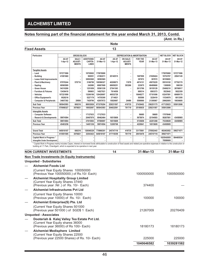### **Notes forming part of the financial statement for the year ended March 31, 2013, Contd.**

**Note**

#### **(Amt. in Rs.)**

#### **Fixed Assets 13**

| <b>Particulars</b>                                                                                                                                                                              |           | <b>GROSS BLOCK</b> |                   |           |           | <b>DEPRECIATION &amp; AMORTISATION</b> |                |           | <b>NET BLOCK</b> | <b>NET BLOCK</b> |
|-------------------------------------------------------------------------------------------------------------------------------------------------------------------------------------------------|-----------|--------------------|-------------------|-----------|-----------|----------------------------------------|----------------|-----------|------------------|------------------|
|                                                                                                                                                                                                 | AS AT     | SALE /             | <b>ADDITIONS/</b> | AS AT     | AS AT     | ON SALE /                              | <b>FOR THE</b> | AS AT     | AS AT            | AS AT            |
|                                                                                                                                                                                                 | 1-Apr-12  | ADJUST-            | <b>CAPITA-</b>    | 31-Mar-13 | 1-Apr-12  | ADJUST-                                | <b>YEAR</b>    | 31-Mar-13 | 31-Mar-13        | 31-Mar-12        |
|                                                                                                                                                                                                 |           | <b>MENTS</b>       | <b>LISED</b>      |           |           | <b>MENTS</b>                           |                |           |                  |                  |
| <b>Tangible Assets</b>                                                                                                                                                                          |           |                    |                   |           |           |                                        |                |           |                  |                  |
| - Land                                                                                                                                                                                          | 157271906 |                    | 18705002          | 175976908 |           |                                        |                | ٠         | 175976908        | 157271906        |
| <b>Building</b>                                                                                                                                                                                 | 41081660  |                    | 500551            | 41582211  | 20140515  |                                        | 1687909        | 21828424  | 19753787         | 20941145         |
| <b>Lease Hold Improvements</b>                                                                                                                                                                  |           |                    | 38593565          | 38593565  |           |                                        | 397872         | 397872    | 38195693         |                  |
| <b>Plant &amp; Machinery</b>                                                                                                                                                                    | 97970244  | 570716             | 3186799           | 100586327 | 40208073  | 11979                                  | 4874131        | 45070225  | 55516102         | 57762170         |
| Sapling                                                                                                                                                                                         | 69565589  |                    | 242080            | 69807669  | 68659251  | 383266                                 | 223675         | 68499660  | 1308009          | 906338           |
| <b>Green House</b>                                                                                                                                                                              | 54310280  |                    | 1251059           | 55561339  | 27541363  |                                        | 2613766        | 30155129  | 25406210         | 26768917         |
| <b>Furniture &amp; Fixtures</b>                                                                                                                                                                 | 13436418  |                    | 590603            | 14027021  | 7614059   |                                        | 889314         | 8503373   | 5523642          | 5822359          |
| <b>Vehicles</b>                                                                                                                                                                                 | 107221899 |                    | 13206198          | 120428097 | 46532729  |                                        | 10648277       | 57181006  | 63247091         | 60689170         |
| <b>Office Equipment's</b>                                                                                                                                                                       | 9528216   |                    | 5227179           | 14755395  | 2714821   |                                        | 505598         | 3220419   | 11534976         | 6813395          |
| <b>Computer &amp; Peripherals</b>                                                                                                                                                               | 34657382  | 29500              | 7429790           | 42057672  | 15820697  | 24490                                  | 5598860        | 21395067  | 20662605         | 18836685         |
| Sub Total                                                                                                                                                                                       | 585043593 | 600216             | 88932826          | 673376204 | 229231507 | 419735                                 | 27439402       | 256251175 | 417125023        | 355812086        |
| <b>Previous Year</b>                                                                                                                                                                            | 570068327 | 3076821            | 18052087          | 585043593 | 204832591 | 781719                                 | 25180635       | 229231507 | 355812086        |                  |
| <b>Intangible Assets</b>                                                                                                                                                                        |           |                    |                   |           |           |                                        |                |           |                  |                  |
| <b>Computer Software</b>                                                                                                                                                                        |           |                    | 17127633          | 17127633  |           |                                        | 56685          | 56685     | 17070948         |                  |
| <b>Reserch &amp; Developments</b>                                                                                                                                                               | 59974594  |                    | 20487870          | 80462464  | 16515609  |                                        | 5678974        | 22194583  | 58267881         | 43458985         |
| <b>Sub Total</b>                                                                                                                                                                                | 59974594  |                    | 37615503          | 97590097  | 16515609  | ٠                                      | 5735659        | 22251268  | 75338829         | 43458985         |
| <b>Previous Year</b>                                                                                                                                                                            | 45483258  |                    | 14491336          | 59974594  | 12285768  | ٠                                      | 4229841        | 16515609  | 43458985         |                  |
|                                                                                                                                                                                                 |           |                    |                   |           |           |                                        |                |           |                  |                  |
| <b>Grand Total</b>                                                                                                                                                                              | 645018187 | 600216             | 126548329         | 770966301 | 245747116 | 419735                                 | 33175061       | 278502443 | 492463852        | 399271071        |
| <b>Previous Year</b>                                                                                                                                                                            | 615551585 | 3076821            | 32543423          | 645018187 | 217118359 | 781719                                 | 29410476       | 245747116 | 399271071        |                  |
| Capital Work in Progress *                                                                                                                                                                      |           |                    |                   |           |           |                                        |                |           | 1025542655       | 584485534        |
| <b>Intangible Under Development</b>                                                                                                                                                             |           |                    |                   |           |           |                                        |                |           | 78588600         |                  |
| * Capital Work in Progress mainly includes Capex, interest on borrowed funds attributable to construction of fixed assets and related pre-operative expenses in relation to the construction of |           |                    |                   |           |           |                                        |                |           |                  |                  |

building at I.T. Park, Chandigarh, which is expected to be operative in next year.

#### **NON CURRENT INVESTMENTS 14 31-Mar-13 31-Mar-12 Non Trade Investments (In Equity Instruments) Unquoted - Subsidiaries** — **Alchemist Foods Ltd**  (Current Year Equity Shares 100050000 (Previous Year 100050000.) of Rs.10/- Each) 1000500000 1000500000 — **Alchemist Hospitality Group Limited**  (Current Year Equity Shares 37440  $($ Previous year .Nil . $)$  of Rs. 10 $/$ - Each)  $\qquad \qquad$  374400 — **Alchemist Infrastructures Pvt Ltd** (Current Year Equity Shares 10000 (Previous year 10000) of Rs. 10/- Each) 100000 100000 100000 100000 — **Alchemist Enterprise(S) Pte. Ltd** (Current Year Equity Shares 501000 (Previous year 501000 ) of SGD\$ 1 Each) 21267009 20276409 **Unquoted - Associates** — **Dooteriah & Kalej Valley Tea Estate Pvt Ltd.** (Current Year Equity shares 36000 (Previous year 36000) of Rs 100/- Each) 18180173 18180173 18180173 — **Alchemist Medisphere Limited**  (Current Year Equity Shares 22500 (Previous year 22500 Shares) of Rs. 10/- Each) 225000 225000 **1040646582 1039281582**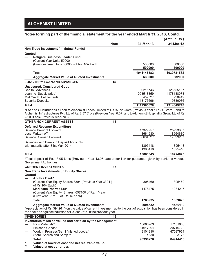### **Notes forming part of the financial statement for the year ended March 31, 2013, Contd.**

|                                                                                                                                                                                                                                                                               |             |            | (Amt. in Rs.)  |
|-------------------------------------------------------------------------------------------------------------------------------------------------------------------------------------------------------------------------------------------------------------------------------|-------------|------------|----------------|
|                                                                                                                                                                                                                                                                               | <b>Note</b> | 31-Mar-13  | 31-Mar-12      |
| Non Trade Investment (In Mutual Funds)                                                                                                                                                                                                                                        |             |            |                |
| Quoted                                                                                                                                                                                                                                                                        |             |            |                |
| <b>Religare Business Leader Fund</b>                                                                                                                                                                                                                                          |             |            |                |
| (Current Year Units 50000                                                                                                                                                                                                                                                     |             |            |                |
| (Previous Year Units 50000) of Rs. 10/- Each)                                                                                                                                                                                                                                 |             | 500000     | 500000         |
|                                                                                                                                                                                                                                                                               |             | 500000     | 500000         |
| <b>Total</b>                                                                                                                                                                                                                                                                  |             | 1041146582 | 1039781582     |
| <b>Aggregate Market Value of Quoted Investments</b>                                                                                                                                                                                                                           |             | 633000     | 582000         |
| <b>LONG TERM LOAN AND ADVANCES</b>                                                                                                                                                                                                                                            | 15          |            |                |
| <b>Unsecured, Considered Good</b>                                                                                                                                                                                                                                             |             |            |                |
| Capital Advances                                                                                                                                                                                                                                                              |             | 90215746   | 125555167      |
| Loan to Subsidiaries*                                                                                                                                                                                                                                                         |             | 1003513859 | 1178188073     |
| <b>Mat Credit Entitlements</b>                                                                                                                                                                                                                                                |             | 459327     | 920442         |
| <b>Security Deposits</b>                                                                                                                                                                                                                                                      |             | 18176696   | 9386036        |
| Total                                                                                                                                                                                                                                                                         |             | 1112365628 | 1314049718     |
| *Loan to Subsidiaries : Loan to Alchemist Foods Limited of Rs 97.72 Crore (Previous Year 117.74 Crore) and to<br>Alchemist Infrastructures Pvt. Ltd of Rs. 2.37 Crore (Previous Year 0.07) and to Alchemist Hospitality Group Ltd of Rs<br>25.00 Lacs (Previous Year - Nil-). |             |            |                |
| <b>OTHER NON CURRENT ASSETS</b>                                                                                                                                                                                                                                               | 16          |            |                |
| <b>Deferred Revenue Expenditure</b>                                                                                                                                                                                                                                           |             |            |                |
| <b>Balance Brought Forward</b>                                                                                                                                                                                                                                                |             | 17329257   | 25993887       |
| Less: Written off                                                                                                                                                                                                                                                             |             | 8664630    | 8664630        |
| <b>Balance Carried Forward</b>                                                                                                                                                                                                                                                |             | 8664627    | 17329257       |
| Balances with Banks in Deposit Accounts                                                                                                                                                                                                                                       |             |            |                |
| with maturity after 31st Mar, 2014                                                                                                                                                                                                                                            |             | 1395418    | <u>1395418</u> |
|                                                                                                                                                                                                                                                                               |             | 1395418    | 1395418        |
| Total                                                                                                                                                                                                                                                                         |             | 10060045   | 18724675       |
| *Total deposit of Rs. 13.95 Lacs (Previous Year 13.95 Lac) under lien for guarantee given by banks to various<br>Government Authorities                                                                                                                                       |             |            |                |
| <b>CURRENT INVESTMENTS</b>                                                                                                                                                                                                                                                    | 17          |            |                |
| Non Trade Investments (In Equity Shares)                                                                                                                                                                                                                                      |             |            |                |
| Quoted                                                                                                                                                                                                                                                                        |             |            |                |
| Andhra Bank*<br>(Current Year Equity Shares 3394 (Previous Year 3394)                                                                                                                                                                                                         |             | 305460     | 305460         |
| of Rs 10/- Each)<br>Marksans Pharma Ltd*<br>(Current Year Equity Shares 657100 of Rs, 1/- each<br>(Prev. Year 657100 of Rs 1/- each)                                                                                                                                          |             | 1478475    | 1084215        |
| <b>Total</b>                                                                                                                                                                                                                                                                  |             | 1783935    | 1389675        |
|                                                                                                                                                                                                                                                                               |             |            |                |
| <b>Aggregate Market Value of Quoted Investments</b><br>*Appreciation of Rs. 394261/- on the value of current investment up to the cost of acquisition has been considered in<br>the books as against reduction of Rs. 394261/- in the previous year.                          |             | 2905532    | 1489119        |
| <b>INVENTORIES</b>                                                                                                                                                                                                                                                            | 18          |            |                |
| Inventories taken as valued and certified by the Management                                                                                                                                                                                                                   |             |            |                |
| Raw Materials*                                                                                                                                                                                                                                                                |             | 18666703   | 17101986       |
| Finished Goods*                                                                                                                                                                                                                                                               |             | 31617904   | 20710720       |

— Work In Progress/Semi finished goods.\* 43101310 47097931 — Store, Spares and Scrap \*\* 4359 3773 **Total 93390276 84914410 \* Valued at lower of cost and net realizable value.**

**\*\* Valued at cost or under.**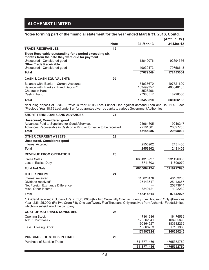### **Notes forming part of the financial statement for the year ended March 31, 2013, Contd.**

|                                                                                                           |             |           | (Amt. in Rs.) |
|-----------------------------------------------------------------------------------------------------------|-------------|-----------|---------------|
|                                                                                                           | <b>Note</b> | 31-Mar-13 | 31-Mar-12     |
| <b>TRADE RECEIVABLES</b>                                                                                  | 19          |           |               |
| Trade Receivable outstanding for a period exceeding six<br>months from the date they were due for payment |             |           |               |
| Unsecured - Considered good                                                                               |             | 18649076  | 92694356      |
| <b>Other Trade Receivable</b>                                                                             |             |           |               |
| Unsecured - Considered good                                                                               |             | 49030473  | 79758648      |
| <b>Total</b>                                                                                              |             | 67679549  | 172453004     |
| <b>CASH &amp; CASH EQUIVALENTS</b>                                                                        | 20          |           |               |
| Balance with Banks - Current Accounts                                                                     |             | 54037670  | 197521690     |
| Balance with Banks - Fixed Deposit*                                                                       |             | 103499357 | 463848135     |
| Cheque in Hand                                                                                            |             | 8528266   |               |
| Cash in hand                                                                                              |             | 27388517  | 18796360      |
| <b>Total</b>                                                                                              |             | 193453810 | 680166185     |
|                                                                                                           |             |           |               |

\*Including deposit of -Nil- (Previous Year 48.98 Lacs ) under Lien against demand Loan and Rs. 11.49 Lacs (Previous Year 18.76 Lac) under lien for guarantee given by banks to various Government Authorities

| <b>SHORT TERM LOANS AND ADVANCES</b>                                                                                                                               | 21 |                                  |                                 |
|--------------------------------------------------------------------------------------------------------------------------------------------------------------------|----|----------------------------------|---------------------------------|
| <b>Unsecured, Considered good</b><br>Advances Paid to Suppliers for Goods\Services<br>Advances Recoverable in Cash or in Kind or for value to be received<br>Total |    | 25964605<br>22181381<br>48145986 | 9210247<br>20597755<br>29808002 |
| <b>OTHER CURRENT ASSETS</b>                                                                                                                                        | 22 |                                  |                                 |
| <b>Unsecured, Considered good</b>                                                                                                                                  |    |                                  |                                 |
| Interest Accrued                                                                                                                                                   |    | 2556902                          | 2431406                         |
| Total                                                                                                                                                              |    | 2556902                          | 2431406                         |
| <b>REVENUE FROM OPERATION</b>                                                                                                                                      | 23 |                                  |                                 |
| Gross Sales                                                                                                                                                        |    | 6681315927                       | 5231426965                      |
| Less :- Excise Duty                                                                                                                                                |    | 15711803                         | 11699070                        |
| <b>Total Net Sale</b>                                                                                                                                              |    | 6665604124                       | 5219727895                      |
| <b>OTHER INCOME</b>                                                                                                                                                | 24 |                                  |                                 |
| Interest received                                                                                                                                                  |    | 118026176                        | 46103205                        |
| Dividend received*                                                                                                                                                 |    | 25143517                         | 25143667                        |
| Net Foreign Exchange Difference                                                                                                                                    |    |                                  | 25273814                        |
| Misc. Other Income                                                                                                                                                 |    | 3249121                          | 1122239                         |
| Total                                                                                                                                                              |    | 146418814                        | 97642925                        |

\* Dividend received includes of Rs. 2,51,25,000/- (Rs Two Crore Fifty One Lac Twenty Five Thousand Only) (Previous Year - 2,51,25,000/-(Rs Two Crore Fifty One Lac Twenty Five Thousand Only) received from Alchemist Foods Limited which is a subsidiary of the company.

| <b>COST OF MATERIALS CONSUMED</b> | 25 |            |            |
|-----------------------------------|----|------------|------------|
| <b>Opening Stock</b>              |    | 17101986   | 16476536   |
| Add: Purchases                    |    | 173062541  | 166905696  |
|                                   |    | 190164527  | 183382232  |
| Less: Closing Stock               |    | 18666703   | 17101986   |
|                                   |    | 171497824  | 166280246  |
| <b>PURCHASE OF STOCK IN TRADE</b> | 26 |            |            |
| Purchase of Stock in Trade        |    | 6118771466 | 4765352750 |
|                                   |    | 6118771466 | 4765352750 |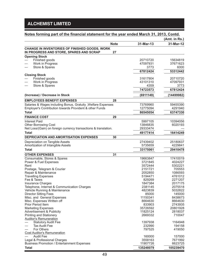#### **(Amt. in Rs.) Note 31-Mar-13 31-Mar-12 CHANGE IN INVENTORIES OF FINISHED GOODS, WORK IN PROGRESS AND STORE, SPARES AND SCRAP 27 Opening Stock** — Finished goods 20710720 15634819 — Work in Progress 47097931 37671623 Extore & Spares 6000 and the state of the state of the state of the state of the state of the state of the state of the state of the state of the state of the state of the state of the state of the state of the state of th **67812424 53312442 Closing Stock** — Finished goods 31617904 20710720 — Work in Progress 43101310 47097931 Extore & Spares 3773 **74723573 67812424 (Increase) / Decrease in Stock (6911149) (14499982) EMPLOYEES BENEFIT EXPENSES 28** Salaries & Wages including Bonus, Gratuity ,Welfare Expenses 73769960 59455390 Employer's Contribution towards Provident & other Funds 12775094 4291940 **Total 86545054 63747330 FINANCE COST 29** Interest Paid 5997105 10394056 Other Borrowing Cost **13846835** 6020193 Net Loss/(Gain) on foreign currency transactions & translation. 29333474 **Total 49177414 16414249 DEPRICIATION AND AMORTISATION EXPENSES 30** Depreciation on Tangible Assets 27439402 25180637 Amortization of Intangible Assets 6735659 4229841 **Total 33175061 29410478 OTHER EXPENSES** 31 Consumable, Stores & Spares 19663847 17410019<br>
Power & Fuel Expenses 19663847 17410019 Power & Fuel Expenses Rent 3572444 5302221 Postage, Telegram & Courier 2001 2008 2151721 2151721 2151721 Repair & Maintenance 2052850 1086593 Travelling Expenses 5194471 4761012 Fee & Taxes 829269 2271207 Insurance Charges 2017175 Telephone, Internet & Communication Charges 2381145 2075518 Vehicle Running & Maintenance **68 and 5032822** 4823839 5032822 Director Sitting Fees 85000 145000 Misc. and General Expenses and Senator and Senator and Senator and Senator and Senator and Senator and Senator<br>Misc. Expenses Written off and Senator and Senator and Senator and Senator and Senator and Senator and Senator Misc. Expenses Written off 8664630 8664630 Prior Period Item 833903 2743935 **Marketing Expenses** Advertisement & Publicity **11825124** 2818037 Printing and Stationery 2669332 710047 Auditor's Remuneration — Statutory Audit Fee 1397938 1164948 — Tax Audit Fee 232990 194158 — For Others 797525 419050 Cost Auditor's Remuneration — Audit Fee 2000 157000 160000 157000 160000 157000 160000 157000 157000 157000 157000 157000 16000 16000 1600 Legal & Professional Charges 3558163 7671992<br>Business Promotion / Entertainment Expenses 3558163 3558163 6623725

#### **Notes forming part of the financial statement for the year ended March 31, 2013, Contd.**

Business Promotion / Entertainment Expenses 11907726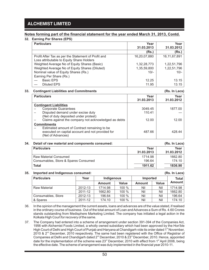### **Notes forming part of the financial statement for the year ended March 31, 2013, Contd.**

**32. Earning Per Shares (EPS)**

| <b>Particulars</b>                                  | Year         | Year            |
|-----------------------------------------------------|--------------|-----------------|
|                                                     | 31.03.2013   | 31.03.2012      |
|                                                     | (Rs.)        | (Rs.)           |
| Profit After Tax as per the Statement of Profit and | 16,20,07,880 | 16, 11, 67, 891 |
| Loss attributable to Equity Share Holders           |              |                 |
| Weighted Average No of Equity Shares (Basic)        | 1,32,28,773  | 1,22,51,796     |
| Weighted Average No of Equity Shares (Diluted)      | 1,35,59,800  | 1,22,51,796     |
| Nominal value of Equity Shares (Rs.)                | $10/-$       | $10/-$          |
| Earning Per Share (Rs.)                             |              |                 |
| <b>Basic EPS</b>                                    | 12.25        | 13.15           |
| Diluted EPS                                         | 11.95        | 13.15           |

### **33. Contingent Liabilities and Commitments (Rs. In Lacs)**

| <b>Particulars</b>                                                                                                    | Year<br>31.03.2013 | Year<br>31.03.2012 |
|-----------------------------------------------------------------------------------------------------------------------|--------------------|--------------------|
| <b>Contingent Liabilities</b>                                                                                         |                    |                    |
| <b>Corporate Guarantees</b>                                                                                           | 3049.45            | 1877.00            |
| Disputed demand under excise duty<br>(Net of duty deposited under protest)                                            | 110.41             |                    |
| Claims against the company not acknowledged as debts                                                                  | 12.00              | 12 00              |
| <b>Commitments</b>                                                                                                    |                    |                    |
| Estimated amount of Contract remaining to be<br>executed on capital account and not provided for<br>(Net of Advances) | 487.66             | 428.44             |

### **34. Detail of raw material and components consumed: (Rs. In Lacs)**

**Particulars Year Year 31.03.2013 31.03.2012** Raw Material Consumed 1714.98 1662.80 Consumables, Store & Spares Consumed 196.64 196.64 174.10 **Total 1911.62 1836.90**

### **35. Imported and Indigenous consumed: (Rs. In Lacs)**

### **Particulars Year Indigenous Imported Total Amount Value Amount Value Amount** Raw Material 2012-13 | 1714.98 | 100 % | Nil | Nil | 1714.98 2011-12 | 1662.80 | 100 % | Nil | Nil | 1662.80 Consumables, Store 2012-13 196.64 100 % Nil Nil 196.64 & Spares | 2011-12 | 174.10 | 100 % | Nil | Nil | 174.10

- 36. In the opinion of the management the current assets, loans and advances are of the value stated, if realised in the ordinary course of business. Out of the total amount of Loan and Advances a Sum of Rs. 4.60 Crores stands outstanding from Medisphere Marketing Limited. The company has initiated a legal action in the Kolkata High Court for recovery of the same.
- 37. The Company had entered into a scheme of arrangement under section 391-394 of the Companies Act, 1956 with Alchemist Foods Limited, a wholly owned subsidiary which had been approved by the Hon'ble High Court of Delhi and High Court of Punjab and Haryana at Chandigarh vide its order dated 1<sup>st</sup> November, 2010 &  $2<sup>nd</sup>$  December, 2010 respectively. The same had been registered with the Office of Registrar of Companies at Delhi and Chandigarh dated  $2^{nd}$  December, 2010 &  $23^{nd}$  December, 2010. Hence, appointed date for the implementation of the scheme was 23<sup>rd</sup> December, 2010 with effect from 1<sup>st</sup> April 2008, being the effective date. The scheme of arrangement was duly implemented in the financial year 2010-11.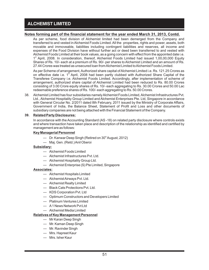### **Notes forming part of the financial statement for the year ended March 31, 2013, Contd.**

As per scheme, food division of Alchemist limited had been demerged from the Company and transferred to and vested in Alchemist Foods Limited. All the properties, rights and power, assets, both movable and immoveable, liabilities including contingent liabilities and reserves, all income and expenses of the Food Division have without further act or deed been transferred to and vested with Alchemist Foods Limited at their book values, as a going concern with effect from the appointed date i.e. 1<sup>st</sup> April, 2008. In consideration, thereof, Alchemist Foods Limited had issued 1,00,00,000 Equity Shares of Rs. 10/- each at a premium of Rs. 90/- per shares to Alchemist Limited and an amount of Rs. 27.44 Crores was treated as unsecured loan from Alchemist Limited to Alchemist Foods Limited.

As per Scheme of arrangement, Authorized share capital of Alchemist Limited i.e. Rs. 121.25 Crores as on effective date i.e. 1<sup>st</sup> April, 2008 had been partly clubbed with Authorized Share Capital of the Transferee Company i.e. Alchemist Foods Limited. Accordingly, after implementation of scheme of arrangement, authorized share capital of Alchemist Limited had been reduced to Rs. 80.00 Crores consisting of 3.00 Crore equity shares of Rs. 10/- each aggregating to Rs. 30.00 Crores and 50.00 Lac redeemable preference shares of Rs. 100/- each aggregating to Rs. 50.00 Crores.

38. Alchemist Limited has four subsidiaries namely Alchemist Foods Limited, Alchemist Infrastructures Pvt. Ltd., Alchemist Hospitality Group Limited and Alchemist Enterprises Pte. Ltd, Singapore in accordance with General Circular No. 2/2011 dated 8th February, 2011 issued by the Ministry of Corporate Affairs, Government of India, the Balance Sheet, Statement of Profit and Loss and other documents of subsidiary companies are not being attached with the Financial Statement of the Company.

#### **39. Related Party Disclosures:**

In accordance with the Accounting Standard (AS -18) on related party disclosure where controls exists and where transaction have taken place and description of the relationship as identified and certified by management are as follows:

### **Key Managerial Personnel**

- $-$  Dr. Kanwar Deep Singh (Retired on 30<sup>th</sup> August, 2012)
- Maj. Gen. (Retd.) Anil Oberoi

#### **Subsidiary:**

- Alchemist Foods Limited
- Alchemist Infrastructures Pvt. Ltd.
- Alchemist Hospitality Group Ltd.
- Alchemist Enterprise (S) Pte Limited, Singapore

#### **Associates:**

- Alchemist Hospitals Limited
- Alchemist Airways Pvt. Ltd.
- Alchemist Realty Limited
- Black Cats Protections Pvt. Ltd.
- KDS Corporation Pvt. Ltd
- Optimum Constructors and Developers Limited
- Platinum Ventures Limited
- A1 News Network Pvt Ltd
- Alchemist Media Limited

### **Relatives of Key Management Personnel**

- Mr Karan Deep Singh
- Mr. Kaman Deep Singh
- Mr. Ravinder Singh
- Mrs. Hapreet Kaur
- Mrs. Isher Kaur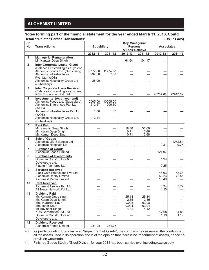# **Notes forming part of the financial statement for the year ended March 31, 2013, Contd.**

|                  | <b>Detail of Related Parties Transactions:</b>                                                                                                                                                                    |                            |                    |                                                             |                                                                     |                                 | (Rs. In Lacs)   |
|------------------|-------------------------------------------------------------------------------------------------------------------------------------------------------------------------------------------------------------------|----------------------------|--------------------|-------------------------------------------------------------|---------------------------------------------------------------------|---------------------------------|-----------------|
| Sr.<br><b>No</b> | <b>Transaction's</b>                                                                                                                                                                                              | <b>Subsidiary</b>          |                    | <b>Key Managerial</b><br><b>Persons</b><br>& Their Relative |                                                                     | <b>Associates</b>               |                 |
|                  |                                                                                                                                                                                                                   | 2012-13                    | 2011-12            | 2012-13                                                     | 2011-12                                                             | 2012-13                         | 2011-12         |
| 1                | <b>Managerial Remuneration</b><br>Mr. Kanwar Deep Singh                                                                                                                                                           |                            |                    | 64.64                                                       | 104.17                                                              |                                 |                 |
| $\overline{2}$   | <b>Inter Corporate Loans- Given</b><br>(Balance Outstanding as at yr. end)<br>Alchemist Foods Ltd. (Subsidiary)<br>Alchemist Infrastructures<br>Pvt. Ltd.(WOS)<br>Alchemist Hospitality Group Ltd<br>(Subsidiary) | 9772.66<br>237.50<br>25.00 | 11774.38<br>7.50   |                                                             |                                                                     |                                 |                 |
| 3                | <b>Inter Corporate Loan- Received</b><br>(Balance Outstanding as at yr. end)<br>KDS Corporation Pvt. Ltd.                                                                                                         |                            |                    |                                                             |                                                                     | 26737.68                        | 27917.69        |
| 4                | <b>Investments (As at year end)</b><br>Alchemist Foods Ltd. (Subsidiary)<br>Alchemist Enterprises Pte. Ltd.<br>(WOS)                                                                                              | 10005.00<br>212.67         | 10005.00<br>206.60 |                                                             |                                                                     |                                 |                 |
|                  | Alchemist Infrastructures Pvt. Ltd.<br>(WOS)<br>Alchemist Hospitality Group Ltd.                                                                                                                                  | 1.00<br>3.44               | 1.00               |                                                             |                                                                     |                                 |                 |
|                  | (Subsidiary)                                                                                                                                                                                                      |                            |                    |                                                             |                                                                     |                                 |                 |
| 5                | <b>Rent Paid</b><br>Mr. Kanwar Deep Singh<br>Mr. Karan Deep Singh<br>Mr. Kaman Deep Singh                                                                                                                         |                            |                    | 18.00<br>0.71<br>0.71                                       | 36.00<br>0.68<br>0.68                                               |                                 |                 |
| 6                | <b>Sale of Goods</b><br>Alchemist Life Sciences Ltd<br>Alchemist Hospitals Ltd                                                                                                                                    |                            |                    |                                                             |                                                                     | 0.31                            | 1032.84<br>9.75 |
| $\overline{7}$   | <b>Purchase of Goods</b><br><b>Alchemist Foods Limited</b>                                                                                                                                                        |                            |                    |                                                             |                                                                     | 121.97                          |                 |
| 8                | <b>Purchase of Investments</b><br>Optimum Constructors &<br>Developers Ltd.                                                                                                                                       |                            |                    |                                                             |                                                                     | 1.99                            |                 |
| 9                | Platinum Ventures Ltd<br><b>Services Received</b><br><b>Black Cats Protections Pvt. Ltd</b><br><b>Alchemist Realty Limited</b><br>Alchemist Media Limited                                                         |                            |                    |                                                             |                                                                     | 0.25<br>46.03<br>59.23<br>16.49 | 68.64<br>72.54  |
| 10               | <b>Rent Received</b><br>Alchemist Airways Pvt. Ltd.<br>A1 News Network Pvt Ltd.                                                                                                                                   |                            |                    |                                                             |                                                                     | 0.24<br>4.55                    | 0.72            |
| 11               | <b>Dividend Paid</b><br>Mr. Kanwar Deep singh<br>Mr. Karan Deep Singh<br>Mrs. Harpreet Kaur<br>Mrs. Isher Kaur<br>Mr Ravinder Singh<br>KDS Corporation Pvt. Ltd<br>Optimum Constructors and<br>Developers Ltd.    |                            |                    | 25.14<br>2.35<br>0.008<br>0.004<br>4.42                     | 25.14<br>2.35<br>0.008<br>0.004<br>4.42<br>$\overline{\phantom{0}}$ | 47.68<br>1.19                   | 34.88<br>1.19   |
| 12               | <b>Dividend Received</b><br><b>Alchemist Foods Limited</b>                                                                                                                                                        | 251.25                     | 251.25             |                                                             |                                                                     |                                 |                 |

40. As per Accounting Standard – 28 "Impairment of Assets", the company has assessed the conditions of all the assets used in its operation and is of the opinion that there is no impairment of assets, hence no provision was made.

41. Finished Goods Stock of Steel Division for year 2013 has been carried over including excise duty.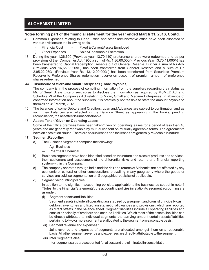### **Notes forming part of the financial statement for the year ended March 31, 2013, Contd.**

- 42. Common Expenses relating to Head Office and other administrative office have been allocated to various divisions on the following basis.
	- i) Financial Cost Fixed & Current Assets Employed
	- ii) Other Expenses Sales/Reasonable Estimation
- 43. During the year 1,36,600 (Previous year 13,70,110) preference shares were redeemed and as per provisions of the Companies Act, 1956 a sum of Rs. 1,36,60,000/- (Previous Year 13,70,11,000/-) has been transferred to Capital Redemption Reserve out of General Reserve. Further a sum of Rs.-Nil- (Previous Year 16,65,83,209/-) has been transferred from General Reserve and a Sum of Rs 2,95,22,269/- (Previous Year Rs. 13,12,00,000/-) has been transferred from Securities Premium Reserve to Preference Shares redemption reserve on account of premium amount of preference shares redeemed.

### 44. **Disclosure of Micro and Small Enterprises (Trade Payables)**

The company is in the process of compiling information from the suppliers regarding their status as Micro/ Small Scale Enterprises, so as to disclose the information as required by MSMED Act and Schedule VI of the Companies Act relating to Micro, Small and Medium Enterprises. In absence of confirmed information about the suppliers, it is practically not feasible to state the amount payable to them as on  $31<sup>st</sup>$  March, 2013.

45. The balances of some Debtors and Creditors, Loan and Advances are subject to confirmation and as such their balances are reflected in the Balance Sheet as appearing in the books, pending reconciliation, the net effect is unascertainable.

#### 46. **Assets Taken/ Given on Operating Lease:**

Some of the Office premises have been taken/given on operating leases for a period of less than 10 years and are generally renewable by mutual consent on mutually agreeable terms. The agreements have an escalation clause. There are no sub leases and the leases are generally revocable in nature.

### **47. Segment Reporting**

- a) The Business Segments comprise the following :
	- Agri Business
	- Pharma & Chemical
- b) Business segments have been identified based on the nature and class of products and services, their customers and assessment of the differential risks and returns and financial reporting system within the Company.
- c) The company operates through India and the risk and returns of Alchemist are not affected by any economic or cultural or other considerations prevailing in any geography where the goods or services are sold, so segmentation on Geographical basis is not applicable.
- d) Segment accounting policies

In addition to the significant accounting policies, applicable to the business as set out in note 1 'Notes to the Financial Statements', the accounting policies in relation to segment accounting are as under:

(i) Segment assets and liabilities:

Segment assets include all operating assets used by a segment and consist principally cash, debtors, inventories and fixed assets, net of allowances and provisions, which are reported as direct offsets in the balance sheet. Segment liabilities include all operating liabilities and consist principally of creditors and accrued liabilities. Which most of the assets/liabilities can be directly attributed to individual segments, the carrying amount certain assets/liabilities pertaining to two or more segment are allocated to the segment on reasonable basis.

(ii) Segment revenue and expenses :

Joint revenue and expenses of segments are allocated amongst them on a reasonable basis. All other segment revenue and expenses are directly attributable to the segment

(iii) Inter Segment Sales:

Inter-segment sales are accounted for at cost and are eliminated in consolidation.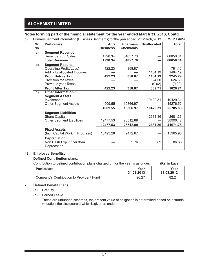# **Notes forming part of the financial statement for the year ended March 31, 2013, Contd.**

b) Primary Segment information (Business Segments) for the year ended 31<sup>st</sup> March, 2013. (Rs. in Lacs)

| Sr.<br>No.    | <b>Particulars</b>                      | Agri<br><b>Business</b> | Pharma &<br><b>Chemicals</b> | <b>Unallocated</b> | <b>Total</b> |
|---------------|-----------------------------------------|-------------------------|------------------------------|--------------------|--------------|
| a)            | <b>Segment Revenue:</b>                 |                         |                              |                    |              |
|               | Revenue from Sales                      | 1798.34                 | 64857.70                     |                    | 66656.04     |
|               | <b>Total Revenue</b>                    | 1798.34                 | 64857.70                     |                    | 66656.04     |
| b)            | <b>Segment Results:</b>                 |                         |                              |                    |              |
|               | Operating Profit\(Loss)                 | 422.23                  | 358.87                       |                    | 781.10       |
|               | Add :- Unallocated Incomes              |                         |                              | 1464.19            | 1464.19      |
|               | <b>Profit Before Tax</b>                | 422.23                  | 358.87                       | 1464.19            | 2245.29      |
|               | <b>Provision for Taxes</b>              |                         |                              | 624.50             | 624.50       |
|               | Previous year Taxes                     |                         |                              | (0.02)             | (0.02)       |
|               | <b>Profit After Tax</b>                 | 422.23                  | 358.87                       | 839.71             | 1620.71      |
| $\mathbf{c})$ | Other Information:                      |                         |                              |                    |              |
|               | <b>Segment Assets</b>                   |                         |                              |                    |              |
|               | Investments                             |                         |                              | 10429.31           | 10429.31     |
|               | <b>Other Segment Assets</b>             | 4909.55                 | 10366.97                     |                    | 15276.52     |
|               |                                         | 4909.55                 | 10366.97                     | 10429.31           | 25705.83     |
|               | <b>Segment Liabilities</b>              |                         |                              |                    |              |
|               | <b>Share Capital</b>                    |                         |                              | 2681.36            | 2681.36      |
|               | <b>Other Segment Liabilities</b>        | 12477.53                | 26512.89                     |                    | 38990.42     |
|               |                                         | 12477.53                | 26512.89                     | 2681.36            | 41671.78     |
|               | <b>Fixed Assets</b>                     |                         |                              |                    |              |
|               | (Incl. Capital Work in Progress)        | 13493.28                | 2472.67                      |                    | 15965.95     |
|               | <b>Depreciation</b>                     |                         |                              |                    |              |
|               | Non Cash Exp. Other than<br>Deprecation |                         | 2.76                         | 83.89              | 86.65        |

### **48. Employee Benefits:**

### **Defined Contribution plans:**

| Contribution to defined contribution plans charged off for the year is as under: | (Rs. in Lacs)      |                    |
|----------------------------------------------------------------------------------|--------------------|--------------------|
| <b>Particulars</b>                                                               | Year<br>31.03.2013 | Year<br>31.03.2012 |
| Company's Contribution to Provident Fund                                         | 96.27              | 82.24              |

### **- Defined Benefit Plans:**

- (a) Gratuity
- (b) Earned Leave

These are unfunded schemes, the present value of obligation is determined based on actuarial valuation, the disclosure of which is given as under: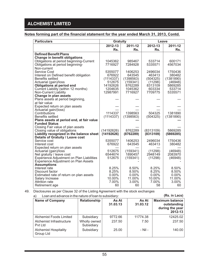# **Notes forming part of the financial statement for the year ended March 31, 2013, Contd.**

| <b>Particulars</b>                                                            | <b>Gratuity</b>    |                   | Leave       |                   |
|-------------------------------------------------------------------------------|--------------------|-------------------|-------------|-------------------|
|                                                                               | 2012-13            | 2011-12           | 2012-13     | 2011-12           |
|                                                                               | Rs.                | Rs.               | Rs.         | Rs.               |
| <b>Defined Benefit Plans</b>                                                  |                    |                   |             |                   |
| <b>Change in benefit obligations</b>                                          |                    |                   |             |                   |
| Obligations at period beginning-Current                                       | 1045362<br>7716927 | 985467<br>7284928 | 533714      | 600171<br>4567034 |
| Obligations at period beginning-                                              |                    |                   | 5335571     |                   |
| Non-current                                                                   | 5355077            | 1406253           | 2496034     | 1750436           |
| <b>Service Cost</b><br>Interest on Defined benefit obligation                 | 676922             | 643545            | 463413      | 380482            |
| <b>Benefits settled</b>                                                       | (1114337)          | (1398563)         | (504325)    | (1381890)         |
| Actuarial (gain)/loss                                                         | 512675             | (159341)          | (11298)     | (46948)           |
| Obligations at period end                                                     | 14192626           | 8762289           | 8313109     | 5869285           |
| Current Liability (within 12 months)                                          | 1204635            | 1045362           | 603334      | 533714            |
| Non-Current Liability                                                         | 12987991           | 7716927           | 7709775     | 5335571           |
| <b>Change in plan assets</b>                                                  |                    |                   |             |                   |
| Plans assets at period beginning,                                             |                    |                   |             |                   |
| at fair value                                                                 |                    |                   |             |                   |
| Expected return on plan assets                                                |                    |                   |             |                   |
| Actuarial gain/(loss)                                                         |                    |                   |             |                   |
| Contributions                                                                 | 1114337            | 1398563           | 504325      | 1381890           |
| <b>Benefits settled</b>                                                       | (1114337)          | (1398563)         | (504325)    | (1381890)         |
| Plans assets at period end, at fair value                                     |                    |                   |             |                   |
| <b>Funded Status</b>                                                          |                    |                   |             |                   |
| Closing Fair value of plan assets                                             |                    |                   |             |                   |
| Closing value of obligations                                                  | (14192626)         | 8762289           | (8313109)   | 5869285           |
| Liability recognized in the balance sheet<br>Details of Gratuity / Leave cost | (14192626)         | (8762289)         | (8313109)   | (5869285)         |
| Service cost                                                                  | 5355077            | 1406253           | 2496034     | 1750436           |
| Interest cost                                                                 | 676922             | 643545            | 463413      | 380482            |
| Expected return on plan assets                                                |                    |                   |             |                   |
| Actuarial (gain)/loss                                                         | 512675             | (159341)          | (11298)     | (46948)           |
| Net gratuity / leave cost                                                     | 6544674            | 1890457           | 2948149     | 2083970           |
| Experience Adjustment on Plan Liabilities                                     | 512675             | (159341)          | (11298)     | (46948)           |
| <b>Experience Adjustment on Plan Assets</b>                                   |                    |                   |             |                   |
| <b>Assumptions</b>                                                            |                    |                   |             |                   |
| Interest rate                                                                 | 8.25%              | 8.50%             | 8.25%       | 8.50%             |
| Discount factor                                                               | 8.25%              | 8.50%             | 8.25%       | 8.50%             |
| Estimated rate of return on plan assets                                       | $0.00\%$           | $0.00\%$          | $0.00\%$    | $0.00\%$          |
| Salary Increase                                                               | 10.00%             | 11.00%            | 10.00%      | 11.00%            |
| Attrition rate<br>Retirement age                                              | 7.00%<br>60        | $3.00\%$<br>60    | 7.00%<br>58 | $3.00\%$<br>60    |
|                                                                               |                    |                   |             |                   |

49. Disclosures as per Clause 32 of the Listing Agreement with the stock exchanges a) Loan and advance in the nature of loan to subsidiary:

**(Rs. in Lacs)**

| <b>Name of Company</b>                     | <b>Relationship</b>        | As At<br>31.03.13 | As At<br>31.03.12 | <b>Maximum balance</b><br>outstanding<br>during the year<br>2012-13 |
|--------------------------------------------|----------------------------|-------------------|-------------------|---------------------------------------------------------------------|
| Alchemist Foods Limited                    | Subsidiary                 | 9772.66           | 11774.38          | 12425.02                                                            |
| Alchemist Infrastructure<br><b>Pvt Ltd</b> | Wholly owned<br>Subsidiary | 237.50            | 7.50              | 237.50                                                              |
| <b>Alchemist Hospitality</b><br>Group Ltd  | Subsidiary                 | 25.00             | $-$ Nil $-$       | 140.00                                                              |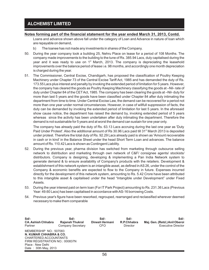### **Notes forming part of the financial statement for the year ended March 31, 2013, Contd.**

Loans and advance shown above fall under the category of Loan and Advance in nature of loan which are repayable on demand,

- b) The loanee has not made any investments in shares of the Company.
- 50. During the year company took a building 25, Nehru Place on lease for a period of 108 Months. The company made improvements to the building to the tune of Rs. 385.94 Lacs, duly capitalised during the year and it was ready to use on  $1<sup>st</sup>$  March, 2013. The company is depreciating the leasehold improvements over the balance period of lease i.e. 98 months, and accordingly one month depreciation is charged during the year.
- 51. The Commissioner, Central Excise, Chandigarh, has proposed the classification of Poultry Keeping Machinery under Chapter 73 of the Central Excise Tariff Act, 1985 and has demanded the duty of Rs. 173.55 Lacs plus interest and penalty by invoking the extended period of limitation for 5 years. However, the company has cleared the goods as Poultry Keeping Machinery classifying the goods at –Nil- rate of duty under Chapter 84 of the CETAct, 1985. The company has been clearing the goods at –Nil- duty for more than last 5 years and the goods have been classified under Chapter 84 after duly intimating the department from time to time. Under Central Excise Law, the demand can be recovered for a period not more than one year under normal circumstances. However, in case of willfull suppression of facts, the duty can be demanded by invoking the extended period of limitation for last 5 years. In the aforesaid show cause notice, the department has raised the demand by, invoking extended period of 5 years whereas since the activity has been undertaken after duly intimating the department. Therefore the demand is not sustainable for 5 years and at worst the demand can sustain for one year only.

The company has already paid the duty of Rs. 63.13 Lacs accruing during the last one year as 'Duty Paid Under Protest'. Also the additional amount of Rs 30.96 Lacs paid till 31<sup>st</sup> March 2013 is deposited under protest. Therefore the total duty of Rs. 92.29 Lacs already paid is shown as 'Amount recoverable in cash or in kind' in the Balance Sheet under the head Short Term Loan and advances. The balance amount of Rs. 110.42 Lacs is shown as Contingent Liability.

- 52. During the previous year, pharma division has switched from marketing through outsource selling network to distribution and marketing through own network of C&F/ consignee agents/ stockists/ distributors. Company is designing, developing & implementing a Pan India Network system to generate demand & to ensure availability of Company's products with the retailers. Development & establishment of this network system is an intangible asset, as defined in AS 26, under the control of the Company & economic benefits are expected to flow to the Company in future. Expenses incurred directly for the development of this network system, amounting to Rs. 5.42 Crore have been attributed to this intangible asset & capitalised under the head "Intangible under Development" under Fixed Assets.
- 53. During the year interest paid on term loan (For IT Park Project) amounting to Rs. 231.36 Lacs (Previous Year: 49.60 Lacs) has been capitalised in accordance with AS-16 borrowing Costs.
- 54. Previous year's figure have been reworked, regrouped, rearranged and reclassified wherever deemed necessary to make them comparable

| Sd/-<br><b>CA. Ashish Chhabra</b><br>Partner | $Sd$ -<br><b>Rajansh Thukral</b><br>Company Secretary | $Sd$ -<br>Dinesh Vermani<br>CFO | $Sd$ -<br>R.P.Chhabra<br><b>Director</b> | Sd/-<br>Maj. Gen. (Retd.) Anil Oberoi<br><b>Executive Director</b> |
|----------------------------------------------|-------------------------------------------------------|---------------------------------|------------------------------------------|--------------------------------------------------------------------|
| MEMBERSHIP NO.: 507083                       |                                                       |                                 |                                          |                                                                    |
| N. KUMAR CHHABRA & CO.                       |                                                       |                                 |                                          |                                                                    |
| CHARTERED ACCOUNTANTS                        |                                                       |                                 |                                          |                                                                    |
| FIRM REGISTRATION NO.: 000837N               |                                                       |                                 |                                          |                                                                    |
| Place: New Delhi                             |                                                       |                                 |                                          |                                                                    |
| Date: 30th May, 2013                         |                                                       |                                 |                                          |                                                                    |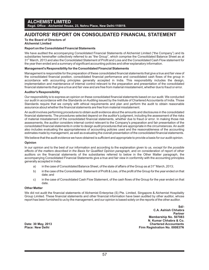#### **ALCHEMIST LIMITED Regd. Office : Alchemist House, 23, Nehru Place, New Delhi-110019.**

# **AUDITORS' REPORT ON CONSOLIDATED FINANCIAL STATEMENT**

**To the Board of Directors of** 

### **Alchemist Limited**

#### **Report on the Consolidated Financial Statements**

We have audited the accompanying Consolidated Financial Statements of Alchemist Limited ("the Company") and its subsidiaries hereinafter collectively referred to as "the Group", which comprise the Consolidated Balance Sheet as at 31<sup><sup>st</sup> March, 2013 and also the Consolidated Statement of Profit and Loss and the Consolidated Cash Flow statement for</sup> the year then ended and a summary of significant accounting policies and other explanatory information.

#### **Management's Responsibility for the Consolidated Financial Statements**

Management is responsible for the preparation of these consolidated financial statements that give a true and fair view of the consolidated financial position, consolidated financial performance and consolidated cash flows of the group in accordance with accounting principles generally accepted in India. This responsibility includes the design, implementation and maintenance of internal control relevant to the preparation and presentation of the consolidated financial statements that give a true and fair view and are free from material misstatement, whether due to fraud or error.

#### **Auditor's Responsibility**

Our responsibility is to express an opinion on these consolidated financial statements based on our audit. We conducted our audit in accordance with the Standards on Auditing issued by the Institute of Chartered Accountants of India. Those Standards require that we comply with ethical requirements and plan and perform the audit to obtain reasonable assurance about whether the financial statements are free from material misstatement.

An audit involves performing procedures to obtain audit evidence about the amounts and disclosures in the consolidated financial statements. The procedures selected depend on the auditor's judgment, including the assessment of the risks of material misstatement of the consolidated financial statements, whether due to fraud or error. In making those risk assessments, the auditor considers internal control relevant to the Company's preparation and fair presentation of the consolidated financial statements in order to design audit procedures that are appropriate in the circumstances. An audit also includes evaluating the appropriateness of accounting policies used and the reasonableness of the accounting estimates made by management, as well as evaluating the overall presentation of the consolidated financial statements.

We believe that the audit evidence we have obtained is sufficient and appropriate to provide a basis for our audit opinion.

#### **Opinion**

In our opinion and to the best of our information and according to the explanation given to us, *except for the possible effects of the matters described in the Basis for Qualified Opinion paragraph*, and on consideration of report of other auditors on the financial statements of the subsidiaries referred to below in the Other Matter paragraph, the accompanying Consolidated Financial Statements give a true and fair view in conformity with the accounting principles generally accepted in India:

- a) in the case of Consolidated Balance Sheet, of the state of affairs of the Group as at 31<sup><sup>st</sup> March, 2013;</sup>
- b) in the case of the Consolidated Statement of Profit & Loss, of the profit of the Group for the year ended on that date; and
- c) in the case of Consolidated Cash Flow Statement, of the cash flows of the Group for the year ended on that date.

#### **Other Matter**

We did not audit the financial statements of Alchemist Enterprise (S) Pte. Limited, Singapore & Alchemist Hospitality Group Limited. These financial statements and other financial information have been audited by other auditor, whose report has been furnished to us by the management, and our opinion is based solely on the reports of the other auditor.

**Sd/- C.A. Ashish Chhabra Partner Membership No. 507083 N. Kumar Chhabra & Co. Date: 30 May, 2013 Chartered Accountants Firm Registration No. 000837N**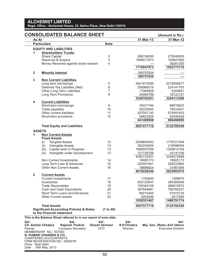**Regd. Office : Alchemist House, 23, Nehru Place, New Delhi-110019.**

| As At          | <b>CONSOLIDATED BALANCE SHEET</b>                                 |                         |             | 31-Mar-13  | (Amount in Rs.)<br>31-Mar-12  |
|----------------|-------------------------------------------------------------------|-------------------------|-------------|------------|-------------------------------|
|                | <b>Particulars</b>                                                | <b>Note</b>             |             |            |                               |
|                |                                                                   |                         |             |            |                               |
|                | <b>EQUITY AND LIABILITIES</b>                                     |                         |             |            |                               |
| 1              | <b>Shareholders' Funds:</b>                                       |                         |             |            |                               |
|                | <b>Share Capital</b>                                              | $\overline{2}$          |             | 268136000  | 275046000                     |
|                | Reserves & Surplus                                                | 3                       |             | 1508511873 | 740847926                     |
|                | Money Received against share warrant                              | $\overline{\mathbf{4}}$ |             |            | 36281250                      |
|                |                                                                   |                         |             | 1776647873 | 1052175176                    |
| $\overline{2}$ | <b>Minority Interest</b>                                          |                         |             | 189757634  |                               |
|                |                                                                   |                         |             | 189757634  |                               |
| 3              | <b>Non Current Liabilities</b>                                    |                         |             |            |                               |
|                | Long term borrowings                                              | 5                       |             | 2941673095 | 3018594677                    |
|                | Deferred Tax Liabilities (Net)                                    | $\,6$                   |             | 256966519  | 224141783                     |
|                | Other Long Term Liabilities                                       | 7                       |             | 17060838   | 5254681                       |
|                | Long Term Provisions                                              | 8                       |             | 34064799   | 16122127                      |
|                |                                                                   |                         |             | 3249765251 | 3264113268                    |
| 4              | <b>Current Liabilities</b>                                        |                         |             |            |                               |
|                | Short-term borrowings                                             | $\boldsymbol{9}$        |             | 65511184   | 89919623                      |
|                | Trade payables                                                    | 10                      |             | 92225640   | 79033401                      |
|                | Other current liabilities                                         | 11                      |             | 257047130  | 575497453                     |
|                | Short-term provisions                                             | 12                      |             | 26623004   | 62046428                      |
|                |                                                                   |                         |             | 441406958  | 806496905                     |
|                |                                                                   |                         |             |            | 5122785349                    |
|                | <b>Total Equity and Liabilities</b>                               |                         |             | 5657577716 |                               |
|                | <b>ASSETS</b>                                                     |                         |             |            |                               |
| 1              | <b>Non Current Assets</b>                                         |                         |             |            |                               |
|                | <b>Fixed Assets</b>                                               |                         |             |            |                               |
|                | <b>Tangible Assets</b><br>(i)                                     | 13                      |             | 2059605482 | 1779721549                    |
|                | Intangible Assets<br>(ii)                                         | 13                      |             | 292240004  | 218098059                     |
|                | Capital work in Progress<br>(iii)                                 | 13                      |             | 1886557059 | 1305612184                    |
|                | Intangible under Development<br>(iii)                             | 13                      |             | 121729756  | 43141156                      |
|                |                                                                   |                         |             | 4360132301 | 3346572948                    |
|                | Non Current Investments                                           | 14                      |             | 18905173   | 18905173                      |
|                | Long Term Loan & Advances                                         | 15                      |             | 222491941  | 226533890                     |
|                | <b>Other Non Current Assets</b>                                   | 16                      |             | 16696834   | 31981564                      |
|                |                                                                   |                         |             | 4618226249 | 3623993575                    |
| $\overline{2}$ | <b>Current Assets</b>                                             |                         |             |            |                               |
|                | <b>Current Investments</b>                                        | 17                      |             | 1783935    | 1389675                       |
|                |                                                                   | 18                      |             |            |                               |
|                | Inventories                                                       |                         |             | 402125047  | 385369499                     |
|                | <b>Trade Receivables</b>                                          | 19                      |             | 155344109  | 266815670                     |
|                | Cash and Cash Equivalents                                         | 20                      |             | 387644881  | 790784227                     |
|                | Short Term Loans and Advances                                     | 21                      |             | 88210449   | 51915139                      |
|                | <b>Other Current assets</b>                                       | 22                      |             | 4243046    | 2517564                       |
|                |                                                                   |                         |             | 1039351467 | 1498791774                    |
|                | <b>Total Assets</b>                                               |                         |             | 5657577716 | 5122785349                    |
|                | <b>Significant Accounting Policies &amp; Notes</b>                | (1 to 49)               |             |            |                               |
|                | to the financial statement                                        |                         |             |            |                               |
|                | This is the Balance Sheet referred to in our report of even date. |                         |             |            |                               |
|                | $Sd$ -                                                            | Sd/-                    | $Sd$ -      |            | Sd/-                          |
|                | <b>CA. Ashish Chhabra</b><br><b>Rajansh Thukral</b>               | <b>Dinesh Vermani</b>   | R.P.Chhabra |            | Maj. Gen. (Retd.) Anil Oberoi |
| Partner        | <b>Company Secretary</b>                                          | CFO                     | Director    |            | <b>Executive Director</b>     |
|                | MEMBERSHIP NO.: 507083                                            |                         |             |            |                               |
|                | <b>N. KUMAR CHHABRA &amp; CO.</b>                                 |                         |             |            |                               |
|                | CHARTERED ACCOUNTANTS<br>FIRM REGISTRATION NO.: 000837N           |                         |             |            |                               |
|                | Place: New Delhi                                                  |                         |             |            |                               |
|                |                                                                   |                         |             |            |                               |

Date : 30th May, 2013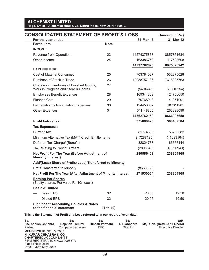**Regd. Office : Alchemist House, 23, Nehru Place, New Delhi-110019.**

| <b>CONSOLIDATED STATEMENT OF PROFIT &amp; LOSS</b><br>For the year ended         |             | 31-Mar-13   | (Amount in Rs.)<br>31-Mar-12 |
|----------------------------------------------------------------------------------|-------------|-------------|------------------------------|
| <b>Particulars</b>                                                               | <b>Note</b> |             |                              |
| <b>INCOME</b>                                                                    |             |             |                              |
| Revenue from Operations                                                          | 23          | 14574375867 | 8857851634                   |
| Other Income                                                                     | 24          | 163386758   | 117523608                    |
|                                                                                  |             | 14737762625 | 8975375242                   |
| <b>EXPENDITURE</b>                                                               |             |             |                              |
| <b>Cost of Material Consumed</b>                                                 | 25          | 703784087   | 532375028                    |
| Purchase of Stock in Trade                                                       | 26          | 12988757136 | 7618395763                   |
| Change in Inventories of Finished Goods,                                         | 27          |             |                              |
| Work in Progress and Store & Spares                                              |             | (5494745)   | (20710254)                   |
| <b>Employees Benefit Expenses</b>                                                | 28          | 169344302   | 124756650                    |
| <b>Finance Cost</b>                                                              | 29          | 70768913    | 41251091                     |
| Deprecation & Amortization Expenses                                              | 30          | 124453652   | 107611281                    |
| <b>Other Expenses</b>                                                            | 31          | 311148805   | 263228099                    |
|                                                                                  |             | 14362762150 | 8666907658                   |
| <b>Profit before tax</b>                                                         |             | 375000475   | 308467584                    |
| <b>Tax Expenses:</b>                                                             |             |             |                              |
| <b>Current Tax</b>                                                               |             | 81774805    | 58730582                     |
| Minimum Alternative Tax (MAT) Credit Entitlements                                |             | (17287125)  | (11093164)                   |
| Deferred Tax Charge/ (Benefit)                                                   |             | 32824738    | 65556144                     |
| Tax Relating to Previous Years                                                   |             | (2898345)   | (43590943)                   |
| Net Profit For The Year (Before Adjustment of<br><b>Minority Interest)</b>       |             | 280586402   | 238864965                    |
| Add/(Less) Share of Profit/(Loss) Transferred to Minority                        |             |             |                              |
| Profit Transferred to Minority                                                   |             | (8656338)   |                              |
| Net Profit For The Year (After Adjustment of Minority Interest)                  |             | 271930064   | 238864965                    |
| <b>Earning Per Shares</b><br>(Equity shares, Per value Rs 10/- each)             |             |             |                              |
| <b>Basic &amp; Diluted</b>                                                       |             |             |                              |
| <b>Basic EPS</b>                                                                 | 32          | 20.56       | 19.50                        |
| <b>Diluted EPS</b>                                                               | 32          | 20.05       | 19.50                        |
| <b>Significant Accounting Policies &amp; Notes</b><br>to the financial statement | (1 to 49)   |             |                              |

**This is the Statement of Profit and Loss referred to in our report of even date.**

| $Sd$ -                                                                                                                                                  | $Sd$ -                 | $Sd$ -         | Sd              | $Sd$ -                        |
|---------------------------------------------------------------------------------------------------------------------------------------------------------|------------------------|----------------|-----------------|-------------------------------|
| <b>CA. Ashish Chhabra</b>                                                                                                                               | <b>Rajansh Thukral</b> | Dinesh Vermani | R.P.Chhabra     | Maj. Gen. (Retd.) Anil Oberoi |
| Partner                                                                                                                                                 | Company Secretary      | CFO            | <b>Director</b> | Executive Director            |
| MEMBERSHIP NO.: 507083<br>N. KUMAR CHHABRA & CO.<br>CHARTERED ACCOUNTANTS<br>FIRM REGISTRATION NO.: 000837N<br>Place: New Delhi<br>Date: 30th May, 2013 |                        |                |                 |                               |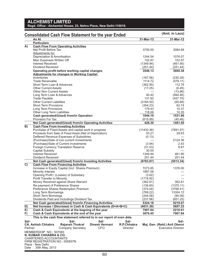#### **Consolidated Cash Flow Statement for the year Ended As At 31-Mar-13 31-Mar-12 Particulars A) Cash Flow From Operating Activities** Net Profit Before.Tax 3084.68 Adjustments for: Depreciation & Amortisation 1244.54 1076.07 Misc Expenses Written Off **152.97** 152.97 Interest Received (1349.94) (461.90) Dividend Received (251.44) (251.44) **Operating profit before working capital changes 3546.13 3600.38 Adjustments for changes in Working Capital:** Inventories (167.56) (230.28) Trade Receivable 1114.72 (576.11) Short Term Loan & Advances Other Current Assets (17.25) (6.45)<br>Other Non Current Assets (17.25) (6.45) Other Non Current Assets Long Term Loan & Advances (944.46) and the control of the control of the control of the control of the control of the control of the control of the control of the control of the control of the control of the control of the Trade Pavable Other Current Liabilities (3184.50) (65.68)<br>
Short Term Provisions (32.74 Short Term Provisions Long Term Provisions 10.37 Other Long Term Liabilities **10.35**<br>
Cash generated/(Used) from/in Operation **10.35**<br>
Cash generated/(Used) from/in Operation **Cash generated/(Used) from/in Operation 1044.19 1531.96**  Provision For Tax **Net Cash generated/(Used) from/in Operating Activities 428.30 1491.50 B) Cash Flow From Investing Activities** Purchase of Fixed Assets and capital work in progress (11433.36) (7891.97) Proceeds from Sale of Fixed Asset (Net of Deprication) 53.21 53.21 29.63<br>
Deffered Revenue Expenses of Subsidiries (0.13) - 29.63 Deffered Revenue Expenses of Subsidiries (Purchase)/Sale of non current Investments — 2124.36 (Purchase)/Sale of Current Investments (3.94) 2.43 Foreign Currency Translation Reserve (31.03) 8.87 Capital Subsidy Partnerst Received 1349.94 461.90<br>Dividend Received 251.44 251.44 251.44 Dividend Received **Net Cash generated/(Used) from/in Investing Activities (9783.87) (5013.34) C) Cash Flow From Financing Activities** Increase in Equity Capital (Incl Shares Premium) 7273.85 1376.00 Minority Interest 1897.58<br>
Opening Profit / (Losses) of Subsidary (3.62) Opening Profit / (Losses) of Subsidary (3.62) — Profit Transfer to Minority (1718.92) — Money Received against Share Warrant (362.81) 362.81 (362.81)<br>Re-payment of Preference Shares (362.81) 362.81 (1370.11) Re-payment of Preference Shares (136.60) (136.60) (1370.11)<br>Preferance Shares Redemption Premium (1370.11) (374.04) (3768.41) Preferance Shares Redemption Premium Long Term Borrowings (769.22) 13304.12 Short Term Borroiwgs (244.08) (84.09) Dividends Paid and Includings Dividend Tax (237.96) (601.25)<br>
Net Cash generated/(Used) from/in Financing Activities 5324.18 9219.07 **Net Cash generated/(Used) from/in Financing Activities 5324.18 9219.07 D) Net Increase / (Decrease) in Cash & Cash Equivalents (D=A+B+C) (4031.39) 5697.23 E) Cash & Cash Equivalents at the begning of the year 7907.84 2210.61 F) Cash & Cash Equivalents at the end of the year 3876.45 7907.84 This is the cash flow statement referred to in our report of even date. Sd/- Sd/- Sd/- Sd/- Sd/- CA. Ashish Chhabra Rajansh Thukral Dinesh Vermani R.P.Chhabra Maj. Gen. (Retd.) Anil Oberoi** Partner Company Secretary CFO Director MEMBERSHIP NO.: 507083 **N. KUMAR CHHABRA & CO.** CHARTERED ACCOUNTANTS FIRM REGISTRATION NO.: 000837N **(Amt. in Lacs) Regd. Office : Alchemist House, 23, Nehru Place, New Delhi-110019.**

**ALCHEMIST LIMITED**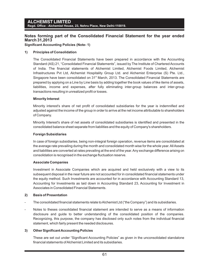### **ALCHEMIST LIMITED Regd. Office : Alchemist House, 23, Nehru Place, New Delhi-110019.**

# **Notes forming part of the Consolidated Financial Statement for the year ended March 31,2013**

### **Significant Accounting Policies (Note- 1)**

### **1) Principles of Consolidation**

The Consolidated Financial Statements have been prepared in accordance with the Accounting Standard (AS) 21, "Consolidated Financial Statements", issued by The Institute of Chartered Accounts of India. The financial statements of Alchemist Limited, Alchemist Foods Limited, Alchemist Infrastructures Pvt Ltd, Alchemist Hospitality Group Ltd. and Alchemist Enterprise (S) Pte. Ltd., Singapore have been consolidated on 31<sup>st</sup> March, 2013. The Consolidated Financial Statements are prepared by applying on a Line by Line basis by adding together the book values of like items of assets, liabilities, income and expenses, after fully eliminating inter-group balances and inter-group transactions resulting in unrealized profit or losses.

### **Minority Interest**

Minority interest's share of net profit of consolidated subsidiaries for the year is indemnified and adjusted against the income of the group in order to arrive at the net income attributable to shareholders of Company.

Minority Interest's share of net assets of consolidated subsidiaries is identified and presented in the consolidated balance sheet separate from liabilities and the equity of Company's shareholders.

### **Foreign Subsidiaries**

In case of foreign subsidiaries, being non-integral foreign operation, revenue items are consolidated at the average rate prevailing during the month and consolidated month wise for the whole year. All Assets and liabilities are converted at rates prevailing at the end of the year. Any exchange difference arising on consolidation is recognised in the exchange fluctuation reserve.

### **Associate Companies**

Investment in Associate Companies which are acquired and held exclusively with a view to its subsequent disposal in the near future are not accounted for in consolidated financial statements under the equity method. Such Investments are accounted for in accordance with Accounting Standard 13, Accounting for Investments as laid down in Accounting Standard 23, Accounting for Investment in Associates in Consolidated Financial Statements.

### **2) Basis of Presentation**

- The consolidated financial statements relate to Alchemist Ltd ("the Company") and its subsidiaries.
- Notes to theses consolidated financial statement are intended to serve as a means of information disclosure and guide to better understanding of the consolidated position of the companies. Recognizing, this purpose, the company has disclosed only such notes from the individual financial statement, which fairly present the needed disclosures.

### **3) Other Significant Accounting Policies**

These are set out under "Significant Accounting Policies" as given in the unconsolidated standalone financial statements of Alchemist Limited and its subsidiaries.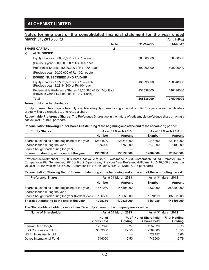### **Notes forming part of the consolidated financial statement for the year ended March 31, 2013** *contd.* **(Amt. in Rs.)**

|    |                                                                                                       | <b>Note</b> | 31-Mar-13 | 31-Mar-12 |
|----|-------------------------------------------------------------------------------------------------------|-------------|-----------|-----------|
|    | <b>SHARE CAPITAL</b>                                                                                  | 2           |           |           |
| a) | <b>AUTHORISED</b>                                                                                     |             |           |           |
|    | Equity Shares - 3,00,00,000 of Rs. 10/- each                                                          |             | 300000000 | 300000000 |
|    | (Previous year -3,00,00,000 of Rs. 10/- each)                                                         |             |           |           |
|    | Preference Shares - 50,00,000 of Rs 100/- each                                                        |             | 500000000 | 500000000 |
|    | (Previous year -50,00,000 of Rs 100/- each)                                                           |             |           |           |
| b) | <b>ISSUED, SUBSCRIBED AND PAID-UP</b>                                                                 |             |           |           |
|    | Equity Shares - 1,35,59,800 of Rs.10/- each<br>(Previous year 1,28,84,800 of Rs.10/- each)            |             | 135598000 | 128848000 |
|    | Redeemable Preference Shares 13,25,380 of Rs 100/- Each<br>(Previous year 14,61,980 of Rs 100/- Each) |             | 132538000 | 146198000 |
|    | Total                                                                                                 |             | 268136000 | 275046000 |

#### **Terms/right attached to shares:**

**Equity Shares:** The company has only one class of equity shares having a par value of Rs. 10/- per shares. Each holders of equity Shares is entitled to one vote per share.

**Redeemable Preference Shares:** The Preference Shares are in the nature of redeemable preference shares having a par value of Rs. 100/- per share.

#### **Reconciliation Showing No. of Shares Outstanding at the beginning and at the end of the accounting period:**

| <b>Equity Shares</b>                            |               | As at 31 March 2013 | As at 31 March 2012 |               |
|-------------------------------------------------|---------------|---------------------|---------------------|---------------|
|                                                 | <b>Number</b> | Amount              | <b>Number</b>       | <b>Amount</b> |
| Shares outstanding at the beginning of the year | 12884800      | 128848000           | 12244800            | 122448000     |
| Shares Issued during the year *                 | 675000        | 6750000             | 640000              | 6400000       |
| Shares bought back during the year              | __            |                     |                     |               |
| Shares outstanding at the end of the year       | 13559800      | 135598000           | 12884800            | 128848000     |

\*Preferential Allotment of 6,75,000 Shares, par value of Rs. 10/- was made to KDS Corporation Pvt Ltd, Promoter Group Company on 29th September, 2013 at Rs. 215 per share, (Previous Year Preferential Allotment of 6,40,000 Shares, par value of Rs. 10/- was made to KDS Corporation Pvt Ltd, on 28th March, 2012 at Rs. 215 per share)

#### **Reconciliation Showing No. of Shares outstanding at the beginning and at the end of the accounting period:**

| <b>Preference Shares</b>                        |               | <b>As at 31 March 2013</b> |               | As at 31 March 2012 |  |
|-------------------------------------------------|---------------|----------------------------|---------------|---------------------|--|
|                                                 | <b>Number</b> | Amount                     | <b>Number</b> | Amount              |  |
| Shares outstanding at the beginning of the year | 1461980       | 146198000                  | 2832090       | 283209000           |  |
| Shares Issued during the year                   |               |                            |               |                     |  |
| Shares bought back during the year (Redemption) | 136600        | 13660000                   | 1370110       | 137011000           |  |
| Shares outstanding at the end of the year       | 1325380       | 132538000                  | 1461980       | 146198000           |  |

#### **The Shareholders holdings more than 5% equity shares of the company are as under :**

| Name of Shareholder            |                              | <b>As at 31 March 2013</b> | As at 31 March 2012                          |                                |  |
|--------------------------------|------------------------------|----------------------------|----------------------------------------------|--------------------------------|--|
|                                | No. of<br><b>Shares held</b> | <b>Holding</b>             | % of No. of Share held<br><b>Shares held</b> | % of Holding<br><b>Holding</b> |  |
| Kanwar Deep Singh              | 1257020                      | 9.27                       | 1257020                                      | 9.76                           |  |
| <b>KDS Corporation Pvt Ltd</b> | 3059000                      | 22.56                      | 2384000                                      | 18.50                          |  |
| <b>HS FII Investments Ltd</b>  |                              |                            | 727457                                       | 5.65                           |  |
| Davos International Fund       | 746000                       | 5.50                       | 746000                                       | 5.79                           |  |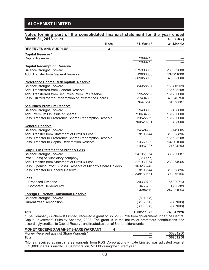### **Notes forming part of the consolidated financial statement for the year ended March 31, 2013** *contd.* **(Amt. in Rs.)**

|                                                                 | <b>Note</b> | 31-Mar-13  | 31-Mar-12 |
|-----------------------------------------------------------------|-------------|------------|-----------|
| <b>RESERVES AND SURPLUS</b>                                     | 3           |            |           |
| <b>Capital Reserve *</b>                                        |             |            |           |
| <b>Capital Reserve</b>                                          |             | 2999716    |           |
|                                                                 |             | 2999716    |           |
| <b>Capital Redemption Reserve</b>                               |             |            |           |
| <b>Balance Brought Forward</b>                                  |             | 375393000  | 238382000 |
| Add: Transfer from General Reserve                              |             | 13660000   | 137011000 |
|                                                                 |             | 389053000  | 375393000 |
| <b>Preference Shares Redemption Reserve</b>                     |             |            |           |
| <b>Balance Brought Forward</b>                                  |             | 84358587   | 163416129 |
| Add: Transferred from General Reserve                           |             |            | 166583208 |
| Add: Transferred from Securities Premium Reserve                |             | 29522269   | 131200000 |
| Less: Utilized for the Redemption of Preference Shares          |             | 37404308   | 376840750 |
|                                                                 |             | 76476548   | 84358587  |
| <b>Securities Premium Reserve</b>                               |             |            |           |
| <b>Balance Brought Forward</b>                                  |             | 9408000    | 9408000   |
| Add: Premium On Issue of Shares                                 |             | 720634550  | 131200000 |
| Less: Transfer to Preference Shares Redemption Reserve          |             | 29522269   | 131200000 |
|                                                                 |             | 700520281  | 9408000   |
| <b>General Reserve</b>                                          |             |            |           |
| <b>Balance Brought Forward</b>                                  |             | 24624293   | 9149605   |
| Add: Transfer from Statement of Profit & Loss                   |             | 8103544    | 319068896 |
| Less: Transfer to Preference Shares Redemption Reserve          |             |            | 166583208 |
| Less: Transfer to Capital Redemption Reserve                    |             | 13660000   | 137011000 |
|                                                                 |             | 19067837   | 24624293  |
| <b>Surplus in Statement of Profit &amp; Loss</b>                |             |            |           |
| <b>Balance Brought Forward</b>                                  |             | 247951054  | 388280087 |
| Profit\(Loss) of Subsidiary company                             |             | (361777)   |           |
| Add: Transfer from Statement of Profit & Loss                   |             | 271930064  | 238864965 |
| Less: Opening Profit \ (Loss) Reserve of Minority Share Holders |             | 163235246  |           |
| Less: Transfer to General Reserve                               |             | 8103544    | 319068896 |
|                                                                 |             | 348180551  | 308076156 |
| Less:                                                           |             |            |           |
| Proposed Dividend                                               |             | 20339700   | 55329713  |
| Corporate Dividend Tax                                          |             | 3456732    | 4795389   |
|                                                                 |             | 324384119  | 247951054 |
| <b>Foreign Currency Translation Reserve</b>                     |             |            |           |
| <b>Balance Brought Forward</b>                                  |             | (887008)   |           |
| <b>Current Year Recognition</b>                                 |             | (3102620)  | (887008)  |
|                                                                 |             | (3989628)  | (887008)  |
| Total                                                           |             | 1508511873 | 740847926 |

\* The Company (Alchemist Limited) received a grant of Rs. 29,99,716 from government under the Central Capital Investment Subsidy Scheme, 2003. The grant is in the nature of promoters contributions and accordingly credited to Capital Reserve and treated as part of Shareholders funds.

| <b>MONEY RECEIVED AGAINST SHARE WARRANT</b>                                                       |          |
|---------------------------------------------------------------------------------------------------|----------|
| Money Received against Share Warrants*                                                            | 36281250 |
| <b>Total</b>                                                                                      | 36281250 |
| *Negro respired conjust charge werents from KDC Corporations Drivete Limited was adjusted conjust |          |

Money received against shares warrants from KDS Corporations Private Limited was adjusted against 6,75,000 Shares issued to KDS Corporation Pvt. Ltd. during the current year.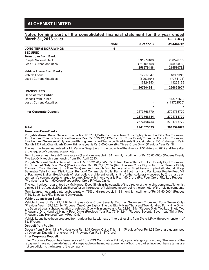### **Notes forming part of the consolidated financial statement for the year ended March 31, 2013** *contd.* **(Amt. in Rs.)**

|                                 |             |            | , הכתונות וחד |
|---------------------------------|-------------|------------|---------------|
|                                 | <b>Note</b> | 31-Mar-13  | 31-Mar-12     |
| <b>LONG-TERM BORRIWINGS</b>     | 5           |            |               |
| <b>SECURED</b>                  |             |            |               |
| <b>Term Loan from Bank</b>      |             |            |               |
| <b>Punjab National Bank</b>     |             | 331979488  | 260570782     |
| <b>Less: Current Maturities</b> |             | (75000000) | (45000000)    |
|                                 |             | 256979488  | 215570782     |
| <b>Vehicle Loans from Banks</b> |             |            |               |
| Vehicle Loans                   |             | 17217047   | 18989249      |
| <b>Less: Current Maturities</b> |             | (6292194)  | (7734124)     |
|                                 |             | 10924853   | 11255125      |
|                                 |             | 267904341  | 226825907     |
| <b>UN-SECURED</b>               |             |            |               |
| <b>Deposit from Public</b>      |             |            |               |
| Deposit from Public             |             |            | 113752500     |
| Less: Current Maturities        |             |            | (113752500)   |
|                                 |             |            |               |
| <b>Inter Corporate Deposit</b>  |             | 2673768770 | 2791768770    |
|                                 |             | 2673768754 | 2791768770    |
|                                 |             | 2673768754 | 2791768770    |
| Total                           |             | 2941673095 | 3018594677    |
|                                 |             |            |               |

#### **Term Loan From Banks**

**Punjab National Bank:** Secured Loan of Rs. 17,87,51,224/- (Rs. Seventeen Crore Eighty Seven Lac Fifty One Thousand Two Hundred Twenty Four Only) (Previous Year Rs. 6,23,42,517/- (Rs. Six Crore Twenty Three Lac Forty Two Thousand Five Hundred Seventeen Only) secured through exclusive Charge on Fixed Assets Block, situated at F-5, Kishangarh Rajiv Gandhi I.T. Park, Chandigarh. Due with in one year is Rs. 3.00 Crore (Rs. Three Crore Only ) (Previous Year Rs. Nil).

The loan has been guaranteed by Mr. Kanwar Deep Singh in the capacity of the director till 31st August,2012 and thereafter at the request of company, as promoter.

Term Loan carries interest @ base rate + 4% and is repayable in 84 monthly installment of Rs. 25,00,000/- (Rupees Twenty Five Lac Only) each, commencing from 30th April, 2013.

**Punjab National Bank:-** Secured Loan of Rs. 15,32,28,264/- (Rs. Fifteen Crore Thirty Two Lac Twenty Eight Thousand Two Hundred Sixty Four Only) (Previous Year Rs. 19,82,28,265/- (Rs. Nineteen Crore Eighty Two Lac Twenty Eighty Thousand Two Hundred Sixty Five Only) secured through first charge against Fixed Assets of plant situated at village Banmajra, Tehsil Kharar, Distt. Ropar, Punjab & Commercial Broiler Farms at Boothgarh and Ranjitpura, Poultry Feed Mill at Pathankot & Misc. fixed Assets of retail outlets at different locations. It is further collaterally secured by 2nd charge on company's current assets charged to bank. Due with in one year is Rs. 4.50 Crore (Rs. Four Crore Fifty Lac Rupees ) (Previous Year Rs. 4.50 Crore Rupees Four Crore Fifty Lac Only).

The loan has been guaranteed by Mr. Kanwar Deep Singh in the capacity of the director of the holding company, Alchemist Limited till 31st August, 2012 and thereafter on the request of holding company, being the promoter of the holding company. Term Loan carries carries interest base rate +4.75% and is repayable in 84 monthly installment of Rs. 37,50,000/- (Rupees Thirty Seven Lac Fifty Thousand Only) each.

#### **Vehicle Loans from Banks**

Vehicle Loans of Rs.1,72,17,047/- (Rupees One Crore Seventy Two Lac Seventeen Thousand Forty Seven Only) (Previous Year 1,89,89,249/- (Rupees One Crore Eighty Nine Lac Eighty Nine Thousand Two Hundred Forty Nine Only ) are Secured against hypothecation of vehicles. Due with in one year is Rs. 62,92,194/- (Rupees Sixty Two Lac Ninety Two Thousand One Hundred Ninety Four Only) (Previous Year Rs. 77,34,124/- (Rupees Seventy Seven Lac Thirty Four Thousand One Hundred Twenty Four Only)

Vehicle Loans have been procured from various banks with rate of interest varying from 9% to 12% with repayment term of 3 to 5 Years.

#### **Deposit from Public :**

Deposit from Public - Nil- ( Previous year Rs 11.37 Crore). Out of This - Nil- (Previous Year Rs 3.33 Crore) are guaranteed by Directors. Due with in one year - Nil- (Previous Year Rs 11.37 Crore)

#### **Inter Corporate Deposit:**

Inter Corporate Deposit has been received from KDS Corproation Pvt Ltd, a promoter group company. The terms of the repayment have not been defined and is repayable on the mutual agreement of both the parties involved, hence terms are not prejudicial to the interest of the company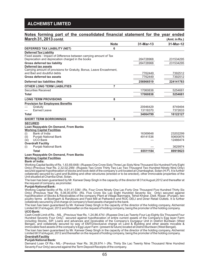### **Notes forming part of the consolidated financial statement for the year ended March 31, 2013** *contd.* **(Amt. in Rs.)**

| 11101 VII V I , LV I V GUIRU.                                        |                |           | , הכזוונה וווח |
|----------------------------------------------------------------------|----------------|-----------|----------------|
|                                                                      | <b>Note</b>    | 31-Mar-13 | 31-Mar-12      |
| <b>DEFERRED TAX LIABILITY (NET)</b>                                  | 6              |           |                |
| <b>Deferred Tax Liability</b>                                        |                |           |                |
| Fixed assets: Impact of Difference between carrying amount of Tax    |                |           |                |
| Deprecation and deprecation charged in the books                     |                | 264728968 | 231534295      |
| <b>Gross deferred tax liability</b>                                  |                | 264728968 | 231534295      |
| Deferred tax assets                                                  |                |           |                |
| Carrying amount of provisions for Gratuity, Bonus, Leave Encashment, |                |           |                |
| and Bad and doubtful debts                                           |                | 7762449   | 7392512        |
| Gross deferred tax assets                                            |                | 7762449   | 7392512        |
| Deferred tax liabilities (Net)                                       |                | 256966519 | 224141783      |
| <b>OTHER LONG TERM LIABILITIES</b>                                   | $\overline{7}$ |           |                |
| <b>Securities Received</b>                                           |                | 17060838  | 5254681        |
| <b>Total</b>                                                         |                | 17060838  | 5254681        |
| <b>LONG TERM PROVISIONS</b>                                          | 8              |           |                |
| <b>Provision for Employees Benefits</b>                              |                |           |                |
| Gratuity                                                             |                | 20946429  | 8749494        |
| <b>Earned Leave</b>                                                  |                | 13118370  | 7372633        |
| <b>Total</b>                                                         |                | 34064799  | 16122127       |
| <b>SHORT TERM BORROWINGS</b>                                         | 9              |           |                |
| <b>SECURED</b>                                                       |                |           |                |
| Loan Repayable On Demand, From Banks                                 |                |           |                |
| <b>Working Capital Facilities</b>                                    |                |           |                |
| Bank of India<br>(i)                                                 |                | 16369648  | 23202299       |
| <b>Punjab National Bank</b><br>(ii)                                  |                | 49141536  | 50600876       |
| <b>UCO Bank</b><br>(iii)                                             |                |           | 12486474       |
| <b>Overdraft Facility</b>                                            |                |           |                |
| <b>Punjab National Bank</b><br>(i)                                   |                |           | 3629974        |
| <b>Total</b>                                                         |                | 65511184  | 89919623       |
| Loan Repayable On Demand, From Banks                                 |                |           |                |
| <b>Working Capital Facilities</b>                                    |                |           |                |
| <b>Rank of India</b>                                                 |                |           |                |

#### **Bank of India:**

Working Capital facility of Rs. 1,63,69,648/- (Rupees One Crore Sixty Three Lac Sixty Nine Thousand Six Hundred Forty Eight Only) (Previous Year Rs. 2,32,02,299/- (Rupees Two Crore Thirty Two Lac Two Thousand Two Hundred Ninety Nine Only) secured against hypothecation of stocks and book debt of the company's unit located at Chambaghat, Solan (H.P). It is further collaterally secured by Land and Building and other structures (erected or to be erected), other immovable properties of the Unit situated at Chamba Ghat, Solan.

The loan has been guaranteed by Mr. Kanwar Deep Singh in the capacity of the director till 31st August,2012 and thereafter at the request of company, as promoter.

#### **Punjab National Bank:**

Working Capital facility of Rs. 4,91,41,536/- (Rs. Four Crore Ninety One Lac Forty One Thousand Five Hundred Thirty Six Only) (Previous Year Rs. 5,06,00,876/- (Rs. Five Crore Six Lac Eight Hundred Seventy Six Only) secured against hypothecation of Stocks & Receivables of the company Plant at Village Banmajra, Tehsil Kharar, Distt. Ropar, (Punjab), two poultry farms at Boothgarh & Ranjitpura and Feed Mill at Pathankot and ROC DELI and Diner Retail Outlets. It is further collaterally secured by 2nd charge on company's fixed assets charged to the bank.

The loan has been guaranteed by Mr. Kanwar Deep Singh in the capacity of the director of the holding company, Alchemist Limited till 31st August, 2012 and thereafter on the request of holding company, being the promoter of the holding company. **UCO Bank:** 

Cash Credit Limit of Rs. - NIL\_(Previous Year Rs. 1,24,86,474/- (Rupees One Lac Twenty Four Lac Eighty Six Thousand Four Hundred Seventy Four Only) secured against hypothecation of entire current assets of the Company's Egg layer Farm including Stocks, SIP, Loans and advances and receivable of the Company's Durgapur Unit in District Burdwan (West Bengal). and collaterally secured by way of EMTD/exclusive charge on Land & Building and other assets movable & immovable fixed assets of the company's Egg Layer Farm (present & future) located at District Burdwan (West Bengal).

The loan has been guaranteed by Mr. Kanwar Deep Singh in the capacity of the director of the holding company, Alchemist Limited till 31st August, 2012 and thereafter on the request of holding company, being the promoter of the holding company. **Overdraft Facility**

#### **Punjab National Bank:**

Demand Loan Of Rs.- NIL- (Previous Year Rs. 36,29,974 /- (Rs. Thirty Six Lac Twenty Nine Thousand Nine Hundred Seventy Four Only) secured against the Term Deposit Receipts of the company.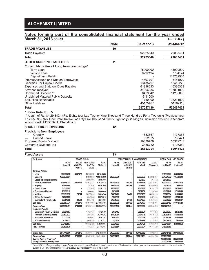### **Notes forming part of the consolidated financial statement for the year ended March 31, 2013** *contd.* **(Amt. in Rs.)**

| <b>Note</b> | 31-Mar-13 | 31-Mar-12 |
|-------------|-----------|-----------|
| 10          |           |           |
|             | 92225640  | 79033401  |
|             | 92225640  | 79033401  |
| 11          |           |           |
|             |           |           |
|             | 75000000  | 45000000  |
|             | 6292194   | 7734124   |
|             |           | 113752500 |
|             | 4607701   | 3454970   |
|             | 13435797  | 18415270  |
|             | 61938693  | 46386369  |
|             | 34306936  | 105001009 |
|             | 8429342   | 11255098  |
|             | 6111000   |           |
|             | 1750000   | 193231000 |
|             | 45175467  | 31267113  |
|             | 257047130 | 575497453 |
|             |           |           |

#### **\* Refer Note No. : 5**

\*\* A sum of Rs. 84,29,342/- (Rs. Eighty four Lac Twenty Nine Thousand Three Hundred Forty Two only) (Previous year 1,12,55,098/- (Rs. One Crore Twelve Lac Fifty Five Thousand Ninety Eight only) is lying as unclaimed dividend in separate accounts with HDFC Bank, Chandigarh

| <b>SHORT TERM PROVISIONS</b>     | 12       |          |
|----------------------------------|----------|----------|
| <b>Provisions from Employees</b> |          |          |
| Gratuity                         | 1833667  | 1137855  |
| Earned Leave                     | 992905   | 783471   |
| Proposed Equity Dividend         | 20339700 | 55329713 |
| Corporate Dividend Tax           | 3456732  | 4795389  |
| Total                            | 26623004 | 62046428 |

| <b>Fixed Assets</b>                                        |                   |                                   |                                                     |                    | 13                |                                        |                        |                    |                         |                        |
|------------------------------------------------------------|-------------------|-----------------------------------|-----------------------------------------------------|--------------------|-------------------|----------------------------------------|------------------------|--------------------|-------------------------|------------------------|
| <b>Particulars</b>                                         |                   | <b>GROSS BLOCK</b>                |                                                     |                    |                   | <b>DEPRECIATION &amp; AMORTISATION</b> |                        |                    | <b>NET BLOCK</b>        | <b>NET BLOCK</b>       |
|                                                            | AS AT<br>1-Apr-12 | SALE /<br>ADJUST-<br><b>MENTS</b> | <b>ADDITIONS/</b><br><b>CAPITA-</b><br><b>LISED</b> | AS AT<br>31-Mar-13 | AS AT<br>1-Apr-12 | ON SALE /<br>ADJUST-<br><b>MENTS</b>   | FOR THE<br><b>YEAR</b> | AS AT<br>31-Mar-13 | AS AT<br>31-Mar-13      | AS AT<br>31-Mar-12     |
| <b>Tangible Assets</b>                                     |                   |                                   |                                                     |                    |                   |                                        |                        |                    |                         |                        |
| - Land                                                     | 356806255         | 3407672                           | 28150000                                            | 381548583          |                   |                                        |                        |                    | 381548583               | 356806255              |
| <b>Building</b>                                            | 1006595054        |                                   | 91858945                                            | 1098453999         | 210950661         |                                        | 32882006               | 243832667          | 854621332               | 795644393              |
| - Lease Hold Improvements                                  |                   |                                   | 38593565                                            | 38593565           |                   |                                        | 397872                 | 397872             | 38195693                |                        |
| <b>Plant &amp; Machinerv</b>                               | 638648201         | 2460560                           | 184527787                                           | 820715428          | 189171123         | 189260                                 | 32456438               | 221438301          | 599277127               | 449477078              |
| Sapling                                                    | 69565589          |                                   | 242080                                              | 69807669           | 68659251          | 383266                                 | 223675                 | 68499660           | 1308009                 | 906338                 |
| <b>Green House</b>                                         | 54310280          |                                   | 1251059                                             | 55561339           | 27541363          |                                        | 2613766                | 30155129           | 25406210                | 26768917               |
| <b>Furniture &amp; Fixtures</b>                            | 26600017          |                                   | 2044649                                             | 28644666           | 9434172           |                                        | 3102732                | 12536904           | 16107762                | 17165844               |
| Vehicles                                                   | 136151857         | 74744                             | 20577631                                            | 156654744          | 54467421          | 54476                                  | 13615265               | 68028210           | 88626534                | 81684436               |
| <b>Office Equipment's</b>                                  | 17628667          |                                   | 5647646                                             | 23276313           | 5420567           |                                        | 1076747                | 6497314            | 16778999                | 12208100               |
| - Computer & Peripherals                                   | 63351855          | 29500                             | 9054732                                             | 72377087           | 24291668          | 24490                                  | 10374677               | 34641855           | 37735232                | 39060187               |
| Sub Total                                                  | 2369657774        | 5972476                           | 381948094                                           | 2745633393         | 589936225         | 651492                                 | 96743177               | 686027911          | 2059605482              | 1779721549             |
| <b>Previous Year</b>                                       | 2265837491        | 3799848                           | 107620131                                           | 2369657774         | 503431162         | 828244                                 | 87333307               | 589936225          | 1779721549              |                        |
| <b>Intangible Assets</b>                                   |                   |                                   |                                                     |                    |                   |                                        |                        |                    |                         |                        |
| - Computer Software Licensing                              | 26001857          |                                   | 17127633                                            | 43129490           | 3476412           |                                        | 2656871                | 6133283            | 36996207                | 22525445               |
| <b>Reserch &amp; Developments</b>                          | 230532027         | ٠                                 | 71568265                                            | 302100292          | 54105064          |                                        | 22734718               | 76839782           | 225260510               | 176426963              |
| <b>Technical Know How</b>                                  | 12711730          |                                   | 4096063                                             | 16807793           | 1480747           |                                        | 1272298                | 2753045            | 14054748                | 11230983               |
| <b>Master Franchise</b>                                    | 8206973           |                                   | 9060459                                             | 17267432           | 292305            |                                        | 1046588                | 1338893            | 15928539                | 7914668                |
| <b>Sub Total</b>                                           | 277452587         | ٠                                 | 101852420                                           | 379305007          | 59354528          |                                        | 27710475               | 87065003           | 292240004               | 218098059              |
| <b>Previous Year</b>                                       | 202599836         |                                   | 74852751                                            | 277452587          | 39076554          |                                        | 20277974               | 59354528           | 218098059               |                        |
| <b>Grand Total</b>                                         | 2647110361        | 5972476                           | 483800514                                           | 3124938400         | 649290753         | 651492                                 | 124453652              | 773092914          | 2351845486              | 1997819608             |
| <b>Previous Year</b>                                       | 2468437327        | 3799848                           | 182472882                                           | 2647110361         | 542507716         | 828244                                 | 107611281              | 649290753          | 1997819608              |                        |
| Capital Work in Progress *<br>Intangible under development |                   |                                   |                                                     |                    |                   |                                        |                        |                    | 1886557059<br>121729756 | 1305612184<br>43141156 |

\* Capital Work in Progress mainly includes Capex, interest on borrowed funds attributable to construction of fixed assets and related pre-operative expenses in relation to the construction of<br>building at I.T. Park, Chandig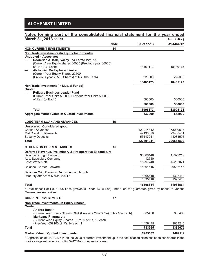# **Notes forming part of the consolidated financial statement for the year ended March 31, 2013** *contd.* **(Amt. in Rs.)**

| <u>MAI 611 911, ZV TO COMO</u>                                                                                                           |             |                    | (AIIIL III RS.)    |
|------------------------------------------------------------------------------------------------------------------------------------------|-------------|--------------------|--------------------|
|                                                                                                                                          | <b>Note</b> | 31-Mar-13          | 31-Mar-12          |
| <b>NON CURRENT INVESTMENTS</b>                                                                                                           | 14          |                    |                    |
| Non Trade Investments (In Equity Instruments)                                                                                            |             |                    |                    |
| <b>Unquoted - Associates</b>                                                                                                             |             |                    |                    |
| Dooteriah & Kalej Valley Tea Estate Pvt Ltd.                                                                                             |             |                    |                    |
| (Current Year Equity shares 36000 (Previous year 36000)                                                                                  |             |                    |                    |
| of Rs 100/- Each)                                                                                                                        |             | 18180173           | 18180173           |
| <b>Alchemist Medisphare Limited</b>                                                                                                      |             |                    |                    |
| (Current Year Equity Shares 22500                                                                                                        |             |                    |                    |
| (Previous year 22500 Shares) of Rs. 10/- Each)                                                                                           |             | 225000             | 225000             |
|                                                                                                                                          |             | 18405173           | 18405173           |
| Non Trade Investment (In Mutual Funds)                                                                                                   |             |                    |                    |
| Quoted                                                                                                                                   |             |                    |                    |
| <b>Religare Business Leader Fund</b>                                                                                                     |             |                    |                    |
| (Current Year Units 50000 ( Previous Year Units 50000 )                                                                                  |             |                    |                    |
| of Rs. 10/- Each)                                                                                                                        |             | 500000             | 500000             |
|                                                                                                                                          |             | 500000             | 500000             |
| <b>Total</b>                                                                                                                             |             | 18905173           | 18905173           |
| <b>Aggregate Market Value of Quoted Investments</b>                                                                                      |             | 633000             | 582000             |
|                                                                                                                                          |             |                    |                    |
| <b>LONG TERM LOAN AND ADVANCES</b>                                                                                                       | 15          |                    |                    |
| Unsecured, Considered good                                                                                                               |             |                    |                    |
| Capital Advances                                                                                                                         |             | 120214342          | 153090833          |
| <b>Mat Credit Entitlements</b>                                                                                                           |             | 49130358           | 29408461           |
| <b>Security Deposits</b>                                                                                                                 |             | 53147241           | 44034596           |
| Total                                                                                                                                    |             | 222491941          | 226533890          |
| <b>OTHER NON CURRENT ASSETS</b>                                                                                                          | 16          |                    |                    |
| Deferred Revenue, Preliminary & Pre operative Expenditure                                                                                |             |                    |                    |
| <b>Balance Brought Forward</b>                                                                                                           |             | 30586146           | 45879217           |
| Add: Subsidiary Company                                                                                                                  |             | 12510              |                    |
| Less: Written off                                                                                                                        |             | 15297240           | 15293071           |
| <b>Balance Carried Forward</b>                                                                                                           |             | 15301416           | 30586146           |
|                                                                                                                                          |             |                    |                    |
| Balances With Banks in Deposit Accounts with                                                                                             |             |                    |                    |
| Maturity after 31st March, 2014 *                                                                                                        |             | 1395418<br>1395418 | 1395418<br>1395418 |
|                                                                                                                                          |             |                    |                    |
| Total                                                                                                                                    |             | 16696834           | 31981564           |
| * Total deposit of Rs. 13.95 Lacs (Previous Year 13.95 Lac) under lien for guarantee given by banks to various<br>Government Authorities |             |                    |                    |
| <b>CURRENT INVESTMENTS</b>                                                                                                               | 17          |                    |                    |
| <b>Non Trade Investments (In Equity Shares)</b>                                                                                          |             |                    |                    |
|                                                                                                                                          |             |                    |                    |

| Quoted                                                                 |         |         |
|------------------------------------------------------------------------|---------|---------|
| Andhra Bank*                                                           |         |         |
| (Current Year Equity Shares 3394 (Previous Year 3394) of Rs 10/- Each) | 305460  | 305460  |
| Marksans Pharma Ltd*                                                   |         |         |
| (Current Year. Equity Shares 657100 of Rs, 1/- each                    |         |         |
| (Prev. Year 657100 of Rs 1/- each)1                                    | 1478475 | 1084215 |
| <b>Total</b>                                                           | 1783935 | 1389675 |
| <b>Market Value if Quoted Investments</b>                              | 2905532 | 1489119 |

\* Appreciation of Rs. 394261/- on the value of current investment up to the cost of acquisition has been considered in the books as against reduction of Rs. 394261/- in the previous year.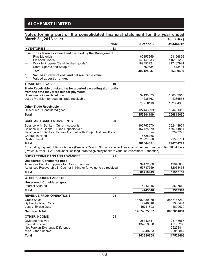# **Notes forming part of the consolidated financial statement for the year ended March 31, 2013** *contd.* **(Amt. in Rs.)**

| 18<br>Inventories taken as valued and certified by the Management<br>Raw Materials *<br>62457659<br>51196856<br><b>Finished Goods*</b><br>149149933<br>116191288<br>Work In Progress/Semi finished goods.*<br>189756721<br>217467924<br>Store, Spares and Scrap **<br>760734<br>513431<br><b>Total</b><br>402125047<br>385369499<br>Valued at lower of cost and net realizable value.<br>Valued at cost or under.<br><b>TRADE RECEIVABLE</b><br>19<br>Trade Receivable outstanding for a period exceeding six months<br>32135673<br>106589918<br>4235563<br>4235563<br>102354355<br>27900110<br>Unsecured - Considered good<br>127443999<br>164461315<br>155344109<br>266815670<br>Total<br>20<br>Balance with Banks - Current Accounts<br>192763570<br>262444904<br>Balance with Banks - Fixed Deposit A/c *<br>157425379<br>469744864<br>Balance with Banks - Escrow Account With Punjab National Bank<br>37027728<br>8528266<br>28927666<br>21566731<br>387644881<br>790784227<br>* (Including deposit of Rs. -Nil- Lacs (Previous Year 48.98 Lacs) under Lien against demand Loan and Rs. 26.64 Lacs<br>(Previous Year 91.28 Lac) under lien for guarantee given by banks to various Government Authorities)<br>21<br><b>Unsecured, Considered good</b><br>Advances Paid to Suppliers for Goods\Services<br>34472880<br>19846686<br>Advances Recoverable in Cash or in Kind or for value to be received<br>53737569<br>32068453<br>88210449<br>51915139<br><b>OTHER CURRENT ASSETS</b><br>22<br><b>Unsecured, Considered good</b><br>4243046<br>2517564<br>4243046<br>2517564<br>Total<br><b>REVENUE FROM OPERATIONS</b><br>23<br>8867165260<br>Gross Sales<br>14582339060<br>By Products and Scrap<br>7748610<br>2385444<br>15711803<br>11699070<br>14574375867<br>8857851634<br>24<br><b>OTHER INCOME</b><br>Dividend received<br>25143667<br>25143517<br>Interest received<br>134993988<br>46190280<br>Net Foreign Exchange Difference<br>25273814<br>3249253<br>20915847<br>117523608<br><b>Total</b><br>163386758 |                                               | <b>Note</b> | 31-Mar-13 | 31-Mar-12 |
|----------------------------------------------------------------------------------------------------------------------------------------------------------------------------------------------------------------------------------------------------------------------------------------------------------------------------------------------------------------------------------------------------------------------------------------------------------------------------------------------------------------------------------------------------------------------------------------------------------------------------------------------------------------------------------------------------------------------------------------------------------------------------------------------------------------------------------------------------------------------------------------------------------------------------------------------------------------------------------------------------------------------------------------------------------------------------------------------------------------------------------------------------------------------------------------------------------------------------------------------------------------------------------------------------------------------------------------------------------------------------------------------------------------------------------------------------------------------------------------------------------------------------------------------------------------------------------------------------------------------------------------------------------------------------------------------------------------------------------------------------------------------------------------------------------------------------------------------------------------------------------------------------------------------------------------------------------------------------------------------------------------------------|-----------------------------------------------|-------------|-----------|-----------|
|                                                                                                                                                                                                                                                                                                                                                                                                                                                                                                                                                                                                                                                                                                                                                                                                                                                                                                                                                                                                                                                                                                                                                                                                                                                                                                                                                                                                                                                                                                                                                                                                                                                                                                                                                                                                                                                                                                                                                                                                                            | <b>INVENTORIES</b>                            |             |           |           |
|                                                                                                                                                                                                                                                                                                                                                                                                                                                                                                                                                                                                                                                                                                                                                                                                                                                                                                                                                                                                                                                                                                                                                                                                                                                                                                                                                                                                                                                                                                                                                                                                                                                                                                                                                                                                                                                                                                                                                                                                                            |                                               |             |           |           |
|                                                                                                                                                                                                                                                                                                                                                                                                                                                                                                                                                                                                                                                                                                                                                                                                                                                                                                                                                                                                                                                                                                                                                                                                                                                                                                                                                                                                                                                                                                                                                                                                                                                                                                                                                                                                                                                                                                                                                                                                                            | $\overline{\phantom{0}}$                      |             |           |           |
|                                                                                                                                                                                                                                                                                                                                                                                                                                                                                                                                                                                                                                                                                                                                                                                                                                                                                                                                                                                                                                                                                                                                                                                                                                                                                                                                                                                                                                                                                                                                                                                                                                                                                                                                                                                                                                                                                                                                                                                                                            |                                               |             |           |           |
|                                                                                                                                                                                                                                                                                                                                                                                                                                                                                                                                                                                                                                                                                                                                                                                                                                                                                                                                                                                                                                                                                                                                                                                                                                                                                                                                                                                                                                                                                                                                                                                                                                                                                                                                                                                                                                                                                                                                                                                                                            |                                               |             |           |           |
|                                                                                                                                                                                                                                                                                                                                                                                                                                                                                                                                                                                                                                                                                                                                                                                                                                                                                                                                                                                                                                                                                                                                                                                                                                                                                                                                                                                                                                                                                                                                                                                                                                                                                                                                                                                                                                                                                                                                                                                                                            |                                               |             |           |           |
|                                                                                                                                                                                                                                                                                                                                                                                                                                                                                                                                                                                                                                                                                                                                                                                                                                                                                                                                                                                                                                                                                                                                                                                                                                                                                                                                                                                                                                                                                                                                                                                                                                                                                                                                                                                                                                                                                                                                                                                                                            |                                               |             |           |           |
|                                                                                                                                                                                                                                                                                                                                                                                                                                                                                                                                                                                                                                                                                                                                                                                                                                                                                                                                                                                                                                                                                                                                                                                                                                                                                                                                                                                                                                                                                                                                                                                                                                                                                                                                                                                                                                                                                                                                                                                                                            | $^\star$<br>$***$                             |             |           |           |
|                                                                                                                                                                                                                                                                                                                                                                                                                                                                                                                                                                                                                                                                                                                                                                                                                                                                                                                                                                                                                                                                                                                                                                                                                                                                                                                                                                                                                                                                                                                                                                                                                                                                                                                                                                                                                                                                                                                                                                                                                            |                                               |             |           |           |
|                                                                                                                                                                                                                                                                                                                                                                                                                                                                                                                                                                                                                                                                                                                                                                                                                                                                                                                                                                                                                                                                                                                                                                                                                                                                                                                                                                                                                                                                                                                                                                                                                                                                                                                                                                                                                                                                                                                                                                                                                            |                                               |             |           |           |
|                                                                                                                                                                                                                                                                                                                                                                                                                                                                                                                                                                                                                                                                                                                                                                                                                                                                                                                                                                                                                                                                                                                                                                                                                                                                                                                                                                                                                                                                                                                                                                                                                                                                                                                                                                                                                                                                                                                                                                                                                            | from the date they were due for payment:      |             |           |           |
|                                                                                                                                                                                                                                                                                                                                                                                                                                                                                                                                                                                                                                                                                                                                                                                                                                                                                                                                                                                                                                                                                                                                                                                                                                                                                                                                                                                                                                                                                                                                                                                                                                                                                                                                                                                                                                                                                                                                                                                                                            | Unsecured - Considered good                   |             |           |           |
|                                                                                                                                                                                                                                                                                                                                                                                                                                                                                                                                                                                                                                                                                                                                                                                                                                                                                                                                                                                                                                                                                                                                                                                                                                                                                                                                                                                                                                                                                                                                                                                                                                                                                                                                                                                                                                                                                                                                                                                                                            | Less: Provision for doubtful trade receivable |             |           |           |
|                                                                                                                                                                                                                                                                                                                                                                                                                                                                                                                                                                                                                                                                                                                                                                                                                                                                                                                                                                                                                                                                                                                                                                                                                                                                                                                                                                                                                                                                                                                                                                                                                                                                                                                                                                                                                                                                                                                                                                                                                            |                                               |             |           |           |
|                                                                                                                                                                                                                                                                                                                                                                                                                                                                                                                                                                                                                                                                                                                                                                                                                                                                                                                                                                                                                                                                                                                                                                                                                                                                                                                                                                                                                                                                                                                                                                                                                                                                                                                                                                                                                                                                                                                                                                                                                            | <b>Other Trade Receivable</b>                 |             |           |           |
|                                                                                                                                                                                                                                                                                                                                                                                                                                                                                                                                                                                                                                                                                                                                                                                                                                                                                                                                                                                                                                                                                                                                                                                                                                                                                                                                                                                                                                                                                                                                                                                                                                                                                                                                                                                                                                                                                                                                                                                                                            |                                               |             |           |           |
|                                                                                                                                                                                                                                                                                                                                                                                                                                                                                                                                                                                                                                                                                                                                                                                                                                                                                                                                                                                                                                                                                                                                                                                                                                                                                                                                                                                                                                                                                                                                                                                                                                                                                                                                                                                                                                                                                                                                                                                                                            |                                               |             |           |           |
|                                                                                                                                                                                                                                                                                                                                                                                                                                                                                                                                                                                                                                                                                                                                                                                                                                                                                                                                                                                                                                                                                                                                                                                                                                                                                                                                                                                                                                                                                                                                                                                                                                                                                                                                                                                                                                                                                                                                                                                                                            | <b>CASH AND CASH EQUIVALENTS</b>              |             |           |           |
|                                                                                                                                                                                                                                                                                                                                                                                                                                                                                                                                                                                                                                                                                                                                                                                                                                                                                                                                                                                                                                                                                                                                                                                                                                                                                                                                                                                                                                                                                                                                                                                                                                                                                                                                                                                                                                                                                                                                                                                                                            |                                               |             |           |           |
|                                                                                                                                                                                                                                                                                                                                                                                                                                                                                                                                                                                                                                                                                                                                                                                                                                                                                                                                                                                                                                                                                                                                                                                                                                                                                                                                                                                                                                                                                                                                                                                                                                                                                                                                                                                                                                                                                                                                                                                                                            |                                               |             |           |           |
|                                                                                                                                                                                                                                                                                                                                                                                                                                                                                                                                                                                                                                                                                                                                                                                                                                                                                                                                                                                                                                                                                                                                                                                                                                                                                                                                                                                                                                                                                                                                                                                                                                                                                                                                                                                                                                                                                                                                                                                                                            |                                               |             |           |           |
|                                                                                                                                                                                                                                                                                                                                                                                                                                                                                                                                                                                                                                                                                                                                                                                                                                                                                                                                                                                                                                                                                                                                                                                                                                                                                                                                                                                                                                                                                                                                                                                                                                                                                                                                                                                                                                                                                                                                                                                                                            | Cheque in Hand                                |             |           |           |
|                                                                                                                                                                                                                                                                                                                                                                                                                                                                                                                                                                                                                                                                                                                                                                                                                                                                                                                                                                                                                                                                                                                                                                                                                                                                                                                                                                                                                                                                                                                                                                                                                                                                                                                                                                                                                                                                                                                                                                                                                            | Cash in hand                                  |             |           |           |
|                                                                                                                                                                                                                                                                                                                                                                                                                                                                                                                                                                                                                                                                                                                                                                                                                                                                                                                                                                                                                                                                                                                                                                                                                                                                                                                                                                                                                                                                                                                                                                                                                                                                                                                                                                                                                                                                                                                                                                                                                            | <b>Total</b>                                  |             |           |           |
|                                                                                                                                                                                                                                                                                                                                                                                                                                                                                                                                                                                                                                                                                                                                                                                                                                                                                                                                                                                                                                                                                                                                                                                                                                                                                                                                                                                                                                                                                                                                                                                                                                                                                                                                                                                                                                                                                                                                                                                                                            |                                               |             |           |           |
|                                                                                                                                                                                                                                                                                                                                                                                                                                                                                                                                                                                                                                                                                                                                                                                                                                                                                                                                                                                                                                                                                                                                                                                                                                                                                                                                                                                                                                                                                                                                                                                                                                                                                                                                                                                                                                                                                                                                                                                                                            | <b>SHORT TERM LOANS AND ADVANCES</b>          |             |           |           |
|                                                                                                                                                                                                                                                                                                                                                                                                                                                                                                                                                                                                                                                                                                                                                                                                                                                                                                                                                                                                                                                                                                                                                                                                                                                                                                                                                                                                                                                                                                                                                                                                                                                                                                                                                                                                                                                                                                                                                                                                                            |                                               |             |           |           |
|                                                                                                                                                                                                                                                                                                                                                                                                                                                                                                                                                                                                                                                                                                                                                                                                                                                                                                                                                                                                                                                                                                                                                                                                                                                                                                                                                                                                                                                                                                                                                                                                                                                                                                                                                                                                                                                                                                                                                                                                                            |                                               |             |           |           |
|                                                                                                                                                                                                                                                                                                                                                                                                                                                                                                                                                                                                                                                                                                                                                                                                                                                                                                                                                                                                                                                                                                                                                                                                                                                                                                                                                                                                                                                                                                                                                                                                                                                                                                                                                                                                                                                                                                                                                                                                                            |                                               |             |           |           |
|                                                                                                                                                                                                                                                                                                                                                                                                                                                                                                                                                                                                                                                                                                                                                                                                                                                                                                                                                                                                                                                                                                                                                                                                                                                                                                                                                                                                                                                                                                                                                                                                                                                                                                                                                                                                                                                                                                                                                                                                                            | Total                                         |             |           |           |
|                                                                                                                                                                                                                                                                                                                                                                                                                                                                                                                                                                                                                                                                                                                                                                                                                                                                                                                                                                                                                                                                                                                                                                                                                                                                                                                                                                                                                                                                                                                                                                                                                                                                                                                                                                                                                                                                                                                                                                                                                            |                                               |             |           |           |
|                                                                                                                                                                                                                                                                                                                                                                                                                                                                                                                                                                                                                                                                                                                                                                                                                                                                                                                                                                                                                                                                                                                                                                                                                                                                                                                                                                                                                                                                                                                                                                                                                                                                                                                                                                                                                                                                                                                                                                                                                            |                                               |             |           |           |
|                                                                                                                                                                                                                                                                                                                                                                                                                                                                                                                                                                                                                                                                                                                                                                                                                                                                                                                                                                                                                                                                                                                                                                                                                                                                                                                                                                                                                                                                                                                                                                                                                                                                                                                                                                                                                                                                                                                                                                                                                            | <b>Interest Accrued</b>                       |             |           |           |
|                                                                                                                                                                                                                                                                                                                                                                                                                                                                                                                                                                                                                                                                                                                                                                                                                                                                                                                                                                                                                                                                                                                                                                                                                                                                                                                                                                                                                                                                                                                                                                                                                                                                                                                                                                                                                                                                                                                                                                                                                            |                                               |             |           |           |
|                                                                                                                                                                                                                                                                                                                                                                                                                                                                                                                                                                                                                                                                                                                                                                                                                                                                                                                                                                                                                                                                                                                                                                                                                                                                                                                                                                                                                                                                                                                                                                                                                                                                                                                                                                                                                                                                                                                                                                                                                            |                                               |             |           |           |
|                                                                                                                                                                                                                                                                                                                                                                                                                                                                                                                                                                                                                                                                                                                                                                                                                                                                                                                                                                                                                                                                                                                                                                                                                                                                                                                                                                                                                                                                                                                                                                                                                                                                                                                                                                                                                                                                                                                                                                                                                            |                                               |             |           |           |
|                                                                                                                                                                                                                                                                                                                                                                                                                                                                                                                                                                                                                                                                                                                                                                                                                                                                                                                                                                                                                                                                                                                                                                                                                                                                                                                                                                                                                                                                                                                                                                                                                                                                                                                                                                                                                                                                                                                                                                                                                            |                                               |             |           |           |
|                                                                                                                                                                                                                                                                                                                                                                                                                                                                                                                                                                                                                                                                                                                                                                                                                                                                                                                                                                                                                                                                                                                                                                                                                                                                                                                                                                                                                                                                                                                                                                                                                                                                                                                                                                                                                                                                                                                                                                                                                            | Less :- Excise Duty                           |             |           |           |
|                                                                                                                                                                                                                                                                                                                                                                                                                                                                                                                                                                                                                                                                                                                                                                                                                                                                                                                                                                                                                                                                                                                                                                                                                                                                                                                                                                                                                                                                                                                                                                                                                                                                                                                                                                                                                                                                                                                                                                                                                            | <b>Net Sale Total</b>                         |             |           |           |
|                                                                                                                                                                                                                                                                                                                                                                                                                                                                                                                                                                                                                                                                                                                                                                                                                                                                                                                                                                                                                                                                                                                                                                                                                                                                                                                                                                                                                                                                                                                                                                                                                                                                                                                                                                                                                                                                                                                                                                                                                            |                                               |             |           |           |
|                                                                                                                                                                                                                                                                                                                                                                                                                                                                                                                                                                                                                                                                                                                                                                                                                                                                                                                                                                                                                                                                                                                                                                                                                                                                                                                                                                                                                                                                                                                                                                                                                                                                                                                                                                                                                                                                                                                                                                                                                            |                                               |             |           |           |
|                                                                                                                                                                                                                                                                                                                                                                                                                                                                                                                                                                                                                                                                                                                                                                                                                                                                                                                                                                                                                                                                                                                                                                                                                                                                                                                                                                                                                                                                                                                                                                                                                                                                                                                                                                                                                                                                                                                                                                                                                            |                                               |             |           |           |
|                                                                                                                                                                                                                                                                                                                                                                                                                                                                                                                                                                                                                                                                                                                                                                                                                                                                                                                                                                                                                                                                                                                                                                                                                                                                                                                                                                                                                                                                                                                                                                                                                                                                                                                                                                                                                                                                                                                                                                                                                            |                                               |             |           |           |
|                                                                                                                                                                                                                                                                                                                                                                                                                                                                                                                                                                                                                                                                                                                                                                                                                                                                                                                                                                                                                                                                                                                                                                                                                                                                                                                                                                                                                                                                                                                                                                                                                                                                                                                                                                                                                                                                                                                                                                                                                            | Misc. Other Income                            |             |           |           |
|                                                                                                                                                                                                                                                                                                                                                                                                                                                                                                                                                                                                                                                                                                                                                                                                                                                                                                                                                                                                                                                                                                                                                                                                                                                                                                                                                                                                                                                                                                                                                                                                                                                                                                                                                                                                                                                                                                                                                                                                                            |                                               |             |           |           |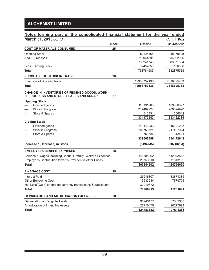## **Notes forming part of the consolidated financial statement for the year ended March 31, 2013** *contd.* **(Amt. in Rs.)**

|                                                                                                 |             |             | , היינוייה, היינור |
|-------------------------------------------------------------------------------------------------|-------------|-------------|--------------------|
|                                                                                                 | <b>Note</b> | 31-Mar-13   | 31-Mar-12          |
| <b>COST OF MATERIALS CONSUMED</b>                                                               | 25          |             |                    |
| <b>Opening Stock</b>                                                                            |             | 51196855    | 48878888           |
| Add: Purchases                                                                                  |             | 715044891   | 534692996          |
|                                                                                                 |             | 766241746   | 583571884          |
| Less: Closing Stock                                                                             |             | 62457659    | 51196856           |
| <b>Total</b>                                                                                    |             | 703784087   | 532375028          |
| PURCHASE OF STOCK IN TRADE                                                                      | 26          |             |                    |
| Purchase of Stock in Trade                                                                      |             | 12988757136 | 7618395763         |
| <b>Total</b>                                                                                    |             | 12988757136 | 7618395763         |
| <b>CHANGE IN INVENTORIES OF FINISHED GOODS, WORK</b><br>IN PROGRESS AND STORE, SPARES AND SCRAP | 27          |             |                    |
| <b>Opening Stock</b>                                                                            |             |             |                    |
| Finished goods                                                                                  |             | 116191288   | 103880827          |
| Work in Progress                                                                                |             | 217467924   | 209024920          |
| Store & Spares                                                                                  |             | 513431      | 556642             |
|                                                                                                 |             | 334172643   | 313462389          |
| <b>Closing Stock</b>                                                                            |             |             |                    |
| Finished goods                                                                                  |             | 149149933   | 116191288          |
| Work in Progress                                                                                |             | 189756721   | 217467924          |
| Store & Spares                                                                                  |             | 760734      | 513431             |
|                                                                                                 |             | 339667388   | 334172643          |
| Increase / (Decrease) in Stock                                                                  |             | (5494745)   | (20710254)         |
| <b>EMPLOYEES BENEFIT EXPNESES</b>                                                               | 28          |             |                    |
| Salaries & Wages including Bonus, Gratuity, Welfare Expenses                                    |             | 148585292   | 112943518          |
| Employer's Contribution towards Provident & other Funds                                         |             | 20759010    | 11813132           |
| Total                                                                                           |             | 169344302   | 124756650          |
| <b>FINANACE COST</b>                                                                            | 29          |             |                    |
| <b>Interest Paid</b>                                                                            |             | 25216307    | 33671385           |
| <b>Other Borrowing Cost</b>                                                                     |             | 15533234    | 7579706            |
| Net Loss/(Gain) on foreign currency transactions & translation                                  |             | 30019372    |                    |
| Total                                                                                           |             | 70768913    | 41251091           |
| <b>DEPRICATION AND AMORTISATION EXPENSES</b>                                                    | 30          |             |                    |
| Deprecation on Tangible Assets                                                                  |             | 96743177    | 87333307           |
| Amortization of Intangible Assets                                                               |             | 27710475    | 20277974           |
| Total                                                                                           |             | 124453652   | 107611281          |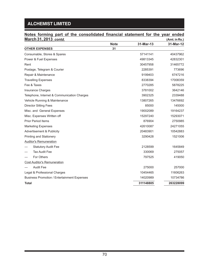## **Notes forming part of the consolidated financial statement for the year ended March 31, 2013** *contd.* **(Amt. in Rs.)**

|                                                    | <b>Note</b> | 31-Mar-13 | 31-Mar-12 |
|----------------------------------------------------|-------------|-----------|-----------|
| <b>OTHER EXPENSES</b>                              | 31          |           |           |
| Consumable, Stores & Spares                        |             | 57141141  | 40437962  |
| Power & Fuel Expenses                              |             | 49813345  | 42832301  |
| Rent                                               |             | 30457958  | 31465772  |
| Postage, Telegram & Courier                        |             | 2285391   | 773696    |
| Repair & Maintenance                               |             | 9199403   | 6747216   |
| <b>Travelling Expenses</b>                         |             | 8338394   | 17008359  |
| Fee & Taxes                                        |             | 2770285   | 5878225   |
| <b>Insurance Charges</b>                           |             | 3781002   | 3642146   |
| Telephone, Internet & Communication Charges        |             | 3902325   | 2339488   |
| Vehicle Running & Maintenance                      |             | 13807265  | 13476692  |
| <b>Director Sitting Fees</b>                       |             | 85000     | 145000    |
| Misc. and General Expenses                         |             | 19002089  | 19164237  |
| Misc. Expenses Written off                         |             | 15297240  | 15293071  |
| <b>Prior Period Items</b>                          |             | 876904    | 2750985   |
| <b>Marketing Expenses</b>                          |             | 42610087  | 24271055  |
| <b>Advertisement &amp; Publicity</b>               |             | 20483901  | 10542883  |
| <b>Printing and Stationery</b>                     |             | 3290428   | 1521006   |
| <b>Auditor's Remuneration</b>                      |             |           |           |
| <b>Statutory Audit Fee</b>                         |             | 2128599   | 1645849   |
| <b>Tax Audit Fee</b>                               |             | 330069    | 275057    |
| For Others                                         |             | 797525    | 419050    |
| <b>Cost Auditor's Remuneration</b>                 |             |           |           |
| <b>Audit Fee</b>                                   |             | 275000    | 257000    |
| Legal & Professional Charges                       |             | 10454465  | 11606263  |
| <b>Business Promotion / Entertainment Expenses</b> |             | 14020989  | 10734786  |
| <b>Total</b>                                       |             | 311148805 | 263228099 |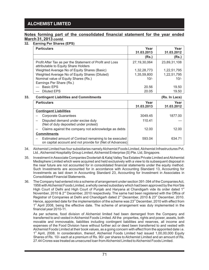### **Notes forming part of the consolidated financial statement for the year ended March 31, 2013** *contd.*

### **32. Earning Per Shares (EPS)**

| <b>Particulars</b>                                                                               | Year<br>31.03.2013 | Year<br>31.03.2012 |
|--------------------------------------------------------------------------------------------------|--------------------|--------------------|
|                                                                                                  | (Rs.)              | (Rs.)              |
| Profit After Tax as per the Statement of Profit and Loss<br>attributable to Equity Share Holders | 27, 19, 30, 064    | 23,89,31,108       |
| Weighted Average No of Equity Shares (Basic)                                                     | 1,32,28,773        | 1,22,51,795        |
| Weighted Average No of Equity Shares (Diluted)                                                   | 1,35,59,800        | 1,22,51,795        |
| Nominal value of Equity Shares (Rs.)                                                             | $10/-$             | $10/-$             |
| Earnings Per Share (Rs.)                                                                         |                    |                    |
| <b>Basic EPS</b>                                                                                 | 20.56              | 19.50              |
| - Diluted EPS                                                                                    | 20.05              | 19.50              |

### **33. Contingent Liabilities and Commitments (Rs. In Lacs)**

| <b>Particulars</b>                                                                                                | Year       | Year       |
|-------------------------------------------------------------------------------------------------------------------|------------|------------|
|                                                                                                                   | 31.03.2013 | 31.03.2012 |
| <b>Contingent Liabilities</b>                                                                                     |            |            |
| <b>Corporate Guarantees</b>                                                                                       | 3049.45    | 1877.00    |
| Disputed demand under excise duty<br>(Net of duty deposited under protest)                                        | 110.41     |            |
| Claims against the company not acknowledge as debts                                                               | 12.00      | 12.00      |
| <b>Commitments</b>                                                                                                |            |            |
| Estimated amount of Contract remaining to be executed<br>on capital account and not provide for (Net of Advances) | 593.04     | 634.71     |

- 34. Alchemist Limited has four subsidiaries namely Alchemist Foods Limited, Alchemist Infrastructures Pvt. Ltd., Alchemist Hospitality Group Limited, Alchemist Enterprise (S) Pte. Ltd, Singapore.
- 35. Investment in Associate Companies Dooteriah & Kalaj Valley Tea Estates Private Limited and Alchemist Medisphere Limited which were acquired and held exclusively with a view to its subsequent disposal in the near future are not accounted for in consolidated financial statements under the equity method. Such Investments are accounted for in accordance with Accounting Standard 13, Accounting for Investments as laid down in Accounting Standard 23, Accounting for Investment in Associates in Consolidated Financial Statements.
- 36. The Company had entered into a scheme of arrangement under section 391-394 of the Companies Act, 1956 with Alchemist Foods Limited, a wholly owned subsidiary which had been approved by the Hon'ble High Court of Delhi and High Court of Punjab and Haryana at Chandigarh vide its order dated 1<sup>st</sup> November, 2010 &  $2<sup>nd</sup>$  December, 2010 respectively. The same had been registered with the Office of Registrar of Companies at Delhi and Chandigarh dated  $2^{nd}$  December, 2010 & 23<sup>rd</sup> December, 2010. Hence, appointed date for the implementation of the scheme was  $23<sup>rd</sup>$  December, 2010 with effect from 1<sup>st</sup> April 2008, being the effective date. The scheme of arrangement was duly implemented in the financial year 2010-11.

As per scheme, food division of Alchemist limited had been demerged from the Company and transferred to and vested in Alchemist Foods Limited. All the properties, rights and power, assets, both movable and immoveable, liabilities including contingent liabilities and reserves, all income and expenses of the Food Division have without further act or deed been transferred to and vested with Alchemist Foods Limited at their book values, as a going concern with effect from the appointed date i.e. 1<sup>st</sup> April, 2008. In consideration, thereof, Alchemist Foods Limited had issued 1,00,00,000 Equity Shares of Rs. 10/- each at a premium of Rs. 90/- per shares to Alchemist Limited and an amount of Rs. 27.44 Crores was treated as unsecured loan from Alchemist Limited to Alchemist Foods Limited.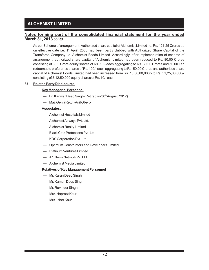### **Notes forming part of the consolidated financial statement for the year ended March 31, 2013** *contd.*

As per Scheme of arrangement, Authorized share capital of Alchemist Limited i.e. Rs. 121.25 Crores as on effective date i.e. 1<sup>st</sup> April, 2008 had been partly clubbed with Authorized Share Capital of the Transferee Company i.e. Alchemist Foods Limited. Accordingly, after implementation of scheme of arrangement, authorized share capital of Alchemist Limited had been reduced to Rs. 80.00 Crores consisting of 3.00 Crore equity shares of Rs. 10/- each aggregating to Rs. 30.00 Crores and 50.00 Lac redeemable preference shares of Rs. 100/- each aggregating to Rs. 50.00 Crores and authorised share capital of Alchemist Foods Limited had been increased from Rs. 10,00,00,000/- to Rs. 51,25,00,000/ consisting of 5,12,50,000 equity shares of Rs. 10/- each.

#### **37. Related Party Disclosures**

#### **Key Managerial Personnel**

- $-$  Dr. Kanwar Deep Singh (Retired on 30<sup>th</sup> August, 2012)
- Maj. Gen. (Retd.) Anil Oberoi

#### **Associates:**

- Alchemist Hospitals Limited
- Alchemist Airways Pvt. Ltd.
- Alchemist Realty Limited
- Black Cats Protections Pvt. Ltd.
- KDS Corporation Pvt. Ltd
- Optimum Constructors and Developers Limited
- Platinum Ventures Limited
- A1 News Network Pvt Ltd
- Alchemist Media Limited

#### **Relatives of Key Management Personnel**

- Mr. Karan Deep Singh
- Mr. Kaman Deep Singh
- Mr. Ravinder Singh
- Mrs. Hapreet Kaur
- Mrs. Isher Kaur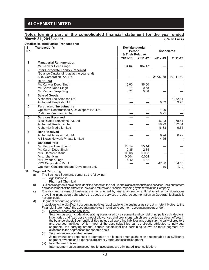#### **Notes forming part of the consolidated financial statement for the year ended March 31, 2013** *contd.* **(Rs. In Lacs)**

|                  | <b>Detail of Related Parties Transactions:</b> |         |                                                     |          |                   |  |
|------------------|------------------------------------------------|---------|-----------------------------------------------------|----------|-------------------|--|
| Sr.<br><b>No</b> | <b>Transaction's</b>                           |         | <b>Key Managerial</b><br>Person<br>& Their Relative |          | <b>Associates</b> |  |
|                  |                                                | 2012-13 | 2011-12                                             | 2012-13  | 2011-12           |  |
| 1                | <b>Managerial Remuneration</b>                 |         |                                                     |          |                   |  |
|                  | Mr. Kanwar Deep Singh                          | 64.64   | 104.17                                              |          |                   |  |
| $\overline{2}$   | <b>Inter Corporate Loans - Received</b>        |         |                                                     |          |                   |  |
|                  | (Balance Outstanding as at the year-end)       |         |                                                     |          |                   |  |
|                  | KDS Corporation Pvt. Ltd.                      |         |                                                     | 26737.68 | 27917.69          |  |
| 3                | <b>Rent Paid</b>                               |         |                                                     |          |                   |  |
|                  | Mr. Kanwar Deep Singh                          | 18.00   | 36.00                                               |          |                   |  |
|                  | Mr. Karan Deep Singh                           | 0.71    | 0.68                                                |          |                   |  |
|                  | Mr. Kaman Deep Singh                           | 0.71    | 0.68                                                |          |                   |  |
| 4                | <b>Sale of Goods</b>                           |         |                                                     |          |                   |  |
|                  | Alchemist Life Sciences Ltd                    |         |                                                     |          | 1032.84           |  |
|                  | Alchemist Hospitals Ltd                        |         |                                                     | 0.32     | 9.75              |  |
| 5                | <b>Purchase of Investments</b>                 |         |                                                     |          |                   |  |
|                  | Optimum Constructions & Developers Pvt .Ltd.   |         |                                                     | 1.99     |                   |  |
|                  | <b>Platinum Ventures Limited</b>               |         |                                                     | 0.25     |                   |  |
| 6                | <b>Services Received</b>                       |         |                                                     |          |                   |  |
|                  | <b>Black Cats Protections Pvt. Ltd</b>         |         |                                                     | 46.03    | 68.64             |  |
|                  | <b>Alchemist Realty Limited</b>                |         |                                                     | 59.23    | 72.54             |  |
|                  | Alchemist Media Limited                        |         |                                                     | 16.83    | 9.64              |  |
| $\overline{7}$   | <b>Rent Received</b>                           |         |                                                     |          |                   |  |
|                  | Alchemist Airways Pvt. Ltd.                    |         |                                                     | 0.24     | 0.72              |  |
|                  | A 1 News Network Private Limited               |         |                                                     | 4.55     |                   |  |
| 8                | <b>Dividend Paid</b>                           |         |                                                     |          |                   |  |
|                  | Mr. Kanwar Deep Singh                          | 25.14   | 25.14                                               |          |                   |  |
|                  | Mr. Karan Deep Singh                           | 2.35    | 2.35                                                |          |                   |  |
|                  | Mrs. Harpreet Kaur                             | 0.008   | 0.008                                               |          |                   |  |
|                  | Mrs. Isher Kaur                                | 0.004   | 0.004                                               |          |                   |  |
|                  | Mr Ravinder Singh                              | 4.42    | 4.42                                                |          |                   |  |
|                  | KDS Corporation Pvt. Ltd                       |         |                                                     | 47.68    | 34.88             |  |
|                  | Optimum Constructors and Developers Ltd.       |         |                                                     | 1.19     | 1.19              |  |

**38. Segment Reporting**

a) The Business Segments comprise the following**:**

— Agri Business

— Pharma & Chemical

b) Business segments have been identified based on the nature and class of products and services, their customers and assessment of the differential risks and returns and financial reporting system within the Company.

c) The risk and returns of business are not affected by any economic or cultural or other considerations prevailing in any geography where the goods or services are sold, so segmentation on Geographical basis is not applicable.

d) Segment accounting policies

In addition to the significant accounting policies, applicable to the business as set out in note 1 'Notes to the Financial Statements', the accounting policies in relation to segment accounting are as under:

(i) Segment assets and liabilities:

Segment assets include all operating asses used by a segment and consist principally cash, debtors, inventories and fixed assets, net of allowances and provisions, which are reported as direct offsets in the balance sheet. Segment liabilities include all operating liabilities and consist principally of creditors and accrued liabilities. Which most of the assets\liabilities can be directly attributed to individual segments, the carrying amount certain assets/liabilities pertaining to two or more segment are allocated to the segment on reasonable basis.

(ii) Segment revenue and expenses : Joint revenue and expenses of segments are allocated amongst them on a reasonable basis. All other segment revenue and expenses are directly attributable to the segment

(iii) Inter Segment Sales: Inter-segment sales are accounted for at cost and are eliminated in consolidation.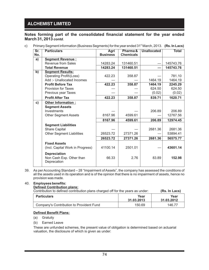### **Notes forming part of the consolidated financial statement for the year ended March 31, 2013** *contd.*

| Sr.<br>No.     | <b>Particulars</b>                                             | Agri<br><b>Business</b> | Pharma &<br><b>Chemicals</b> | <b>Unallocated</b> | Total     |
|----------------|----------------------------------------------------------------|-------------------------|------------------------------|--------------------|-----------|
| a)             | <b>Segment Revenue:</b>                                        |                         |                              |                    |           |
|                | <b>Revenue from Sales</b>                                      | 14283.24                | 131460.51                    |                    | 145743.76 |
|                | <b>Total Revenue</b>                                           | 14283.24                | 131460.51                    |                    | 145743.76 |
| $\overline{b}$ | <b>Segment Results:</b>                                        |                         |                              |                    |           |
|                | Operating Profit\(Loss)                                        | 422.23                  | 358.87                       |                    | 781.10    |
|                | Add :- Unallocated Incomes                                     |                         |                              | 1464.19            | 1464.19   |
|                | <b>Profit Before Tax</b>                                       | 422.23                  | 358.87                       | 1464.19            | 2245.29   |
|                | <b>Provision for Taxes</b>                                     |                         |                              | 624.50             | 624.50    |
|                | Previous year Taxes                                            |                         |                              | (0.02)             | (0.02)    |
|                | <b>Profit After Tax</b>                                        | 422.23                  | 358.87                       | 839.71             | 1620.71   |
| c)             | <b>Other Information:</b>                                      |                         |                              |                    |           |
|                | <b>Segment Assets</b>                                          |                         |                              |                    |           |
|                | Investments                                                    |                         |                              | 206.89             | 206.89    |
|                | <b>Other Segment Assets</b>                                    | 8167.96                 | 4599.61                      |                    | 12767.56  |
|                |                                                                | 8167.96                 | 4599.61                      | 206.89             | 12974.45  |
|                | <b>Segment Liabilities</b>                                     |                         |                              |                    |           |
|                | <b>Share Capital</b>                                           |                         |                              | 2681.36            | 2681.36   |
|                | <b>Other Segment Liabilities</b>                               | 26523.72                | 27371.26                     |                    | 53894.41  |
|                |                                                                | 26523.72                | 27371.26                     | 2681.36            | 56575.77  |
|                | <b>Fixed Assets</b>                                            |                         |                              |                    |           |
|                | (Incl. Capital Work in Progress)                               | 41100.14                | 2501.01                      |                    | 43601.14  |
|                | <b>Depreciation</b><br>Non Cash Exp. Other than<br>Deprecation | 66.33                   | 2.76                         | 83.89              | 152.98    |
|                |                                                                |                         |                              |                    |           |

c) Primary Segment information (Business Segments) for the year ended 31<sup>st</sup> March, 2013. **(Rs. In Lacs)** 

39. As per Accounting Standard – 28 "Impairment of Assets", the company has assessed the conditions of all the assets used in its operation and is of the opinion that there is no impairment of assets, hence no provision was made.

#### 40. **Employees benefits:**

#### **Defined Contribution plans:**

| Contribution to defined contribution plans charged off for the years as under: |  | (Rs. In Lacs) |
|--------------------------------------------------------------------------------|--|---------------|
|                                                                                |  |               |

| <b>Particulars</b>                       | Year<br>31.03.2013 | Year<br>31.03.2012 |
|------------------------------------------|--------------------|--------------------|
| Company's Contribution to Provident Fund | 150.69             | 146.77             |

### **Defined Benefit Plans:**

- (a) Gratuity
- (b) Earned Leave

These are unfunded schemes, the present value of obligation is determined based on actuarial valuation, the disclosure of which is given as under: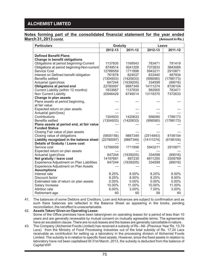#### **Notes forming part of the consolidated financial statement for the year ended March 31, 2013** *contd.* **(Amount in Rs.)**

| <b>Particulars</b>                          | <b>Gratuity</b> |           | Leave      |           |
|---------------------------------------------|-----------------|-----------|------------|-----------|
|                                             | 2012-13         | 2011-12   | 2012-13    | 2011-12   |
| <b>Defined Benefit Plans</b>                |                 |           |            |           |
| <b>Change in benefit obligations</b>        |                 |           |            |           |
| Obligations at period beginning-Current     | 1137835         | 1169543   | 783471     | 791419    |
| Obligations at period beginning-Non-current | 8749514         | 9241209   | 7372633    | 5843069   |
| Service Cost                                | 12788559        | 1711898   | 5943211    | 2910871   |
| Interest on Defined benefit obligation      | 761878          | 824537    | 633440     | 487934    |
| Benefits settled                            | (1304933)       | (1420633) | (956080)   | (1788173) |
| Actuarial (gain)/loss                       | 647244          | (1639205) | 334599     | (89016)   |
| <b>Obligations at period end</b>            | 22780097        | 9887349   | 14111274   | 8156104   |
| Current Liability (within 12 months)        | 1833667         | 1137835   | 992905     | 783471    |
| Non Current Liability                       | 20946429        | 8749514   | 13118370   | 7372633   |
| <b>Change in plan assets</b>                |                 |           |            |           |
| Plans assets at period beginning,           |                 |           |            |           |
| at fair value                               |                 |           |            |           |
| Expected return on plan assets              |                 |           |            |           |
| Actuarial gain/(loss)                       |                 |           |            |           |
| Contributions                               | 1304933         | 1420633   | 956080     | 1788173   |
| <b>Benefits settled</b>                     | (1304933)       | (1420633) | (956080)   | (1788173) |
| Plans assets at period end, at fair value   |                 |           |            |           |
| <b>Funded Status</b>                        |                 |           |            |           |
| Closing Fair value of plan assets           |                 |           |            |           |
| Closing value of obligations                | (5605156)       | 9887349   | (2514943)  | 8156104   |
| Liability recognized in the balance sheet   | (22780097)      | (9887349) | (14111274) | (8156104) |
| Details of Gratuity / Leave cost            |                 |           |            |           |
| Service cost                                | 12788559        | 1711898   | 5943211    | 2910871   |
| Expected return on plan assets              |                 |           |            |           |
| Actuarial (gain)/loss                       | 647244          | (1639205) | 334599     | (89016)   |
| Net gratuity / leave cost                   | 14197681        | 897230    | 6911250    | 3309789   |
| Experience Adjustment on Plan Liabilities   | 647244          | (1639205) | 334599     | (89016)   |
| <b>Experience Adjustment on Plan Assets</b> |                 |           |            |           |
| <b>Assumptions</b>                          |                 |           |            |           |
| Interest rate                               | 8.25%           | 8.50%     | 8.25%      | 8.50%     |
| Discount factor                             | 8.25%           | 8.50%     | 8.25%      | 8.50%     |
| Estimated rate of return on plan assets     | $0.00\%$        | $0.00\%$  | $0.00\%$   | $0.00\%$  |
| Salary Increase                             | 10.00%          | 11.00%    | 10.00%     | 11.00%    |
| <b>Attrition rate</b>                       | 6.00%           | 3.00%     | 7.00%      | $3.00\%$  |
| Retirement age                              | 60              | 60        | 58         | 60        |

41. The balances of some Debtors and Creditors, Loan and Advances are subject to confirmation and as such there balances are reflected in the Balance Sheet as appearing in the books, pending reconciliation, the net effect is unascertainable.

42. **Assets Taken/ Given on Operating Lease:** Some of the Office premises have been taken/given on operating leases for a period of less than 10 years and are generally renewable by mutual consent on mutually agreeable terms. The agreements have an escalation clause. There are no sub leases and the leases are generally cancellable in nature. 43. The Company (Alchemist Foods Limited) has received a subsidy of Rs –Nil- (Previous Year Rs. 13,79

Lacs) from the Ministry of Food Processing Industries out of the total subsidy of Rs. 17.24 Lacs receivable as contribution for setting up a laboratory in the processing division of Alchemist Foods Limited. The subsidy is in relation to specific fixed assets. However, since the fixed assets in relation to laboratory have not been capitalised till 31st March, 2013, the subsidy is deducted from the balance of Capital WIP.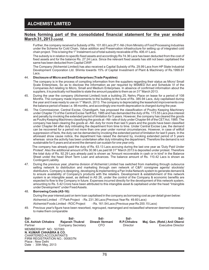### **Notes forming part of the consolidated financial statement for the year ended March 31, 2013** *contd.*

Further, the company received a Subsidy of Rs. 101.60 Lacs (P.Y.-Nil-) from Ministry of Food Processing Industries under the Scheme for Cold Chain, Value addition and Preservation infrastructure for setting up of integrated cold chain project. This is being the 1<sup>st</sup> Instalment out of total subsidy receivable of Rs. 406.41 Lacs.

The subsidy is in relation to specific fixed assets and accordingly Rs 74.36 Lacs has been deducted from the cost of fixed assets and for the balance Rs. 27.24 Lacs. Since the relevant fixed assets has still not been capitalised the same has been deducted from Capital CWIP.

The Company (Alchemist Limited) has also received a Capital Subsidy of Rs. 29.99 Lacs from HP State Industrial Development Corporation Ltd. Shimla towards 15% of Capital Investment of Plant & Machinery of Rs.1999.81 Lacs.

#### 44. **Disclosure of Micro and Small Enterprises (Trade Payables)**

The company is in the process of compiling information from the suppliers regarding their status as Micro/ Small Scale Enterprises, So as to disclose the information as per required by MSMED Act and Schedule VI of the Companies Act relating to Micro, Small and Medium Enterprises. In absence of confirmed information about the suppliers, it is practically not feasible to state the amount payable to them as on 31<sup>st</sup> March 2013.

- 45. During the year the company (Alchemist Limited) took a building 25, Nehru Place on lease for a period of 108 Months. The company made improvements to the building to the tune of Rs. 385.94 Lacs, duly capitalised during the year and it was ready to use on 1<sup>st</sup> March, 2013. The company is depreciating the leasehold improvements over the balance period of lease i.e. 98 months, and accordingly one month deprecation is charged during the year.
- 46. The Commissioner, Central Excise, Chandigarh, has proposed the classification of Poultry Keeping Machinery under Chapter 73 of the Central Excise Tariff Act, 1985 and has demanded the duty of Rs. 173.55 Lacs plus interest and penalty by invoking the extended period of limitation for 5 years. However, the company has cleared the goods as Poultry Keeping Machinery classifying the goods at –Nil- rate of duty under Chapter 84 of the CETAct, 1985. The company has been clearing the goods at –Nil- duty for more than last 5 years and the goods have been classified under Chapter 84 after duly intimating the department from time to time. Under Central Excise Law, the demand can be recovered for a period not more than one year under normal circumstances. However, in case of willfull suppression of facts, the duty can be demanded by invoking the extended period of limitation for last 5 years. In the aforesaid show cause notice, the department has raised the demand by, invoking extended period of 5 years whereas since the activity has been undertaken after duly intimating the department. Therefore the demand is not sustainable for 5 years and at worst the demand can sustain for one year only.

The company has already paid the duty of Rs. 63.13 Lacs accruing during the last one year as 'Duty Paid Under Protest'. Also the additional amount of Rs 30.96 Las paid till 31<sup>st</sup> March 2013 is deposited under protest. Therefore the total duty of Rs. 92.29 Lacs already paid is shown as 'Amount recoverable in cash or in kind' in the Balance Sheet under the head Short Term Loan and advances. The balance amount of Rs. 110.42 Lacs is shown as Contingent Liability.

47. During the previous year, pharma division of Alchemist Limited has switched from marketing through outsource selling network to distribution and marketing through own network of C&F/ consignee agents/ stockists/ distributors. Company is designing, developing & implementing a Pan India Network system to generate demand & to ensure availability of Company's products with the retailers. Development & establishment of this network system is an intangible asset, as defined in AS 26, under the control of the Company & economic benefits are expected to flow to the Company in future. Expenses incurred directly for the development of this network system, amounting to Rs. 5.42 Crore have been attributed to this intangible asset & capitalised under the head "Intangible under Development" under Fixed Assets.

#### 48. **Borrowing Costs (AS-16):**

During the year interest paid on term loan capitalised in the company as borrowing cost as per detail given below: Alchemist Limited - ITPark Project - Rs. 231.36 Lacs (Previous Year Rs 49.60 Lacs)

Alchemist Foods Limited - ROC Project - Rs. 161.54 Lacs (Previous year Rs 200.15 Lacs)

49. Previous year's figure have been reworked, regrouped, rearranged and reclassified wherever deemed necessary to make them comparable

| $Sd$ -                                                                                                                                                  | $Sd$ -                 | $Sd$ -         | $Sd$ -          | $Sd$ -                        |
|---------------------------------------------------------------------------------------------------------------------------------------------------------|------------------------|----------------|-----------------|-------------------------------|
| <b>CA. Ashish Chhabra</b>                                                                                                                               | <b>Rajansh Thukral</b> | Dinesh Vermani | R.P.Chhabra     | Maj. Gen. (Retd.) Anil Oberoi |
| Partner                                                                                                                                                 | Company Secretary      | CFO.           | <b>Director</b> | Executive Director            |
| MEMBERSHIP NO.: 507083<br>N. KUMAR CHHABRA & CO.<br>CHARTERED ACCOUNTANTS<br>FIRM REGISTRATION NO.: 000837N<br>Place: New Delhi<br>Date: 30th May, 2013 |                        |                |                 |                               |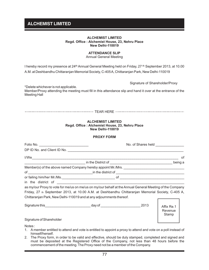#### **ALCHEMIST LIMITED Regd. Office : Alchemist House, 23, Nehru Place New Delhi-110019**

#### **ATTENDANCE SLIP**

Annual General Meeting

I hereby record my presence at 24<sup>th</sup> Annual General Meeting held on Friday, 27 <sup>th</sup> September 2013, at 10.00 A.M. at Deshbandhu Chittaranjan Memorial Society, C-405 A, Chittaranjan Park, New Delhi-110019

Signature of Shareholder/Proxy

\*Delete whichever is not applicable. Member/Proxy attending the meeting must fill in this attendance slip and hand it over at the entrance of the Meeting Hall

TEAR HERE

#### **ALCHEMIST LIMITED Regd. Office : Alchemist House, 23, Nehru Place New Delhi-110019**

#### **PROXY FORM**

| Folio No. ________________________________                                                                     | No. of Shares held _________________ |                                |
|----------------------------------------------------------------------------------------------------------------|--------------------------------------|--------------------------------|
|                                                                                                                |                                      |                                |
|                                                                                                                |                                      |                                |
|                                                                                                                |                                      |                                |
| Member(s) of the above named Company hereby appoint Mr./Mrs. [14] process and the above name of the above name |                                      |                                |
|                                                                                                                |                                      |                                |
|                                                                                                                |                                      |                                |
|                                                                                                                |                                      |                                |
| as my/our Proxy to vote for me/us on me/us on my/our behalf at the Annual General Meeting of the Company       |                                      |                                |
| Friday, 27 th September 2013, at 10.00 A.M. at Deshbandhu Chittaranjan Memorial Society, C-405 A,              |                                      |                                |
| Chittaranjan Park, New Delhi-110019 and at any adjournments thereof.                                           |                                      |                                |
| Signature this ___________________________________day of _______________________________2013                   |                                      | Affix Re.1<br>Revenue<br>Stamp |
| Signature of Shareholder                                                                                       |                                      |                                |
| Notes:                                                                                                         |                                      |                                |

1. A member entitled to attend and vote is entitled to appoint a proxy to attend and vote on a poll instead of himself/herself.

2. The Proxy form, in order to be valid and effective, should be duly stamped, completed and signed and must be deposited at the Registered Office of the Company, not less than 48 hours before the commencement of the meeting. The Proxy need not be a member of the Company.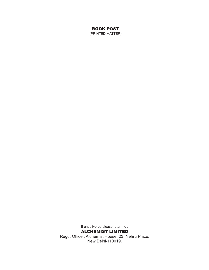## BOOK POST

(PRINTED MATTER)

If undelivered please return to : ALCHEMIST LIMITED Regd. Office : Alchemist House, 23, Nehru Place, New Delhi-110019.